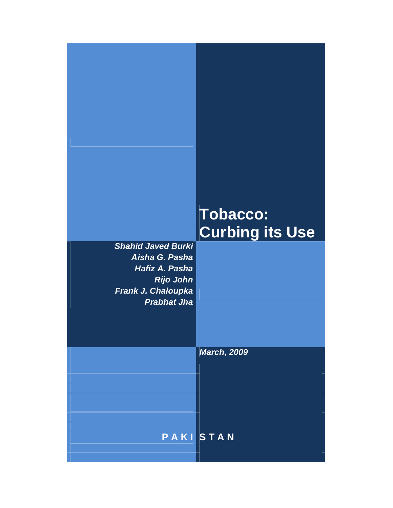# **Tobacco: Curbing its Use**

*Shahid Javed Burki Aisha G. Pasha Hafiz A. Pasha Rijo John Frank J. Chaloupka Prabhat Jha*

*March, 2009*

**P A K I S T A N**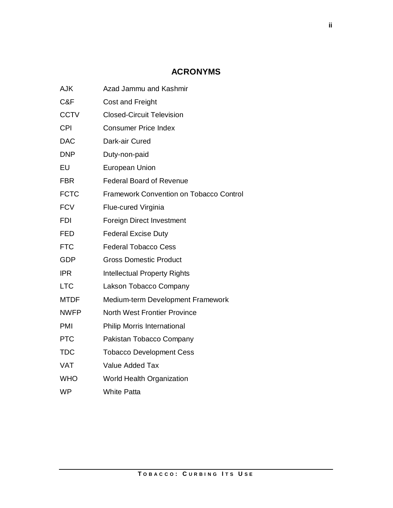# **ACRONYMS**

| AJK         | Azad Jammu and Kashmir                         |
|-------------|------------------------------------------------|
| C&F         | <b>Cost and Freight</b>                        |
| <b>CCTV</b> | <b>Closed-Circuit Television</b>               |
| <b>CPI</b>  | <b>Consumer Price Index</b>                    |
| <b>DAC</b>  | Dark-air Cured                                 |
| <b>DNP</b>  | Duty-non-paid                                  |
| EU          | <b>European Union</b>                          |
| <b>FBR</b>  | <b>Federal Board of Revenue</b>                |
| <b>FCTC</b> | <b>Framework Convention on Tobacco Control</b> |
| <b>FCV</b>  | Flue-cured Virginia                            |
| <b>FDI</b>  | <b>Foreign Direct Investment</b>               |
| <b>FED</b>  | <b>Federal Excise Duty</b>                     |
| <b>FTC</b>  | <b>Federal Tobacco Cess</b>                    |
| <b>GDP</b>  | <b>Gross Domestic Product</b>                  |
| <b>IPR</b>  | <b>Intellectual Property Rights</b>            |
| <b>LTC</b>  | Lakson Tobacco Company                         |
| <b>MTDF</b> | Medium-term Development Framework              |
| <b>NWFP</b> | <b>North West Frontier Province</b>            |
| PMI         | <b>Philip Morris International</b>             |
| <b>PTC</b>  | Pakistan Tobacco Company                       |
| <b>TDC</b>  | <b>Tobacco Development Cess</b>                |
| <b>VAT</b>  | <b>Value Added Tax</b>                         |
| <b>WHO</b>  | <b>World Health Organization</b>               |
| <b>WP</b>   | <b>White Patta</b>                             |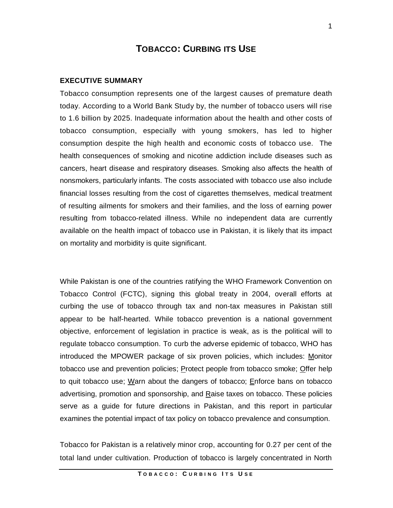# **TOBACCO: CURBING ITS USE**

#### **EXECUTIVE SUMMARY**

Tobacco consumption represents one of the largest causes of premature death today. According to a World Bank Study by, the number of tobacco users will rise to 1.6 billion by 2025. Inadequate information about the health and other costs of tobacco consumption, especially with young smokers, has led to higher consumption despite the high health and economic costs of tobacco use. The health consequences of smoking and nicotine addiction include diseases such as cancers, heart disease and respiratory diseases. Smoking also affects the health of nonsmokers, particularly infants. The costs associated with tobacco use also include financial losses resulting from the cost of cigarettes themselves, medical treatment of resulting ailments for smokers and their families, and the loss of earning power resulting from tobacco-related illness. While no independent data are currently available on the health impact of tobacco use in Pakistan, it is likely that its impact on mortality and morbidity is quite significant.

While Pakistan is one of the countries ratifying the WHO Framework Convention on Tobacco Control (FCTC), signing this global treaty in 2004, overall efforts at curbing the use of tobacco through tax and non-tax measures in Pakistan still appear to be half-hearted. While tobacco prevention is a national government objective, enforcement of legislation in practice is weak, as is the political will to regulate tobacco consumption. To curb the adverse epidemic of tobacco, WHO has introduced the MPOWER package of six proven policies, which includes: Monitor tobacco use and prevention policies; Protect people from tobacco smoke; Offer help to quit tobacco use; Warn about the dangers of tobacco; Enforce bans on tobacco advertising, promotion and sponsorship, and Raise taxes on tobacco. These policies serve as a guide for future directions in Pakistan, and this report in particular examines the potential impact of tax policy on tobacco prevalence and consumption.

Tobacco for Pakistan is a relatively minor crop, accounting for 0.27 per cent of the total land under cultivation. Production of tobacco is largely concentrated in North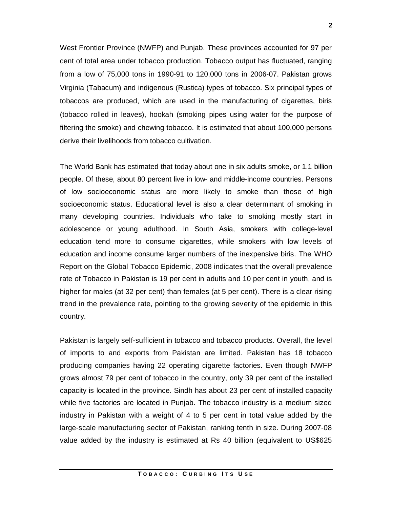West Frontier Province (NWFP) and Punjab. These provinces accounted for 97 per cent of total area under tobacco production. Tobacco output has fluctuated, ranging from a low of 75,000 tons in 1990-91 to 120,000 tons in 2006-07. Pakistan grows Virginia (Tabacum) and indigenous (Rustica) types of tobacco. Six principal types of tobaccos are produced, which are used in the manufacturing of cigarettes, biris (tobacco rolled in leaves), hookah (smoking pipes using water for the purpose of filtering the smoke) and chewing tobacco. It is estimated that about 100,000 persons derive their livelihoods from tobacco cultivation.

The World Bank has estimated that today about one in six adults smoke, or 1.1 billion people. Of these, about 80 percent live in low- and middle-income countries. Persons of low socioeconomic status are more likely to smoke than those of high socioeconomic status. Educational level is also a clear determinant of smoking in many developing countries. Individuals who take to smoking mostly start in adolescence or young adulthood. In South Asia, smokers with college-level education tend more to consume cigarettes, while smokers with low levels of education and income consume larger numbers of the inexpensive biris. The WHO Report on the Global Tobacco Epidemic, 2008 indicates that the overall prevalence rate of Tobacco in Pakistan is 19 per cent in adults and 10 per cent in youth, and is higher for males (at 32 per cent) than females (at 5 per cent). There is a clear rising trend in the prevalence rate, pointing to the growing severity of the epidemic in this country.

Pakistan is largely self-sufficient in tobacco and tobacco products. Overall, the level of imports to and exports from Pakistan are limited. Pakistan has 18 tobacco producing companies having 22 operating cigarette factories. Even though NWFP grows almost 79 per cent of tobacco in the country, only 39 per cent of the installed capacity is located in the province. Sindh has about 23 per cent of installed capacity while five factories are located in Punjab. The tobacco industry is a medium sized industry in Pakistan with a weight of 4 to 5 per cent in total value added by the large-scale manufacturing sector of Pakistan, ranking tenth in size. During 2007-08 value added by the industry is estimated at Rs 40 billion (equivalent to US\$625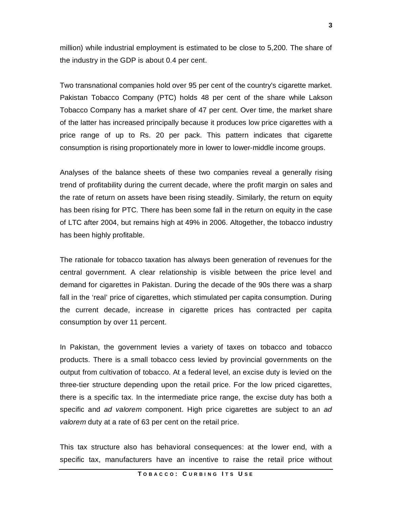million) while industrial employment is estimated to be close to 5,200. The share of the industry in the GDP is about 0.4 per cent.

Two transnational companies hold over 95 per cent of the country's cigarette market. Pakistan Tobacco Company (PTC) holds 48 per cent of the share while Lakson Tobacco Company has a market share of 47 per cent. Over time, the market share of the latter has increased principally because it produces low price cigarettes with a price range of up to Rs. 20 per pack. This pattern indicates that cigarette consumption is rising proportionately more in lower to lower-middle income groups.

Analyses of the balance sheets of these two companies reveal a generally rising trend of profitability during the current decade, where the profit margin on sales and the rate of return on assets have been rising steadily. Similarly, the return on equity has been rising for PTC. There has been some fall in the return on equity in the case of LTC after 2004, but remains high at 49% in 2006. Altogether, the tobacco industry has been highly profitable.

The rationale for tobacco taxation has always been generation of revenues for the central government. A clear relationship is visible between the price level and demand for cigarettes in Pakistan. During the decade of the 90s there was a sharp fall in the 'real' price of cigarettes, which stimulated per capita consumption. During the current decade, increase in cigarette prices has contracted per capita consumption by over 11 percent.

In Pakistan, the government levies a variety of taxes on tobacco and tobacco products. There is a small tobacco cess levied by provincial governments on the output from cultivation of tobacco. At a federal level, an excise duty is levied on the three-tier structure depending upon the retail price. For the low priced cigarettes, there is a specific tax. In the intermediate price range, the excise duty has both a specific and *ad valorem* component. High price cigarettes are subject to an *ad valorem* duty at a rate of 63 per cent on the retail price.

This tax structure also has behavioral consequences: at the lower end, with a specific tax, manufacturers have an incentive to raise the retail price without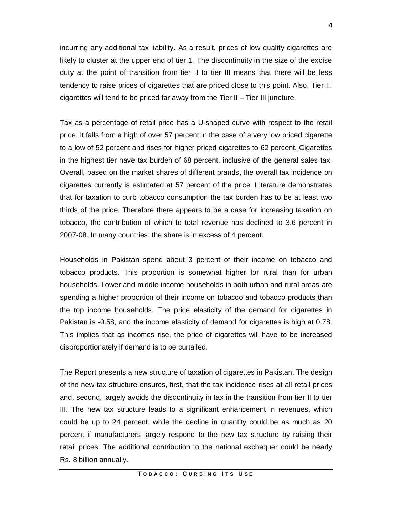incurring any additional tax liability. As a result, prices of low quality cigarettes are likely to cluster at the upper end of tier 1. The discontinuity in the size of the excise duty at the point of transition from tier II to tier III means that there will be less tendency to raise prices of cigarettes that are priced close to this point. Also, Tier III cigarettes will tend to be priced far away from the Tier II – Tier III juncture.

Tax as a percentage of retail price has a U-shaped curve with respect to the retail price. It falls from a high of over 57 percent in the case of a very low priced cigarette to a low of 52 percent and rises for higher priced cigarettes to 62 percent. Cigarettes in the highest tier have tax burden of 68 percent, inclusive of the general sales tax. Overall, based on the market shares of different brands, the overall tax incidence on cigarettes currently is estimated at 57 percent of the price. Literature demonstrates that for taxation to curb tobacco consumption the tax burden has to be at least two thirds of the price. Therefore there appears to be a case for increasing taxation on tobacco, the contribution of which to total revenue has declined to 3.6 percent in 2007-08. In many countries, the share is in excess of 4 percent.

Households in Pakistan spend about 3 percent of their income on tobacco and tobacco products. This proportion is somewhat higher for rural than for urban households. Lower and middle income households in both urban and rural areas are spending a higher proportion of their income on tobacco and tobacco products than the top income households. The price elasticity of the demand for cigarettes in Pakistan is -0.58, and the income elasticity of demand for cigarettes is high at 0.78. This implies that as incomes rise, the price of cigarettes will have to be increased disproportionately if demand is to be curtailed.

The Report presents a new structure of taxation of cigarettes in Pakistan. The design of the new tax structure ensures, first, that the tax incidence rises at all retail prices and, second, largely avoids the discontinuity in tax in the transition from tier II to tier III. The new tax structure leads to a significant enhancement in revenues, which could be up to 24 percent, while the decline in quantity could be as much as 20 percent if manufacturers largely respond to the new tax structure by raising their retail prices. The additional contribution to the national exchequer could be nearly Rs. 8 billion annually.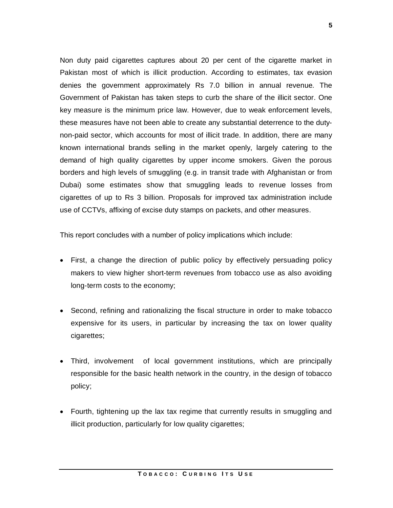Non duty paid cigarettes captures about 20 per cent of the cigarette market in Pakistan most of which is illicit production. According to estimates, tax evasion denies the government approximately Rs 7.0 billion in annual revenue. The Government of Pakistan has taken steps to curb the share of the illicit sector. One key measure is the minimum price law. However, due to weak enforcement levels, these measures have not been able to create any substantial deterrence to the dutynon-paid sector, which accounts for most of illicit trade. In addition, there are many known international brands selling in the market openly, largely catering to the demand of high quality cigarettes by upper income smokers. Given the porous borders and high levels of smuggling (e.g. in transit trade with Afghanistan or from Dubai) some estimates show that smuggling leads to revenue losses from cigarettes of up to Rs 3 billion. Proposals for improved tax administration include use of CCTVs, affixing of excise duty stamps on packets, and other measures.

This report concludes with a number of policy implications which include:

- First, a change the direction of public policy by effectively persuading policy makers to view higher short-term revenues from tobacco use as also avoiding long-term costs to the economy;
- Second, refining and rationalizing the fiscal structure in order to make tobacco expensive for its users, in particular by increasing the tax on lower quality cigarettes;
- Third, involvement of local government institutions, which are principally responsible for the basic health network in the country, in the design of tobacco policy;
- Fourth, tightening up the lax tax regime that currently results in smuggling and illicit production, particularly for low quality cigarettes;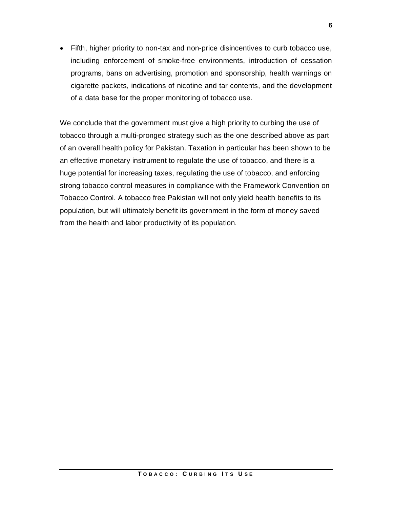Fifth, higher priority to non-tax and non-price disincentives to curb tobacco use, including enforcement of smoke-free environments, introduction of cessation programs, bans on advertising, promotion and sponsorship, health warnings on cigarette packets, indications of nicotine and tar contents, and the development of a data base for the proper monitoring of tobacco use.

We conclude that the government must give a high priority to curbing the use of tobacco through a multi-pronged strategy such as the one described above as part of an overall health policy for Pakistan. Taxation in particular has been shown to be an effective monetary instrument to regulate the use of tobacco, and there is a huge potential for increasing taxes, regulating the use of tobacco, and enforcing strong tobacco control measures in compliance with the Framework Convention on Tobacco Control. A tobacco free Pakistan will not only yield health benefits to its population, but will ultimately benefit its government in the form of money saved from the health and labor productivity of its population.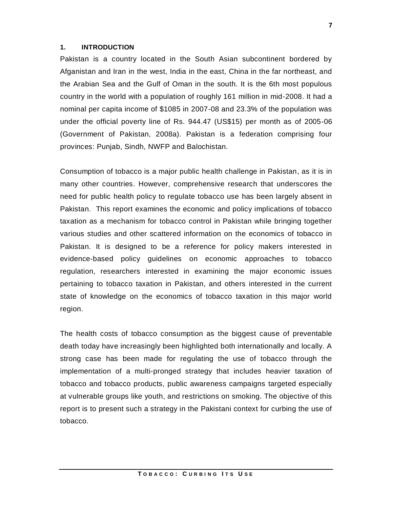#### **1. INTRODUCTION**

Pakistan is a country located in the South Asian subcontinent bordered by Afganistan and Iran in the west, India in the east, China in the far northeast, and the Arabian Sea and the Gulf of Oman in the south. It is the 6th most populous country in the world with a population of roughly 161 million in mid-2008. It had a nominal per capita income of \$1085 in 2007-08 and 23.3% of the population was under the official poverty line of Rs. 944.47 (US\$15) per month as of 2005-06 (Government of Pakistan, 2008a). Pakistan is a federation comprising four provinces: Punjab, Sindh, NWFP and Balochistan.

Consumption of tobacco is a major public health challenge in Pakistan, as it is in many other countries. However, comprehensive research that underscores the need for public health policy to regulate tobacco use has been largely absent in Pakistan. This report examines the economic and policy implications of tobacco taxation as a mechanism for tobacco control in Pakistan while bringing together various studies and other scattered information on the economics of tobacco in Pakistan. It is designed to be a reference for policy makers interested in evidence-based policy guidelines on economic approaches to tobacco regulation, researchers interested in examining the major economic issues pertaining to tobacco taxation in Pakistan, and others interested in the current state of knowledge on the economics of tobacco taxation in this major world region.

The health costs of tobacco consumption as the biggest cause of preventable death today have increasingly been highlighted both internationally and locally. A strong case has been made for regulating the use of tobacco through the implementation of a multi-pronged strategy that includes heavier taxation of tobacco and tobacco products, public awareness campaigns targeted especially at vulnerable groups like youth, and restrictions on smoking. The objective of this report is to present such a strategy in the Pakistani context for curbing the use of tobacco.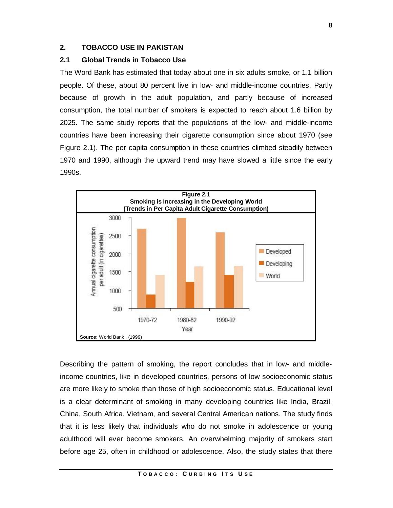# **2. TOBACCO USE IN PAKISTAN**

# **2.1 Global Trends in Tobacco Use**

The Word Bank has estimated that today about one in six adults smoke, or 1.1 billion people. Of these, about 80 percent live in low- and middle-income countries. Partly because of growth in the adult population, and partly because of increased consumption, the total number of smokers is expected to reach about 1.6 billion by 2025. The same study reports that the populations of the low- and middle-income countries have been increasing their cigarette consumption since about 1970 (see Figure 2.1). The per capita consumption in these countries climbed steadily between 1970 and 1990, although the upward trend may have slowed a little since the early 1990s.



Describing the pattern of smoking, the report concludes that in low- and middleincome countries, like in developed countries, persons of low socioeconomic status are more likely to smoke than those of high socioeconomic status. Educational level is a clear determinant of smoking in many developing countries like India, Brazil, China, South Africa, Vietnam, and several Central American nations. The study finds that it is less likely that individuals who do not smoke in adolescence or young adulthood will ever become smokers. An overwhelming majority of smokers start before age 25, often in childhood or adolescence. Also, the study states that there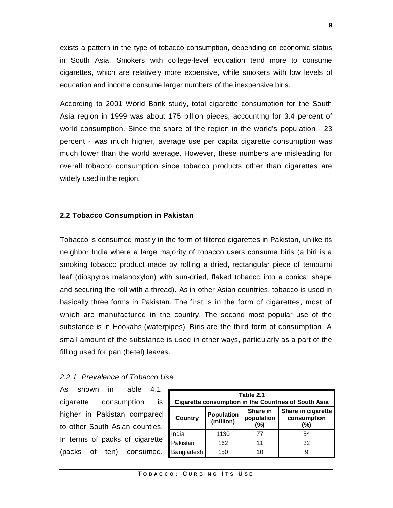exists a pattern in the type of tobacco consumption, depending on economic status in South Asia. Smokers with college-level education tend more to consume cigarettes, which are relatively more expensive, while smokers with low levels of education and income consume larger numbers of the inexpensive biris.

According to 2001 World Bank study, total cigarette consumption for the South Asia region in 1999 was about 175 billion pieces, accounting for 3.4 percent of world consumption. Since the share of the region in the world's population - 23 percent - was much higher, average use per capita cigarette consumption was much lower than the world average. However, these numbers are misleading for overall tobacco consumption since tobacco products other than cigarettes are widely used in the region.

#### **2.2 Tobacco Consumption in Pakistan**

Tobacco is consumed mostly in the form of filtered cigarettes in Pakistan, unlike its neighbor India where a large majority of tobacco users consume biris (a biri is a smoking tobacco product made by rolling a dried, rectangular piece of temburni leaf (diospyros melanoxylon) with sun-dried, flaked tobacco into a conical shape and securing the roll with a thread). As in other Asian countries, tobacco is used in basically three forms in Pakistan. The first is in the form of cigarettes, most of which are manufactured in the country. The second most popular use of the substance is in Hookahs (waterpipes). Biris are the third form of consumption. A small amount of the substance is used in other ways, particularly as a part of the filling used for pan (betel) leaves.

#### *2.2.1 Prevalence of Tobacco Use*

As shown in Table 4.1, cigarette consumption is higher in Pakistan compared to other South Asian counties. In terms of packs of cigarette (packs of ten) consumed,

| Table 2.1<br><b>Cigarette consumption in the Countries of South Asia</b> |                                |                               |                                          |  |  |  |
|--------------------------------------------------------------------------|--------------------------------|-------------------------------|------------------------------------------|--|--|--|
| Country                                                                  | <b>Population</b><br>(million) | Share in<br>population<br>(%) | Share in cigarette<br>consumption<br>(%) |  |  |  |
| India                                                                    | 1130                           | 77                            | 54                                       |  |  |  |
| Pakistan                                                                 | 162                            | 11                            | 32                                       |  |  |  |
| Bangladesh                                                               | 150                            | 10                            |                                          |  |  |  |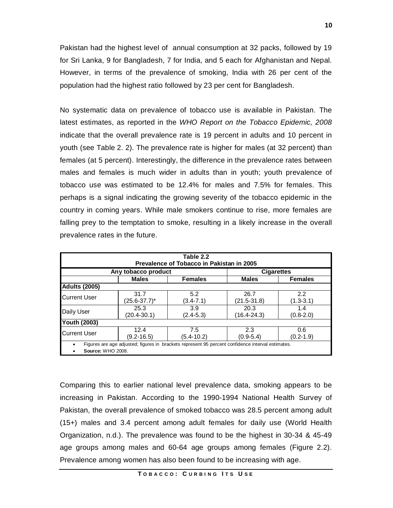Pakistan had the highest level of annual consumption at 32 packs, followed by 19 for Sri Lanka, 9 for Bangladesh, 7 for India, and 5 each for Afghanistan and Nepal. However, in terms of the prevalence of smoking, India with 26 per cent of the population had the highest ratio followed by 23 per cent for Bangladesh.

No systematic data on prevalence of tobacco use is available in Pakistan. The latest estimates, as reported in the *WHO Report on the Tobacco Epidemic, 2008* indicate that the overall prevalence rate is 19 percent in adults and 10 percent in youth (see Table 2. 2). The prevalence rate is higher for males (at 32 percent) than females (at 5 percent). Interestingly, the difference in the prevalence rates between males and females is much wider in adults than in youth; youth prevalence of tobacco use was estimated to be 12.4% for males and 7.5% for females. This perhaps is a signal indicating the growing severity of the tobacco epidemic in the country in coming years. While male smokers continue to rise, more females are falling prey to the temptation to smoke, resulting in a likely increase in the overall prevalence rates in the future.

| Table 2.2<br>Prevalence of Tobacco in Pakistan in 2005                                                                        |                           |                      |                         |                      |  |  |
|-------------------------------------------------------------------------------------------------------------------------------|---------------------------|----------------------|-------------------------|----------------------|--|--|
|                                                                                                                               | Any tobacco product       |                      | <b>Cigarettes</b>       |                      |  |  |
|                                                                                                                               | <b>Males</b>              | <b>Females</b>       | <b>Males</b>            | <b>Females</b>       |  |  |
| <b>Adults (2005)</b>                                                                                                          |                           |                      |                         |                      |  |  |
| <b>Current User</b>                                                                                                           | 31.7<br>$(25.6 - 37.7)^*$ | 5.2<br>$(3.4 - 7.1)$ | 26.7<br>(21.5-31.8)     | 2.2<br>$(1.3 - 3.1)$ |  |  |
| Daily User                                                                                                                    | 25.3<br>$(20.4 - 30.1)$   | 3.9<br>$(2.4 - 5.3)$ | 20.3<br>$(16.4 - 24.3)$ | 1.4<br>$(0.8-2.0)$   |  |  |
| <b>Youth (2003)</b>                                                                                                           |                           |                      |                         |                      |  |  |
| <b>Current User</b>                                                                                                           | 12.4<br>$(9.2 - 16.5)$    | 7.5<br>(5.4-10.2)    | 2.3<br>$(0.9 - 5.4)$    | 0.6<br>(0.2-1.9)     |  |  |
| Figures are age adjusted; figures in brackets represent 95 percent confidence interval estimates.<br><b>Source: WHO 2008.</b> |                           |                      |                         |                      |  |  |

Comparing this to earlier national level prevalence data, smoking appears to be increasing in Pakistan. According to the 1990-1994 National Health Survey of Pakistan, the overall prevalence of smoked tobacco was 28.5 percent among adult (15+) males and 3.4 percent among adult females for daily use (World Health Organization, n.d.). The prevalence was found to be the highest in 30-34 & 45-49 age groups among males and 60-64 age groups among females (Figure 2.2). Prevalence among women has also been found to be increasing with age.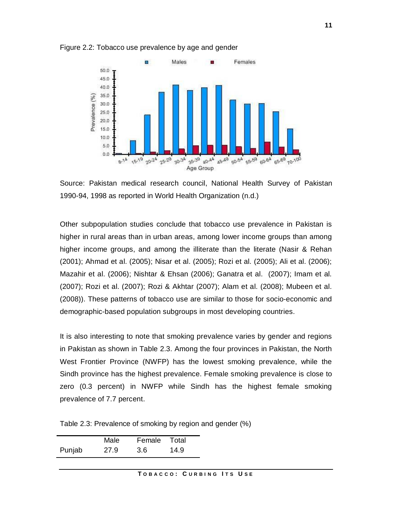

Figure 2.2: Tobacco use prevalence by age and gender

Source: Pakistan medical research council, National Health Survey of Pakistan 1990-94, 1998 as reported in World Health Organization (n.d.)

Other subpopulation studies conclude that tobacco use prevalence in Pakistan is higher in rural areas than in urban areas, among lower income groups than among higher income groups, and among the illiterate than the literate (Nasir & Rehan (2001); Ahmad et al. (2005); Nisar et al. (2005); Rozi et al. (2005); Ali et al. (2006); Mazahir et al. (2006); Nishtar & Ehsan (2006); Ganatra et al. (2007); Imam et al. (2007); Rozi et al. (2007); Rozi & Akhtar (2007); Alam et al. (2008); Mubeen et al. (2008)). These patterns of tobacco use are similar to those for socio-economic and demographic-based population subgroups in most developing countries.

It is also interesting to note that smoking prevalence varies by gender and regions in Pakistan as shown in Table 2.3. Among the four provinces in Pakistan, the North West Frontier Province (NWFP) has the lowest smoking prevalence, while the Sindh province has the highest prevalence. Female smoking prevalence is close to zero (0.3 percent) in NWFP while Sindh has the highest female smoking prevalence of 7.7 percent.

Table 2.3: Prevalence of smoking by region and gender (%)

|        | Male | Female | Total |
|--------|------|--------|-------|
| Punjab | 27.9 | 3.6    | 14.9  |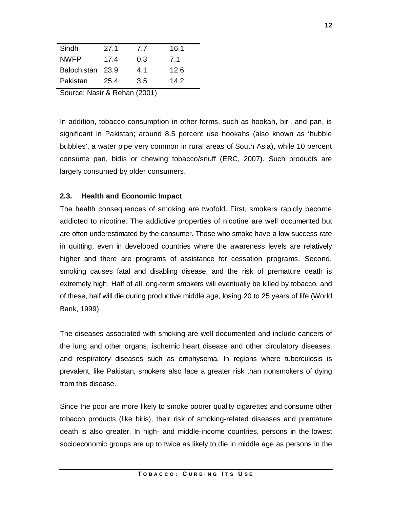| Pakistan         | 25.4 | 3.5 | 14.2 |
|------------------|------|-----|------|
| Balochistan 23.9 |      | 4.1 | 12.6 |
| <b>NWFP</b>      | 17.4 | 0.3 | 7.1  |
| Sindh            | 27.1 | 7.7 | 16.1 |
|                  |      |     |      |

Source: Nasir & Rehan (2001)

In addition, tobacco consumption in other forms, such as hookah, biri, and pan, is significant in Pakistan; around 8.5 percent use hookahs (also known as 'hubble bubbles', a water pipe very common in rural areas of South Asia), while 10 percent consume pan, bidis or chewing tobacco/snuff (ERC, 2007). Such products are largely consumed by older consumers.

# **2.3. Health and Economic Impact**

The health consequences of smoking are twofold. First, smokers rapidly become addicted to nicotine. The addictive properties of nicotine are well documented but are often underestimated by the consumer. Those who smoke have a low success rate in quitting, even in developed countries where the awareness levels are relatively higher and there are programs of assistance for cessation programs. Second, smoking causes fatal and disabling disease, and the risk of premature death is extremely high. Half of all long-term smokers will eventually be killed by tobacco, and of these, half will die during productive middle age, losing 20 to 25 years of life (World Bank, 1999).

The diseases associated with smoking are well documented and include cancers of the lung and other organs, ischemic heart disease and other circulatory diseases, and respiratory diseases such as emphysema. In regions where tuberculosis is prevalent, like Pakistan, smokers also face a greater risk than nonsmokers of dying from this disease.

Since the poor are more likely to smoke poorer quality cigarettes and consume other tobacco products (like biris), their risk of smoking-related diseases and premature death is also greater. In high- and middle-income countries, persons in the lowest socioeconomic groups are up to twice as likely to die in middle age as persons in the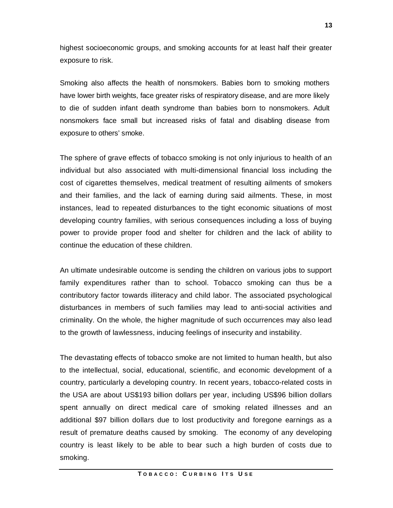highest socioeconomic groups, and smoking accounts for at least half their greater exposure to risk.

Smoking also affects the health of nonsmokers. Babies born to smoking mothers have lower birth weights, face greater risks of respiratory disease, and are more likely to die of sudden infant death syndrome than babies born to nonsmokers. Adult nonsmokers face small but increased risks of fatal and disabling disease from exposure to others' smoke.

The sphere of grave effects of tobacco smoking is not only injurious to health of an individual but also associated with multi-dimensional financial loss including the cost of cigarettes themselves, medical treatment of resulting ailments of smokers and their families, and the lack of earning during said ailments. These, in most instances, lead to repeated disturbances to the tight economic situations of most developing country families, with serious consequences including a loss of buying power to provide proper food and shelter for children and the lack of ability to continue the education of these children.

An ultimate undesirable outcome is sending the children on various jobs to support family expenditures rather than to school. Tobacco smoking can thus be a contributory factor towards illiteracy and child labor. The associated psychological disturbances in members of such families may lead to anti-social activities and criminality. On the whole, the higher magnitude of such occurrences may also lead to the growth of lawlessness, inducing feelings of insecurity and instability.

The devastating effects of tobacco smoke are not limited to human health, but also to the intellectual, social, educational, scientific, and economic development of a country, particularly a developing country. In recent years, tobacco-related costs in the USA are about US\$193 billion dollars per year, including US\$96 billion dollars spent annually on direct medical care of smoking related illnesses and an additional \$97 billion dollars due to lost productivity and foregone earnings as a result of premature deaths caused by smoking. The economy of any developing country is least likely to be able to bear such a high burden of costs due to smoking.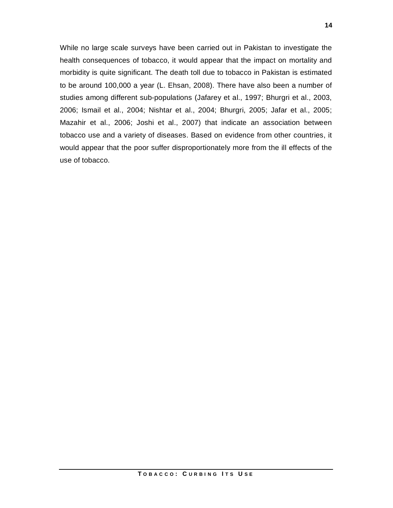While no large scale surveys have been carried out in Pakistan to investigate the health consequences of tobacco, it would appear that the impact on mortality and morbidity is quite significant. The death toll due to tobacco in Pakistan is estimated to be around 100,000 a year (L. Ehsan, 2008). There have also been a number of studies among different sub-populations (Jafarey et al., 1997; Bhurgri et al., 2003, 2006; Ismail et al., 2004; Nishtar et al., 2004; Bhurgri, 2005; Jafar et al., 2005; Mazahir et al., 2006; Joshi et al., 2007) that indicate an association between tobacco use and a variety of diseases. Based on evidence from other countries, it would appear that the poor suffer disproportionately more from the ill effects of the use of tobacco.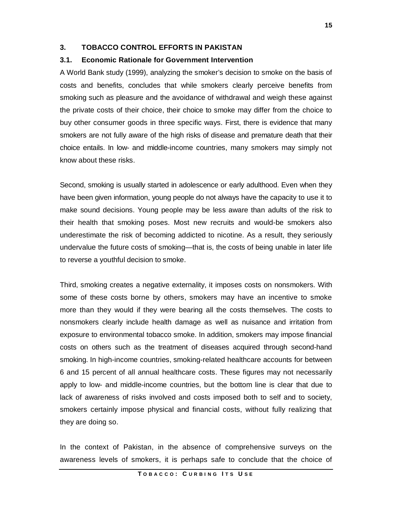# **3. TOBACCO CONTROL EFFORTS IN PAKISTAN**

## **3.1. Economic Rationale for Government Intervention**

A World Bank study (1999), analyzing the smoker's decision to smoke on the basis of costs and benefits, concludes that while smokers clearly perceive benefits from smoking such as pleasure and the avoidance of withdrawal and weigh these against the private costs of their choice, their choice to smoke may differ from the choice to buy other consumer goods in three specific ways. First, there is evidence that many smokers are not fully aware of the high risks of disease and premature death that their choice entails. In low- and middle-income countries, many smokers may simply not know about these risks.

Second, smoking is usually started in adolescence or early adulthood. Even when they have been given information, young people do not always have the capacity to use it to make sound decisions. Young people may be less aware than adults of the risk to their health that smoking poses. Most new recruits and would-be smokers also underestimate the risk of becoming addicted to nicotine. As a result, they seriously undervalue the future costs of smoking—that is, the costs of being unable in later life to reverse a youthful decision to smoke.

Third, smoking creates a negative externality, it imposes costs on nonsmokers. With some of these costs borne by others, smokers may have an incentive to smoke more than they would if they were bearing all the costs themselves. The costs to nonsmokers clearly include health damage as well as nuisance and irritation from exposure to environmental tobacco smoke. In addition, smokers may impose financial costs on others such as the treatment of diseases acquired through second-hand smoking. In high-income countries, smoking-related healthcare accounts for between 6 and 15 percent of all annual healthcare costs. These figures may not necessarily apply to low- and middle-income countries, but the bottom line is clear that due to lack of awareness of risks involved and costs imposed both to self and to society, smokers certainly impose physical and financial costs, without fully realizing that they are doing so.

In the context of Pakistan, in the absence of comprehensive surveys on the awareness levels of smokers, it is perhaps safe to conclude that the choice of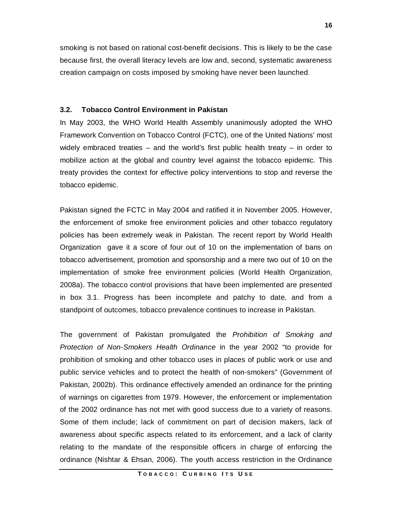smoking is not based on rational cost-benefit decisions. This is likely to be the case because first, the overall literacy levels are low and, second, systematic awareness creation campaign on costs imposed by smoking have never been launched.

#### **3.2. Tobacco Control Environment in Pakistan**

In May 2003, the WHO World Health Assembly unanimously adopted the WHO Framework Convention on Tobacco Control (FCTC), one of the United Nations' most widely embraced treaties – and the world's first public health treaty – in order to mobilize action at the global and country level against the tobacco epidemic. This treaty provides the context for effective policy interventions to stop and reverse the tobacco epidemic.

Pakistan signed the FCTC in May 2004 and ratified it in November 2005. However, the enforcement of smoke free environment policies and other tobacco regulatory policies has been extremely weak in Pakistan. The recent report by World Health Organization gave it a score of four out of 10 on the implementation of bans on tobacco advertisement, promotion and sponsorship and a mere two out of 10 on the implementation of smoke free environment policies (World Health Organization, 2008a). The tobacco control provisions that have been implemented are presented in box 3.1. Progress has been incomplete and patchy to date, and from a standpoint of outcomes, tobacco prevalence continues to increase in Pakistan.

The government of Pakistan promulgated the *Prohibition of Smoking and Protection of Non-Smokers Health Ordinance* in the year 2002 "to provide for prohibition of smoking and other tobacco uses in places of public work or use and public service vehicles and to protect the health of non-smokers" (Government of Pakistan, 2002b). This ordinance effectively amended an ordinance for the printing of warnings on cigarettes from 1979. However, the enforcement or implementation of the 2002 ordinance has not met with good success due to a variety of reasons. Some of them include; lack of commitment on part of decision makers, lack of awareness about specific aspects related to its enforcement, and a lack of clarity relating to the mandate of the responsible officers in charge of enforcing the ordinance (Nishtar & Ehsan, 2006). The youth access restriction in the Ordinance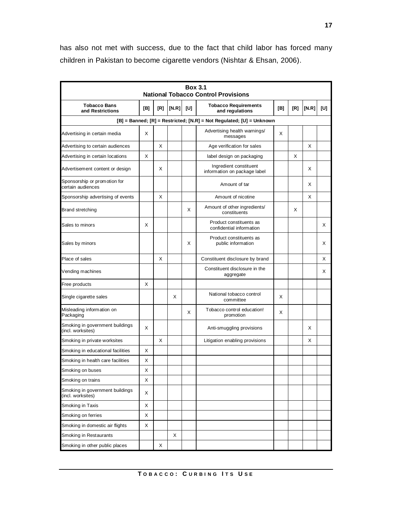has also not met with success, due to the fact that child labor has forced many children in Pakistan to become cigarette vendors (Nishtar & Ehsan, 2006).

| <b>Box 3.1</b><br><b>National Tobacco Control Provisions</b> |     |     |       |     |                                                                      |     |     |       |     |
|--------------------------------------------------------------|-----|-----|-------|-----|----------------------------------------------------------------------|-----|-----|-------|-----|
| <b>Tobacco Bans</b><br>and Restrictions                      | [B] | [R] | [N.R] | [U] | <b>Tobacco Requirements</b><br>and regulations                       | [B] | [R] | [N.R] | [U] |
|                                                              |     |     |       |     | [B] = Banned; [R] = Restricted; [N.R] = Not Regulated; [U] = Unknown |     |     |       |     |
| Advertising in certain media                                 | X   |     |       |     | Advertising health warnings/<br>messages                             | X   |     |       |     |
| Advertising to certain audiences                             |     | X   |       |     | Age verification for sales                                           |     |     | X     |     |
| Advertising in certain locations                             | X   |     |       |     | label design on packaging                                            |     | X   |       |     |
| Advertisement content or design                              |     | X   |       |     | Ingredient constituent<br>information on package label               |     |     | X     |     |
| Sponsorship or promotion for<br>certain audiences            |     |     |       |     | Amount of tar                                                        |     |     | X     |     |
| Sponsorship advertising of events                            |     | X   |       |     | Amount of nicotine                                                   |     |     | X     |     |
| Brand stretching                                             |     |     |       | X   | Amount of other ingredients/<br>constituents                         |     | X   |       |     |
| Sales to minors                                              | X   |     |       |     | Product constituents as<br>confidential information                  |     |     |       | X   |
| Sales by minors                                              |     |     |       | X   | Product constituents as<br>public information                        |     |     |       | X   |
| Place of sales                                               |     | X   |       |     | Constituent disclosure by brand                                      |     |     |       | Х   |
| Vending machines                                             |     |     |       |     | Constituent disclosure in the<br>aggregate                           |     |     |       | Х   |
| Free products                                                | X   |     |       |     |                                                                      |     |     |       |     |
| Single cigarette sales                                       |     |     | X     |     | National tobacco control<br>committee                                | X   |     |       |     |
| Misleading information on<br>Packaging                       |     |     |       | X   | Tobacco control education!<br>promotion                              | X   |     |       |     |
| Smoking in government buildings<br>(incl. worksites)         | X   |     |       |     | Anti-smuggling provisions                                            |     |     | X     |     |
| Smoking in private worksites                                 |     | X   |       |     | Litigation enabling provisions                                       |     |     | X     |     |
| Smoking in educational facilities                            | X   |     |       |     |                                                                      |     |     |       |     |
| Smoking in health care facilities                            | X   |     |       |     |                                                                      |     |     |       |     |
| Smoking on buses                                             | х   |     |       |     |                                                                      |     |     |       |     |
| Smoking on trains                                            | X   |     |       |     |                                                                      |     |     |       |     |
| Smoking in government buildings<br>(incl. worksites)         | X   |     |       |     |                                                                      |     |     |       |     |
| Smoking in Taxis                                             | X   |     |       |     |                                                                      |     |     |       |     |
| Smoking on ferries                                           | X   |     |       |     |                                                                      |     |     |       |     |
| Smoking in domestic air flights                              | X   |     |       |     |                                                                      |     |     |       |     |
| Smoking in Restaurants                                       |     |     | X     |     |                                                                      |     |     |       |     |
| Smoking in other public places                               |     | х   |       |     |                                                                      |     |     |       |     |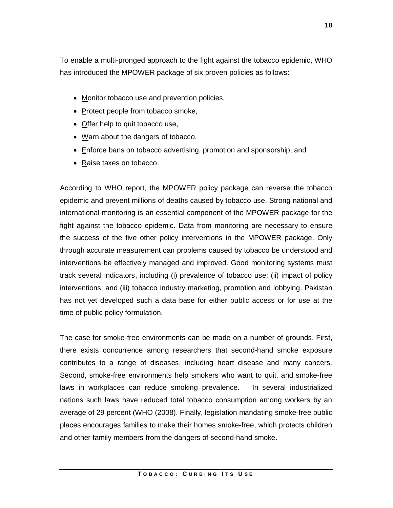To enable a multi-pronged approach to the fight against the tobacco epidemic, WHO has introduced the MPOWER package of six proven policies as follows:

- Monitor tobacco use and prevention policies,
- Protect people from tobacco smoke,
- Offer help to quit tobacco use,
- Warn about the dangers of tobacco,
- Enforce bans on tobacco advertising, promotion and sponsorship, and
- Raise taxes on tobacco.

According to WHO report, the MPOWER policy package can reverse the tobacco epidemic and prevent millions of deaths caused by tobacco use. Strong national and international monitoring is an essential component of the MPOWER package for the fight against the tobacco epidemic. Data from monitoring are necessary to ensure the success of the five other policy interventions in the MPOWER package. Only through accurate measurement can problems caused by tobacco be understood and interventions be effectively managed and improved. Good monitoring systems must track several indicators, including (i) prevalence of tobacco use; (ii) impact of policy interventions; and (iii) tobacco industry marketing, promotion and lobbying. Pakistan has not yet developed such a data base for either public access or for use at the time of public policy formulation.

The case for smoke-free environments can be made on a number of grounds. First, there exists concurrence among researchers that second-hand smoke exposure contributes to a range of diseases, including heart disease and many cancers. Second, smoke-free environments help smokers who want to quit, and smoke-free laws in workplaces can reduce smoking prevalence. In several industrialized nations such laws have reduced total tobacco consumption among workers by an average of 29 percent (WHO (2008). Finally, legislation mandating smoke-free public places encourages families to make their homes smoke-free, which protects children and other family members from the dangers of second-hand smoke.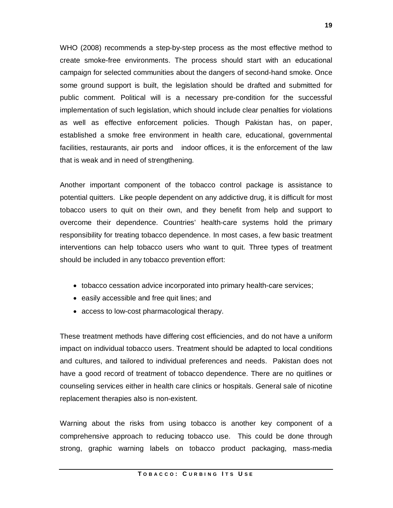WHO (2008) recommends a step-by-step process as the most effective method to create smoke-free environments. The process should start with an educational campaign for selected communities about the dangers of second-hand smoke. Once some ground support is built, the legislation should be drafted and submitted for public comment. Political will is a necessary pre-condition for the successful implementation of such legislation, which should include clear penalties for violations as well as effective enforcement policies. Though Pakistan has, on paper, established a smoke free environment in health care, educational, governmental facilities, restaurants, air ports and indoor offices, it is the enforcement of the law that is weak and in need of strengthening.

Another important component of the tobacco control package is assistance to potential quitters. Like people dependent on any addictive drug, it is difficult for most tobacco users to quit on their own, and they benefit from help and support to overcome their dependence. Countries' health-care systems hold the primary responsibility for treating tobacco dependence. In most cases, a few basic treatment interventions can help tobacco users who want to quit. Three types of treatment should be included in any tobacco prevention effort:

- tobacco cessation advice incorporated into primary health-care services;
- easily accessible and free quit lines; and
- access to low-cost pharmacological therapy.

These treatment methods have differing cost efficiencies, and do not have a uniform impact on individual tobacco users. Treatment should be adapted to local conditions and cultures, and tailored to individual preferences and needs. Pakistan does not have a good record of treatment of tobacco dependence. There are no quitlines or counseling services either in health care clinics or hospitals. General sale of nicotine replacement therapies also is non-existent.

Warning about the risks from using tobacco is another key component of a comprehensive approach to reducing tobacco use. This could be done through strong, graphic warning labels on tobacco product packaging, mass-media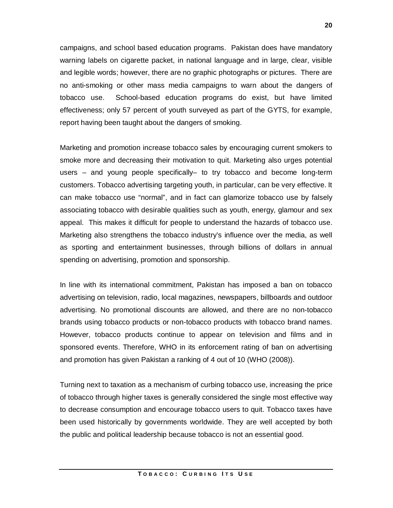campaigns, and school based education programs. Pakistan does have mandatory warning labels on cigarette packet, in national language and in large, clear, visible and legible words; however, there are no graphic photographs or pictures. There are no anti-smoking or other mass media campaigns to warn about the dangers of tobacco use. School-based education programs do exist, but have limited effectiveness; only 57 percent of youth surveyed as part of the GYTS, for example, report having been taught about the dangers of smoking.

Marketing and promotion increase tobacco sales by encouraging current smokers to smoke more and decreasing their motivation to quit. Marketing also urges potential users – and young people specifically– to try tobacco and become long-term customers. Tobacco advertising targeting youth, in particular, can be very effective. It can make tobacco use "normal", and in fact can glamorize tobacco use by falsely associating tobacco with desirable qualities such as youth, energy, glamour and sex appeal. This makes it difficult for people to understand the hazards of tobacco use. Marketing also strengthens the tobacco industry's influence over the media, as well as sporting and entertainment businesses, through billions of dollars in annual spending on advertising, promotion and sponsorship.

In line with its international commitment, Pakistan has imposed a ban on tobacco advertising on television, radio, local magazines, newspapers, billboards and outdoor advertising. No promotional discounts are allowed, and there are no non-tobacco brands using tobacco products or non-tobacco products with tobacco brand names. However, tobacco products continue to appear on television and films and in sponsored events. Therefore, WHO in its enforcement rating of ban on advertising and promotion has given Pakistan a ranking of 4 out of 10 (WHO (2008)).

Turning next to taxation as a mechanism of curbing tobacco use, increasing the price of tobacco through higher taxes is generally considered the single most effective way to decrease consumption and encourage tobacco users to quit. Tobacco taxes have been used historically by governments worldwide. They are well accepted by both the public and political leadership because tobacco is not an essential good.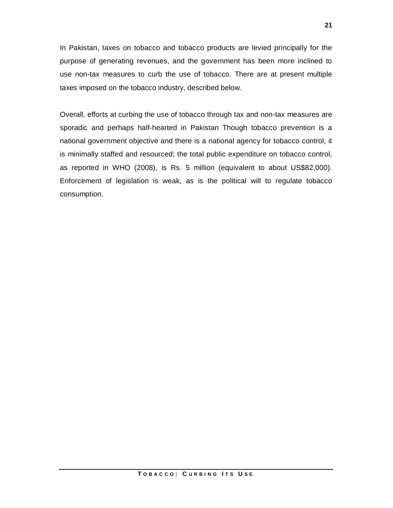In Pakistan, taxes on tobacco and tobacco products are levied principally for the purpose of generating revenues, and the government has been more inclined to use non-tax measures to curb the use of tobacco. There are at present multiple taxes imposed on the tobacco industry, described below.

Overall, efforts at curbing the use of tobacco through tax and non-tax measures are sporadic and perhaps half-hearted in Pakistan Though tobacco prevention is a national government objective and there is a national agency for tobacco control, it is minimally staffed and resourced; the total public expenditure on tobacco control, as reported in WHO (2008), is Rs. 5 million (equivalent to about US\$82,000). Enforcement of legislation is weak, as is the political will to regulate tobacco consumption.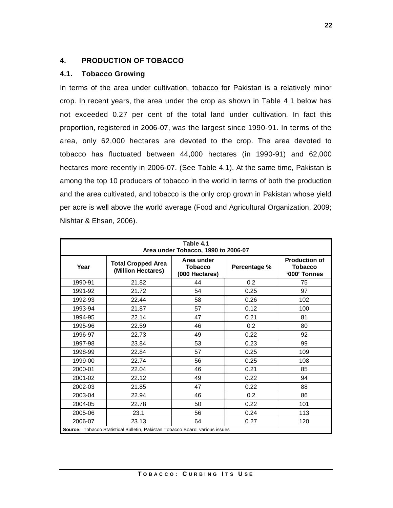# **4. PRODUCTION OF TOBACCO**

# **4.1. Tobacco Growing**

In terms of the area under cultivation, tobacco for Pakistan is a relatively minor crop. In recent years, the area under the crop as shown in Table 4.1 below has not exceeded 0.27 per cent of the total land under cultivation. In fact this proportion, registered in 2006-07, was the largest since 1990-91. In terms of the area, only 62,000 hectares are devoted to the crop. The area devoted to tobacco has fluctuated between 44,000 hectares (in 1990-91) and 62,000 hectares more recently in 2006-07. (See Table 4.1). At the same time, Pakistan is among the top 10 producers of tobacco in the world in terms of both the production and the area cultivated, and tobacco is the only crop grown in Pakistan whose yield per acre is well above the world average (Food and Agricultural Organization, 2009; Nishtar & Ehsan, 2006).

| Table 4.1<br>Area under Tobacco, 1990 to 2006-07 |                                                                              |                                                |              |                                                        |  |  |
|--------------------------------------------------|------------------------------------------------------------------------------|------------------------------------------------|--------------|--------------------------------------------------------|--|--|
| Year                                             | <b>Total Cropped Area</b><br>(Million Hectares)                              | Area under<br><b>Tobacco</b><br>(000 Hectares) | Percentage % | <b>Production of</b><br><b>Tobacco</b><br>'000' Tonnes |  |  |
| 1990-91                                          | 21.82                                                                        | 44                                             | 0.2          | 75                                                     |  |  |
| 1991-92                                          | 21.72                                                                        | 54                                             | 0.25         | 97                                                     |  |  |
| 1992-93                                          | 22.44                                                                        | 58                                             | 0.26         | 102                                                    |  |  |
| 1993-94                                          | 21.87                                                                        | 57                                             | 0.12         | 100                                                    |  |  |
| 1994-95                                          | 22.14                                                                        | 47                                             | 0.21         | 81                                                     |  |  |
| 1995-96                                          | 22.59                                                                        | 46                                             | 0.2          | 80                                                     |  |  |
| 1996-97                                          | 22.73                                                                        | 49                                             | 0.22         | 92                                                     |  |  |
| 1997-98                                          | 23.84                                                                        | 53                                             | 0.23         | 99                                                     |  |  |
| 1998-99                                          | 22.84                                                                        | 57                                             | 0.25         | 109                                                    |  |  |
| 1999-00                                          | 22.74                                                                        | 56                                             | 0.25         | 108                                                    |  |  |
| 2000-01                                          | 22.04                                                                        | 46                                             | 0.21         | 85                                                     |  |  |
| 2001-02                                          | 22.12                                                                        | 49                                             | 0.22         | 94                                                     |  |  |
| 2002-03                                          | 21.85                                                                        | 47                                             | 0.22         | 88                                                     |  |  |
| 2003-04                                          | 22.94                                                                        | 46                                             | 0.2          | 86                                                     |  |  |
| 2004-05                                          | 22.78                                                                        | 50                                             | 0.22         | 101                                                    |  |  |
| 2005-06                                          | 23.1                                                                         | 56                                             | 0.24         | 113                                                    |  |  |
| 2006-07                                          | 23.13                                                                        | 64                                             | 0.27         | 120                                                    |  |  |
|                                                  | Source: Tobacco Statistical Bulletin, Pakistan Tobacco Board, various issues |                                                |              |                                                        |  |  |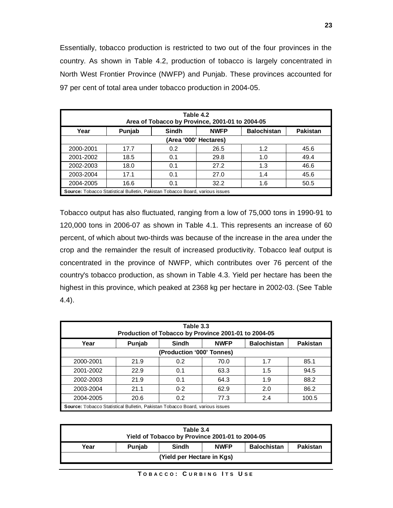Essentially, tobacco production is restricted to two out of the four provinces in the country. As shown in Table 4.2, production of tobacco is largely concentrated in North West Frontier Province (NWFP) and Punjab. These provinces accounted for 97 per cent of total area under tobacco production in 2004-05.

| Table 4.2<br>Area of Tobacco by Province, 2001-01 to 2004-05 |                                                                                     |              |                       |                    |                 |  |
|--------------------------------------------------------------|-------------------------------------------------------------------------------------|--------------|-----------------------|--------------------|-----------------|--|
| Year                                                         | Punjab                                                                              | <b>Sindh</b> | <b>NWFP</b>           | <b>Balochistan</b> | <b>Pakistan</b> |  |
|                                                              |                                                                                     |              | (Area '000' Hectares) |                    |                 |  |
| 2000-2001                                                    | 17.7                                                                                | 0.2          | 26.5                  | 1.2                | 45.6            |  |
| 2001-2002                                                    | 18.5                                                                                | 0.1          | 29.8                  | 1.0                | 49.4            |  |
| 2002-2003                                                    | 18.0                                                                                | 0.1          | 27.2                  | 1.3                | 46.6            |  |
| 2003-2004                                                    | 17.1                                                                                | 0.1          | 27.0                  | 1.4                | 45.6            |  |
| 2004-2005                                                    | 16.6                                                                                | 0.1          | 32.2                  | 1.6                | 50.5            |  |
|                                                              | <b>Source:</b> Tobacco Statistical Bulletin, Pakistan Tobacco Board, various issues |              |                       |                    |                 |  |

Tobacco output has also fluctuated, ranging from a low of 75,000 tons in 1990-91 to 120,000 tons in 2006-07 as shown in Table 4.1. This represents an increase of 60 percent, of which about two-thirds was because of the increase in the area under the crop and the remainder the result of increased productivity. Tobacco leaf output is concentrated in the province of NWFP, which contributes over 76 percent of the country's tobacco production, as shown in Table 4.3. Yield per hectare has been the highest in this province, which peaked at 2368 kg per hectare in 2002-03. (See Table 4.4).

| Table 3.3<br>Production of Tobacco by Province 2001-01 to 2004-05                   |        |                           |             |                    |                 |
|-------------------------------------------------------------------------------------|--------|---------------------------|-------------|--------------------|-----------------|
| Year                                                                                | Punjab | <b>Sindh</b>              | <b>NWFP</b> | <b>Balochistan</b> | <b>Pakistan</b> |
|                                                                                     |        | (Production '000' Tonnes) |             |                    |                 |
| 2000-2001                                                                           | 21.9   | 0.2                       | 70.0        | 1.7                | 85.1            |
| 2001-2002                                                                           | 22.9   | 0.1                       | 63.3        | 1.5                | 94.5            |
| 2002-2003                                                                           | 21.9   | 0.1                       | 64.3        | 1.9                | 88.2            |
| 2003-2004                                                                           | 21.1   | 0.2                       | 62.9        | 2.0                | 86.2            |
| 2004-2005                                                                           | 20.6   | 0.2                       | 77.3        | 2.4                | 100.5           |
| <b>Source:</b> Tobacco Statistical Bulletin, Pakistan Tobacco Board, various issues |        |                           |             |                    |                 |

| Table 3.4<br>Yield of Tobacco by Province 2001-01 to 2004-05 |               |              |             |                    |          |  |
|--------------------------------------------------------------|---------------|--------------|-------------|--------------------|----------|--|
| Year                                                         | <b>Puniab</b> | <b>Sindh</b> | <b>NWFP</b> | <b>Balochistan</b> | Pakistan |  |
| (Yield per Hectare in Kgs)                                   |               |              |             |                    |          |  |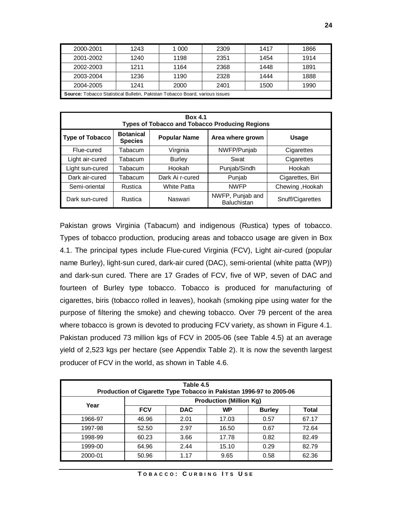| 2000-2001                                                                           | 1243 | 1 000 | 2309 | 1417 | 1866 |  |
|-------------------------------------------------------------------------------------|------|-------|------|------|------|--|
| 2001-2002                                                                           | 1240 | 1198  | 2351 | 1454 | 1914 |  |
| 2002-2003                                                                           | 1211 | 1164  | 2368 | 1448 | 1891 |  |
| 2003-2004                                                                           | 1236 | 1190  | 2328 | 1444 | 1888 |  |
| 2004-2005                                                                           | 1241 | 2000  | 2401 | 1500 | 1990 |  |
| <b>Source:</b> Tobacco Statistical Bulletin, Pakistan Tobacco Board, various issues |      |       |      |      |      |  |

| <b>Box 4.1</b><br><b>Types of Tobacco and Tobacco Producing Regions</b> |                                    |                     |                                 |                  |  |  |  |
|-------------------------------------------------------------------------|------------------------------------|---------------------|---------------------------------|------------------|--|--|--|
| <b>Type of Tobacco</b>                                                  | <b>Botanical</b><br><b>Species</b> | <b>Popular Name</b> | Area where grown                | <b>Usage</b>     |  |  |  |
| Flue-cured                                                              | Tabacum                            | Virginia            | NWFP/Punjab                     | Cigarettes       |  |  |  |
| Light air-cured                                                         | Tabacum                            | <b>Burley</b>       | Swat                            | Cigarettes       |  |  |  |
| Light sun-cured                                                         | Tabacum                            | Hookah              | Punjab/Sindh                    | Hookah           |  |  |  |
| Dark air-cured                                                          | Tabacum                            | Dark Ai r-cured     | Punjab                          | Cigarettes, Biri |  |  |  |
| Semi-oriental                                                           | Rustica                            | White Patta         | <b>NWFP</b>                     | Chewing, Hookah  |  |  |  |
| Dark sun-cured                                                          | Rustica                            | Naswari             | NWFP, Punjab and<br>Baluchistan | Snuff/Cigarettes |  |  |  |

Pakistan grows Virginia (Tabacum) and indigenous (Rustica) types of tobacco. Types of tobacco production, producing areas and tobacco usage are given in Box 4.1. The principal types include Flue-cured Virginia (FCV), Light air-cured (popular name Burley), light-sun cured, dark-air cured (DAC), semi-oriental (white patta (WP)) and dark-sun cured. There are 17 Grades of FCV, five of WP, seven of DAC and fourteen of Burley type tobacco. Tobacco is produced for manufacturing of cigarettes, biris (tobacco rolled in leaves), hookah (smoking pipe using water for the purpose of filtering the smoke) and chewing tobacco. Over 79 percent of the area where tobacco is grown is devoted to producing FCV variety, as shown in Figure 4.1. Pakistan produced 73 million kgs of FCV in 2005-06 (see Table 4.5) at an average yield of 2,523 kgs per hectare (see Appendix Table 2). It is now the seventh largest producer of FCV in the world, as shown in Table 4.6.

| Table 4.5<br>Production of Cigarette Type Tobacco in Pakistan 1996-97 to 2005-06 |                                |            |           |               |       |  |
|----------------------------------------------------------------------------------|--------------------------------|------------|-----------|---------------|-------|--|
| Year                                                                             | <b>Production (Million Kg)</b> |            |           |               |       |  |
|                                                                                  | <b>FCV</b>                     | <b>DAC</b> | <b>WP</b> | <b>Burley</b> | Total |  |
| 1966-97                                                                          | 46.96                          | 2.01       | 17.03     | 0.57          | 67.17 |  |
| 1997-98                                                                          | 52.50                          | 2.97       | 16.50     | 0.67          | 72.64 |  |
| 1998-99                                                                          | 60.23                          | 3.66       | 17.78     | 0.82          | 82.49 |  |
| 1999-00                                                                          | 64.96                          | 2.44       | 15.10     | 0.29          | 82.79 |  |
| 2000-01                                                                          | 50.96                          | 1.17       | 9.65      | 0.58          | 62.36 |  |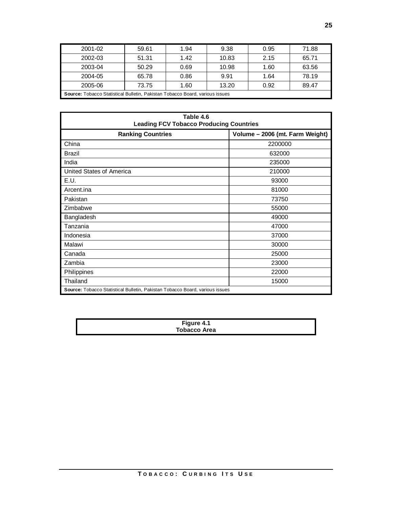| 2001-02                                                                             | 59.61 | 1.94 | 9.38  | 0.95 | 71.88 |  |  |  |
|-------------------------------------------------------------------------------------|-------|------|-------|------|-------|--|--|--|
| 2002-03                                                                             | 51.31 | 1.42 | 10.83 | 2.15 | 65.71 |  |  |  |
| 2003-04                                                                             | 50.29 | 0.69 | 10.98 | 1.60 | 63.56 |  |  |  |
| 2004-05                                                                             | 65.78 | 0.86 | 9.91  | 1.64 | 78.19 |  |  |  |
| 13.20<br>1.60<br>0.92<br>73.75<br>89.47<br>2005-06                                  |       |      |       |      |       |  |  |  |
| <b>Source:</b> Tobacco Statistical Bulletin, Pakistan Tobacco Board, various issues |       |      |       |      |       |  |  |  |

| Table 4.6<br><b>Leading FCV Tobacco Producing Countries</b>                  |                                 |  |  |  |  |
|------------------------------------------------------------------------------|---------------------------------|--|--|--|--|
| <b>Ranking Countries</b>                                                     | Volume - 2006 (mt. Farm Weight) |  |  |  |  |
| China                                                                        | 2200000                         |  |  |  |  |
| <b>Brazil</b>                                                                | 632000                          |  |  |  |  |
| India                                                                        | 235000                          |  |  |  |  |
| United States of America                                                     | 210000                          |  |  |  |  |
| E.U.                                                                         | 93000                           |  |  |  |  |
| Arcent.ina                                                                   | 81000                           |  |  |  |  |
| Pakistan                                                                     | 73750                           |  |  |  |  |
| Zimbabwe                                                                     | 55000                           |  |  |  |  |
| Bangladesh                                                                   | 49000                           |  |  |  |  |
| Tanzania                                                                     | 47000                           |  |  |  |  |
| Indonesia                                                                    | 37000                           |  |  |  |  |
| Malawi                                                                       | 30000                           |  |  |  |  |
| Canada                                                                       | 25000                           |  |  |  |  |
| Zambia                                                                       | 23000                           |  |  |  |  |
| Philippines                                                                  | 22000                           |  |  |  |  |
| Thailand                                                                     | 15000                           |  |  |  |  |
| Source: Tobacco Statistical Bulletin, Pakistan Tobacco Board, various issues |                                 |  |  |  |  |

| Figure 4.1          |  |
|---------------------|--|
| <b>Tobacco Area</b> |  |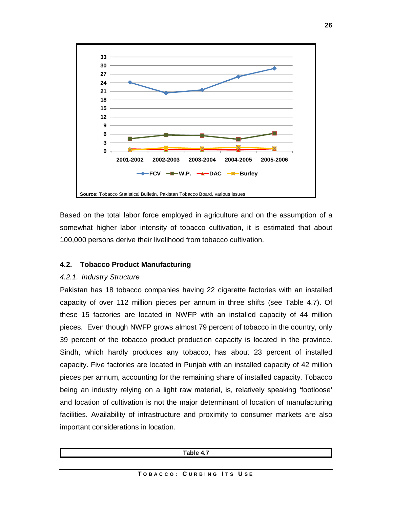

Based on the total labor force employed in agriculture and on the assumption of a somewhat higher labor intensity of tobacco cultivation, it is estimated that about 100,000 persons derive their livelihood from tobacco cultivation.

# **4.2. Tobacco Product Manufacturing**

# *4.2.1. Industry Structure*

Pakistan has 18 tobacco companies having 22 cigarette factories with an installed capacity of over 112 million pieces per annum in three shifts (see Table 4.7). Of these 15 factories are located in NWFP with an installed capacity of 44 million pieces. Even though NWFP grows almost 79 percent of tobacco in the country, only 39 percent of the tobacco product production capacity is located in the province. Sindh, which hardly produces any tobacco, has about 23 percent of installed capacity. Five factories are located in Punjab with an installed capacity of 42 million pieces per annum, accounting for the remaining share of installed capacity. Tobacco being an industry relying on a light raw material, is, relatively speaking 'footloose' and location of cultivation is not the major determinant of location of manufacturing facilities. Availability of infrastructure and proximity to consumer markets are also important considerations in location.

| Table 4.7 |
|-----------|
| $ -$      |
|           |
|           |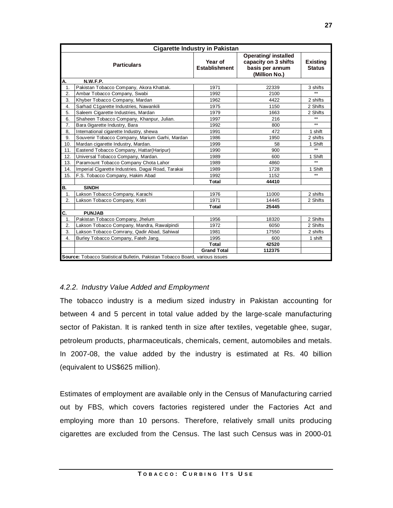|                  | <b>Cigarette Industry in Pakistan</b>                                        |                                 |                                                                                         |                                  |  |  |  |  |
|------------------|------------------------------------------------------------------------------|---------------------------------|-----------------------------------------------------------------------------------------|----------------------------------|--|--|--|--|
|                  | <b>Particulars</b>                                                           | Year of<br><b>Establishment</b> | <b>Operating/ installed</b><br>capacity on 3 shifts<br>basis per annum<br>(Million No.) | <b>Existing</b><br><b>Status</b> |  |  |  |  |
| А.               | <b>N.W.F.P.</b>                                                              |                                 |                                                                                         |                                  |  |  |  |  |
| $\mathbf{1}$ .   | Pakistan Tobacco Company, Akora Khattak.                                     | 1971                            | 22339                                                                                   | 3 shifts                         |  |  |  |  |
| 2.               | Ambar Tobacco Company, Swabi                                                 | 1992                            | 2100                                                                                    | $\star\star$                     |  |  |  |  |
| 3.               | Khyber Tobacco Company, Mardan                                               | 1962                            | 4422                                                                                    | 2 shifts                         |  |  |  |  |
| $\overline{4}$ . | Sarhad C1garette Industries, Nawankili                                       | 1975                            | 1150                                                                                    | 2 Shifts                         |  |  |  |  |
| 5.               | Saleem Cigarette Industries, Mardan                                          | 1979                            | 1663                                                                                    | 2 Shifts                         |  |  |  |  |
| 6.               | Shaheen Tobacco Company, Khanpur, Julian.                                    | 1997                            | 216                                                                                     | $^{\star\star}$                  |  |  |  |  |
| 7.               | Bara Oigarette Industry, Bara                                                | 1992                            | 800                                                                                     | $***$                            |  |  |  |  |
| 8,               | International cigarette Industry, shewa                                      | 1991                            | 472                                                                                     | 1 shift                          |  |  |  |  |
| 9.               | Souvenir Tobacco Company, Marium Garhi, Mardan                               | 1986                            | 1950                                                                                    | 2 shifts                         |  |  |  |  |
| 10.              | Mardan cigarette Industry, Mardan.                                           | 1999                            | 58                                                                                      | 1 Shift                          |  |  |  |  |
| 11.              | Eastend Tobacco Company, Hattar(Haripur)                                     | 1990                            | 900                                                                                     | $\star\star$                     |  |  |  |  |
| 12.              | Universal Tobacco Company, Mardan.                                           | 1989                            | 600                                                                                     | 1 Shift                          |  |  |  |  |
| 13.              | Paramount Tobacco Company Chota Lahor                                        | 1989                            | 4860                                                                                    | $**$                             |  |  |  |  |
| 14.              | Imperial Cigarette Industries. Dagai Road, Tarakai                           | 1989                            | 1728                                                                                    | 1 Shift                          |  |  |  |  |
| 15.              | F.S. Tobacco Company, Hakim Abad                                             | 1992                            | 1152                                                                                    | $\star\star$                     |  |  |  |  |
|                  |                                                                              | Total                           | 44410                                                                                   |                                  |  |  |  |  |
| В.               | <b>SINDH</b>                                                                 |                                 |                                                                                         |                                  |  |  |  |  |
| 1.               | Lakson Tobacco Company, Karachi                                              | 1976                            | 11000                                                                                   | 2 shifts                         |  |  |  |  |
| 2.               | Lakson Tobacco Company, Kotri                                                | 1971                            | 14445                                                                                   | 2 Shifts                         |  |  |  |  |
|                  |                                                                              | Total                           | 25445                                                                                   |                                  |  |  |  |  |
| C.               | <b>PUNJAB</b>                                                                |                                 |                                                                                         |                                  |  |  |  |  |
| 1.               | Pakistan Tobacco Company, Jhelum                                             | 1956                            | 18320                                                                                   | 2 Shifts                         |  |  |  |  |
| 2.               | Lakson Tobacco Company, Mandra, Rawalpindi                                   | 1972                            | 6050                                                                                    | 2 Shifts                         |  |  |  |  |
| 3.               | Lakson Tobacco Comrany, Qadir Abad, Sahiwal                                  | 1981                            | 17550                                                                                   | 2 shifts                         |  |  |  |  |
| $\overline{4}$ . | Burley Tobacco Company, Fateh Jang.                                          | 1995                            | 600                                                                                     | 1 shift                          |  |  |  |  |
|                  |                                                                              | Total                           | 42520                                                                                   |                                  |  |  |  |  |
|                  |                                                                              | <b>Grand Total</b>              | 112375                                                                                  |                                  |  |  |  |  |
|                  | Source: Tobacco Statistical Bulletin, Pakistan Tobacco Board, various issues |                                 |                                                                                         |                                  |  |  |  |  |

# *4.2.2. Industry Value Added and Employment*

The tobacco industry is a medium sized industry in Pakistan accounting for between 4 and 5 percent in total value added by the large-scale manufacturing sector of Pakistan. It is ranked tenth in size after textiles, vegetable ghee, sugar, petroleum products, pharmaceuticals, chemicals, cement, automobiles and metals. In 2007-08, the value added by the industry is estimated at Rs. 40 billion (equivalent to US\$625 million).

Estimates of employment are available only in the Census of Manufacturing carried out by FBS, which covers factories registered under the Factories Act and employing more than 10 persons. Therefore, relatively small units producing cigarettes are excluded from the Census. The last such Census was in 2000-01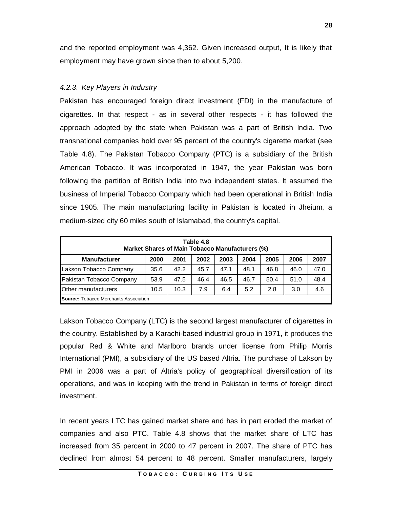and the reported employment was 4,362. Given increased output, It is likely that employment may have grown since then to about 5,200.

# *4.2.3. Key Players in Industry*

Pakistan has encouraged foreign direct investment (FDI) in the manufacture of cigarettes. In that respect - as in several other respects - it has followed the approach adopted by the state when Pakistan was a part of British India. Two transnational companies hold over 95 percent of the country's cigarette market (see Table 4.8). The Pakistan Tobacco Company (PTC) is a subsidiary of the British American Tobacco. It was incorporated in 1947, the year Pakistan was born following the partition of British India into two independent states. It assumed the business of Imperial Tobacco Company which had been operational in British India since 1905. The main manufacturing facility in Pakistan is located in Jheium, a medium-sized city 60 miles south of Islamabad, the country's capital.

| Table 4.8<br>Market Shares of Main Tobacco Manufacturers (%)                         |      |      |      |      |      |      |      |      |
|--------------------------------------------------------------------------------------|------|------|------|------|------|------|------|------|
| <b>Manufacturer</b><br>2001<br>2002<br>2003<br>2005<br>2006<br>2007<br>2000<br>2004  |      |      |      |      |      |      |      |      |
| Lakson Tobacco Company                                                               | 35.6 | 42.2 | 45.7 | 47.1 | 48.1 | 46.8 | 46.0 | 47.0 |
| Pakistan Tobacco Company                                                             | 53.9 | 47.5 | 46.4 | 46.5 | 46.7 | 50.4 | 51.0 | 48.4 |
| <b>Other manufacturers</b><br>10.3<br>7.9<br>5.2<br>4.6<br>2.8<br>10.5<br>6.4<br>3.0 |      |      |      |      |      |      |      |      |
| <b>Source:</b> Tobacco Merchants Association                                         |      |      |      |      |      |      |      |      |

Lakson Tobacco Company (LTC) is the second largest manufacturer of cigarettes in the country. Established by a Karachi-based industrial group in 1971, it produces the popular Red & White and Marlboro brands under license from Philip Morris International (PMI), a subsidiary of the US based Altria. The purchase of Lakson by PMI in 2006 was a part of Altria's policy of geographical diversification of its operations, and was in keeping with the trend in Pakistan in terms of foreign direct investment.

In recent years LTC has gained market share and has in part eroded the market of companies and also PTC. Table 4.8 shows that the market share of LTC has increased from 35 percent in 2000 to 47 percent in 2007. The share of PTC has declined from almost 54 percent to 48 percent. Smaller manufacturers, largely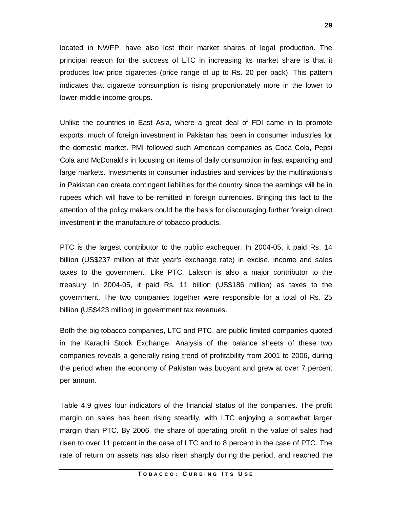located in NWFP, have also lost their market shares of legal production. The principal reason for the success of LTC in increasing its market share is that it produces low price cigarettes (price range of up to Rs. 20 per pack). This pattern indicates that cigarette consumption is rising proportionately more in the lower to lower-middle income groups.

Unlike the countries in East Asia, where a great deal of FDI came in to promote exports, much of foreign investment in Pakistan has been in consumer industries for the domestic market. PMI followed such American companies as Coca Cola, Pepsi Cola and McDonald's in focusing on items of daily consumption in fast expanding and large markets. Investments in consumer industries and services by the multinationals in Pakistan can create contingent liabilities for the country since the earnings will be in rupees which will have to be remitted in foreign currencies. Bringing this fact to the attention of the policy makers could be the basis for discouraging further foreign direct investment in the manufacture of tobacco products.

PTC is the largest contributor to the public exchequer. In 2004-05, it paid Rs. 14 billion (US\$237 million at that year's exchange rate) in excise, income and sales taxes to the government. Like PTC, Lakson is also a major contributor to the treasury. In 2004-05, it paid Rs. 11 billion (US\$186 million) as taxes to the government. The two companies together were responsible for a total of Rs. 25 billion (US\$423 million) in government tax revenues.

Both the big tobacco companies, LTC and PTC, are public limited companies quoted in the Karachi Stock Exchange. Analysis of the balance sheets of these two companies reveals a generally rising trend of profitability from 2001 to 2006, during the period when the economy of Pakistan was buoyant and grew at over 7 percent per annum.

Table 4.9 gives four indicators of the financial status of the companies. The profit margin on sales has been rising steadily, with LTC enjoying a somewhat larger margin than PTC. By 2006, the share of operating profit in the value of sales had risen to over 11 percent in the case of LTC and to 8 percent in the case of PTC. The rate of return on assets has also risen sharply during the period, and reached the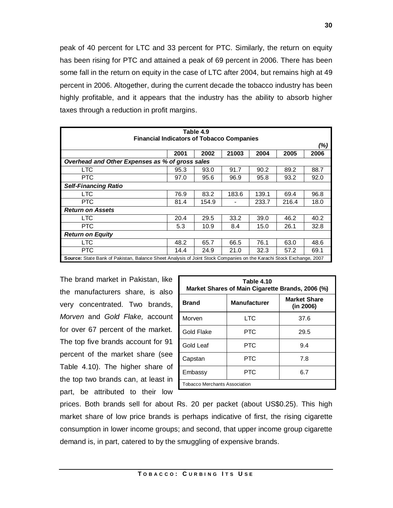peak of 40 percent for LTC and 33 percent for PTC. Similarly, the return on equity has been rising for PTC and attained a peak of 69 percent in 2006. There has been some fall in the return on equity in the case of LTC after 2004, but remains high at 49 percent in 2006. Altogether, during the current decade the tobacco industry has been highly profitable, and it appears that the industry has the ability to absorb higher taxes through a reduction in profit margins.

| Table 4.9                                                                                                           |      |       |       |       |       |      |  |
|---------------------------------------------------------------------------------------------------------------------|------|-------|-------|-------|-------|------|--|
| <b>Financial Indicators of Tobacco Companies</b>                                                                    |      |       |       |       |       |      |  |
|                                                                                                                     |      |       |       |       |       | (%)  |  |
|                                                                                                                     | 2001 | 2002  | 21003 | 2004  | 2005  | 2006 |  |
| Overhead and Other Expenses as % of gross sales                                                                     |      |       |       |       |       |      |  |
| <b>LTC</b>                                                                                                          | 95.3 | 93.0  | 91.7  | 90.2  | 89.2  | 88.7 |  |
| <b>PTC</b>                                                                                                          | 97.0 | 95.6  | 96.9  | 95.8  | 93.2  | 92.0 |  |
| <b>Self-Financing Ratio</b>                                                                                         |      |       |       |       |       |      |  |
| <b>LTC</b>                                                                                                          | 76.9 | 83.2  | 183.6 | 139.1 | 69.4  | 96.8 |  |
| <b>PTC</b>                                                                                                          | 81.4 | 154.9 |       | 233.7 | 216.4 | 18.0 |  |
| <b>Return on Assets</b>                                                                                             |      |       |       |       |       |      |  |
| <b>LTC</b>                                                                                                          | 20.4 | 29.5  | 33.2  | 39.0  | 46.2  | 40.2 |  |
| <b>PTC</b>                                                                                                          | 5.3  | 10.9  | 8.4   | 15.0  | 26.1  | 32.8 |  |
| <b>Return on Equity</b>                                                                                             |      |       |       |       |       |      |  |
| <b>LTC</b>                                                                                                          | 48.2 | 65.7  | 66.5  | 76.1  | 63.0  | 48.6 |  |
| <b>PTC</b>                                                                                                          | 14.4 | 24.9  | 21.0  | 32.3  | 57.2  | 69.1 |  |
| Source: State Bank of Pakistan, Balance Sheet Analysis of Joint Stock Companies on the Karachi Stock Exchange, 2007 |      |       |       |       |       |      |  |

The brand market in Pakistan, like the manufacturers share, is also very concentrated. Two brands, *Morven* and *Gold Flake,* account for over 67 percent of the market. The top five brands account for 91 percent of the market share (see Table 4.10). The higher share of the top two brands can, at least in part, be attributed to their low

| Table 4.10<br>Market Shares of Main Cigarette Brands, 2006 (%) |                     |                                  |  |  |  |  |
|----------------------------------------------------------------|---------------------|----------------------------------|--|--|--|--|
| <b>Brand</b>                                                   | <b>Manufacturer</b> | <b>Market Share</b><br>(in 2006) |  |  |  |  |
| Morven                                                         | LTC                 | 37.6                             |  |  |  |  |
| Gold Flake                                                     | <b>PTC</b>          | 29.5                             |  |  |  |  |
| Gold Leaf                                                      | <b>PTC</b>          | 9.4                              |  |  |  |  |
| Capstan                                                        | <b>PTC</b>          | 7.8                              |  |  |  |  |
| Embassy                                                        | <b>PTC</b>          | 6.7                              |  |  |  |  |
| <b>Tobacco Merchants Association</b>                           |                     |                                  |  |  |  |  |

prices. Both brands sell for about Rs. 20 per packet (about US\$0.25). This high market share of low price brands is perhaps indicative of first, the rising cigarette consumption in lower income groups; and second, that upper income group cigarette demand is, in part, catered to by the smuggling of expensive brands.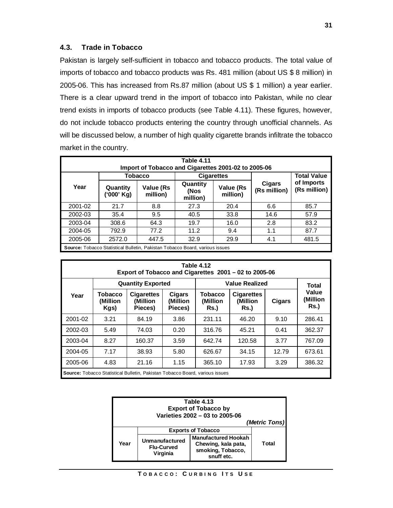# **4.3. Trade in Tobacco**

Pakistan is largely self-sufficient in tobacco and tobacco products. The total value of imports of tobacco and tobacco products was Rs. 481 million (about US \$ 8 million) in 2005-06. This has increased from Rs.87 million (about US \$ 1 million) a year earlier. There is a clear upward trend in the import of tobacco into Pakistan, while no clear trend exists in imports of tobacco products (see Table 4.11). These figures, however, do not include tobacco products entering the country through unofficial channels. As will be discussed below, a number of high quality cigarette brands infiltrate the tobacco market in the country.

| Table 4.11<br>Import of Tobacco and Cigarettes 2001-02 to 2005-06 |                                                                                     |                       |                              |                       |                        |                            |  |  |
|-------------------------------------------------------------------|-------------------------------------------------------------------------------------|-----------------------|------------------------------|-----------------------|------------------------|----------------------------|--|--|
|                                                                   |                                                                                     | <b>Tobacco</b>        |                              | <b>Cigarettes</b>     |                        | <b>Total Value</b>         |  |  |
| Year                                                              | Quantity<br>('000' Kg)                                                              | Value (Rs<br>million) | Quantity<br>(Nos<br>million) | Value (Rs<br>million) | Cigars<br>(Rs million) | of Imports<br>(Rs million) |  |  |
| 2001-02                                                           | 21.7                                                                                | 8.8                   | 27.3                         | 20.4                  | 6.6                    | 85.7                       |  |  |
| 2002-03                                                           | 35.4                                                                                | 9.5                   | 40.5                         | 33.8                  | 14.6                   | 57.9                       |  |  |
| 2003-04                                                           | 308.6                                                                               | 64.3                  | 19.7                         | 16.0                  | 2.8                    | 83.2                       |  |  |
| 2004-05                                                           | 792.9                                                                               | 77.2                  | 11.2                         | 9.4                   | 1.1                    | 87.7                       |  |  |
| 2005-06                                                           | 2572.0                                                                              | 447.5                 | 32.9                         | 29.9                  | 4.1                    | 481.5                      |  |  |
|                                                                   | <b>Source:</b> Tobacco Statistical Bulletin, Pakistan Tobacco Board, various issues |                       |                              |                       |                        |                            |  |  |

| Table 4.12<br>Export of Tobacco and Cigarettes 2001 – 02 to 2005-06 |                                    |                                                                                     |                               |                                    |                                        |        |                                  |
|---------------------------------------------------------------------|------------------------------------|-------------------------------------------------------------------------------------|-------------------------------|------------------------------------|----------------------------------------|--------|----------------------------------|
|                                                                     | <b>Quantity Exported</b>           |                                                                                     |                               | <b>Value Realized</b>              |                                        | Total  |                                  |
| Year                                                                | <b>Tobacco</b><br>(Million<br>Kgs) | <b>Cigarettes</b><br>(Million<br>Pieces)                                            | Cigars<br>(Million<br>Pieces) | <b>Tobacco</b><br>(Million<br>Rs.) | <b>Cigarettes</b><br>(Million)<br>Rs.) | Cigars | Value<br>(Million<br><b>Rs.)</b> |
| 2001-02                                                             | 3.21                               | 84.19                                                                               | 3.86                          | 231.11                             | 46.20                                  | 9.10   | 286.41                           |
| 2002-03                                                             | 5.49                               | 74.03                                                                               | 0.20                          | 316.76                             | 45.21                                  | 0.41   | 362.37                           |
| 2003-04                                                             | 8.27                               | 160.37                                                                              | 3.59                          | 642.74                             | 120.58                                 | 3.77   | 767.09                           |
| 2004-05                                                             | 7.17                               | 38.93                                                                               | 5.80                          | 626.67                             | 34.15                                  | 12.79  | 673.61                           |
| 2005-06                                                             | 4.83                               | 21.16                                                                               | 1.15                          | 365.10                             | 17.93                                  | 3.29   | 386.32                           |
|                                                                     |                                    | <b>Source:</b> Tobacco Statistical Bulletin, Pakistan Tobacco Board, various issues |                               |                                    |                                        |        |                                  |

| Table 4.13<br><b>Export of Tobacco by</b><br>Varieties 2002 - 03 to 2005-06<br>(Metric Tons) |                                                 |                                                                                      |       |  |  |
|----------------------------------------------------------------------------------------------|-------------------------------------------------|--------------------------------------------------------------------------------------|-------|--|--|
|                                                                                              |                                                 |                                                                                      |       |  |  |
| Year                                                                                         | Unmanufactured<br><b>Flu-Curved</b><br>Virginia | <b>Manufactured Hookah</b><br>Chewing, kala pata,<br>smoking, Tobacco,<br>snuff etc. | Total |  |  |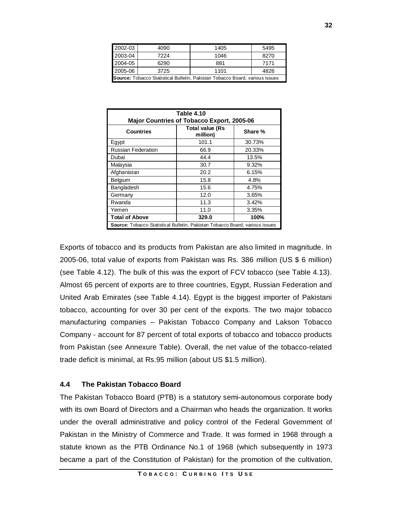| 2002-03                                                                             | 4090 | 1405 | 5495 |  |
|-------------------------------------------------------------------------------------|------|------|------|--|
| 2003-04                                                                             | 7224 | 1046 | 8270 |  |
| 2004-05                                                                             | 6290 | 881  | 7171 |  |
| 2005-06                                                                             | 3725 | 1101 | 4826 |  |
| <b>Source:</b> Tobacco Statistical Bulletin, Pakistan Tobacco Board, various issues |      |      |      |  |

| Table 4.10                                                                          |                                    |         |  |  |
|-------------------------------------------------------------------------------------|------------------------------------|---------|--|--|
| <b>Major Countries of Tobacco Export, 2005-06</b>                                   |                                    |         |  |  |
| <b>Countries</b>                                                                    | <b>Total value (Rs</b><br>million) | Share % |  |  |
| Egypt                                                                               | 101.1                              | 30.73%  |  |  |
| <b>Russian Federation</b>                                                           | 66.9                               | 20.33%  |  |  |
| Dubai                                                                               | 44.4                               | 13.5%   |  |  |
| Malaysia                                                                            | 30.7                               | 9.32%   |  |  |
| Afghanistan                                                                         | 20.2                               | 6.15%   |  |  |
| Belgium                                                                             | 15.8                               | 4.8%    |  |  |
| Bangladesh                                                                          | 15.6                               | 4.75%   |  |  |
| Germany                                                                             | 12.0                               | 3.65%   |  |  |
| Rwanda                                                                              | 11.3                               | 3.42%   |  |  |
| Yemen                                                                               | 11.0                               | 3.35%   |  |  |
| <b>Total of Above</b>                                                               | 329.0                              | 100%    |  |  |
| <b>Source:</b> Tobacco Statistical Bulletin, Pakistan Tobacco Board, various issues |                                    |         |  |  |

Exports of tobacco and its products from Pakistan are also limited in magnitude. In 2005-06, total value of exports from Pakistan was Rs. 386 million (US \$ 6 million) (see Table 4.12). The bulk of this was the export of FCV tobacco (see Table 4.13). Almost 65 percent of exports are to three countries, Egypt, Russian Federation and United Arab Emirates (see Table 4.14). Egypt is the biggest importer of Pakistani tobacco, accounting for over 30 per cent of the exports. The two major tobacco manufacturing companies – Pakistan Tobacco Company and Lakson Tobacco Company - account for 87 percent of total exports of tobacco and tobacco products from Pakistan (see Annexure Table). Overall, the net value of the tobacco-related trade deficit is minimal, at Rs.95 million (about US \$1.5 million).

#### **4.4 The Pakistan Tobacco Board**

The Pakistan Tobacco Board (PTB) is a statutory semi-autonomous corporate body with its own Board of Directors and a Chairman who heads the organization. It works under the overall administrative and policy control of the Federal Government of Pakistan in the Ministry of Commerce and Trade. It was formed in 1968 through a statute known as the PTB Ordinance No.1 of 1968 (which subsequently in 1973 became a part of the Constitution of Pakistan) for the promotion of the cultivation,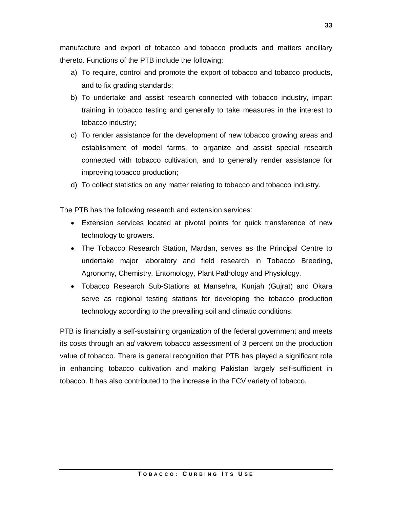manufacture and export of tobacco and tobacco products and matters ancillary thereto. Functions of the PTB include the following:

- a) To require, control and promote the export of tobacco and tobacco products, and to fix grading standards;
- b) To undertake and assist research connected with tobacco industry, impart training in tobacco testing and generally to take measures in the interest to tobacco industry;
- c) To render assistance for the development of new tobacco growing areas and establishment of model farms, to organize and assist special research connected with tobacco cultivation, and to generally render assistance for improving tobacco production;
- d) To collect statistics on any matter relating to tobacco and tobacco industry.

The PTB has the following research and extension services:

- Extension services located at pivotal points for quick transference of new technology to growers.
- The Tobacco Research Station, Mardan, serves as the Principal Centre to undertake major laboratory and field research in Tobacco Breeding, Agronomy, Chemistry, Entomology, Plant Pathology and Physiology.
- Tobacco Research Sub-Stations at Mansehra, Kunjah (Gujrat) and Okara serve as regional testing stations for developing the tobacco production technology according to the prevailing soil and climatic conditions.

PTB is financially a self-sustaining organization of the federal government and meets its costs through an *ad valorem* tobacco assessment of 3 percent on the production value of tobacco. There is general recognition that PTB has played a significant role in enhancing tobacco cultivation and making Pakistan largely self-sufficient in tobacco. It has also contributed to the increase in the FCV variety of tobacco.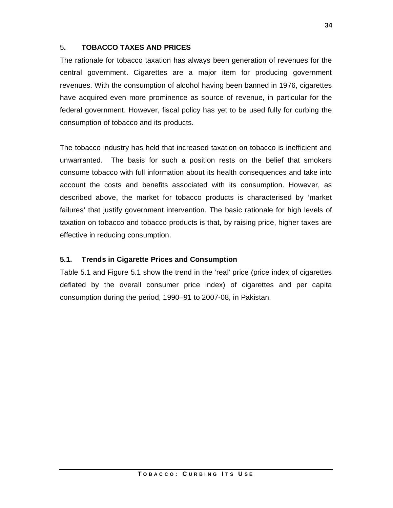# 5**. TOBACCO TAXES AND PRICES**

The rationale for tobacco taxation has always been generation of revenues for the central government. Cigarettes are a major item for producing government revenues. With the consumption of alcohol having been banned in 1976, cigarettes have acquired even more prominence as source of revenue, in particular for the federal government. However, fiscal policy has yet to be used fully for curbing the consumption of tobacco and its products.

The tobacco industry has held that increased taxation on tobacco is inefficient and unwarranted. The basis for such a position rests on the belief that smokers consume tobacco with full information about its health consequences and take into account the costs and benefits associated with its consumption. However, as described above, the market for tobacco products is characterised by 'market failures' that justify government intervention. The basic rationale for high levels of taxation on tobacco and tobacco products is that, by raising price, higher taxes are effective in reducing consumption.

# **5.1. Trends in Cigarette Prices and Consumption**

Table 5.1 and Figure 5.1 show the trend in the 'real' price (price index of cigarettes deflated by the overall consumer price index) of cigarettes and per capita consumption during the period, 1990–91 to 2007-08, in Pakistan.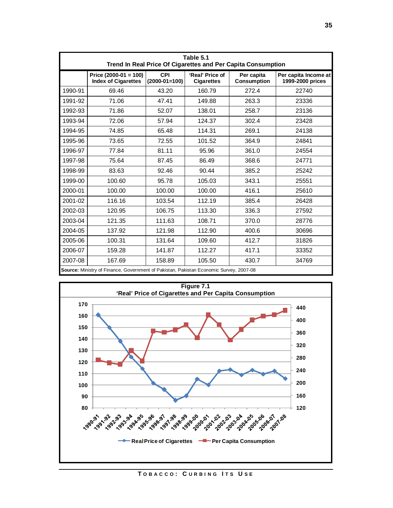|         |                                                                                        |                               |                                      | Table 5.1<br>Trend In Real Price Of Cigarettes and Per Capita Consumption |                                          |  |  |  |  |  |  |  |  |
|---------|----------------------------------------------------------------------------------------|-------------------------------|--------------------------------------|---------------------------------------------------------------------------|------------------------------------------|--|--|--|--|--|--|--|--|
|         | Price $(2000-01 = 100)$<br><b>Index of Cigarettes</b>                                  | <b>CPI</b><br>$(2000-01=100)$ | 'Real' Price of<br><b>Cigarettes</b> | Per capita<br><b>Consumption</b>                                          | Per capita Income at<br>1999-2000 prices |  |  |  |  |  |  |  |  |
| 1990-91 | 69.46                                                                                  | 43.20                         | 160.79                               | 272.4                                                                     | 22740                                    |  |  |  |  |  |  |  |  |
| 1991-92 | 71.06                                                                                  | 47.41                         | 149.88                               | 263.3                                                                     | 23336                                    |  |  |  |  |  |  |  |  |
| 1992-93 | 71.86                                                                                  | 52.07                         | 138.01                               | 258.7                                                                     | 23136                                    |  |  |  |  |  |  |  |  |
| 1993-94 | 72.06                                                                                  | 57.94                         | 124.37                               | 302.4                                                                     | 23428                                    |  |  |  |  |  |  |  |  |
| 1994-95 | 74.85                                                                                  | 65.48                         | 114.31                               | 269.1                                                                     | 24138                                    |  |  |  |  |  |  |  |  |
| 1995-96 | 73.65                                                                                  | 72.55                         | 101.52                               | 364.9                                                                     | 24841                                    |  |  |  |  |  |  |  |  |
| 1996-97 | 77.84                                                                                  | 81.11                         | 95.96                                | 361.0                                                                     | 24554                                    |  |  |  |  |  |  |  |  |
| 1997-98 | 75.64                                                                                  | 87.45                         | 86.49                                | 368.6                                                                     | 24771                                    |  |  |  |  |  |  |  |  |
| 1998-99 | 83.63                                                                                  | 92.46                         | 90.44                                | 385.2                                                                     | 25242                                    |  |  |  |  |  |  |  |  |
| 1999-00 | 100.60                                                                                 | 95.78                         | 105.03                               | 343.1                                                                     | 25551                                    |  |  |  |  |  |  |  |  |
| 2000-01 | 100.00                                                                                 | 100.00                        | 100.00                               | 416.1                                                                     | 25610                                    |  |  |  |  |  |  |  |  |
| 2001-02 | 116.16                                                                                 | 103.54                        | 112.19                               | 385.4                                                                     | 26428                                    |  |  |  |  |  |  |  |  |
| 2002-03 | 120.95                                                                                 | 106.75                        | 113.30                               | 336.3                                                                     | 27592                                    |  |  |  |  |  |  |  |  |
| 2003-04 | 121.35                                                                                 | 111.63                        | 108.71                               | 370.0                                                                     | 28776                                    |  |  |  |  |  |  |  |  |
| 2004-05 | 137.92                                                                                 | 121.98                        | 112.90                               | 400.6                                                                     | 30696                                    |  |  |  |  |  |  |  |  |
| 2005-06 | 100.31                                                                                 | 131.64                        | 109.60                               | 412.7                                                                     | 31826                                    |  |  |  |  |  |  |  |  |
| 2006-07 | 159.28                                                                                 | 141.87                        | 112.27                               | 417.1                                                                     | 33352                                    |  |  |  |  |  |  |  |  |
| 2007-08 | 167.69                                                                                 | 158.89                        | 105.50                               | 430.7                                                                     | 34769                                    |  |  |  |  |  |  |  |  |
|         | Source: Ministry of Finance, Government of Pakistan, Pakistan Economic Survey, 2007-08 |                               |                                      |                                                                           |                                          |  |  |  |  |  |  |  |  |



**T O B A C C O : C U R B I N G I T S U S E**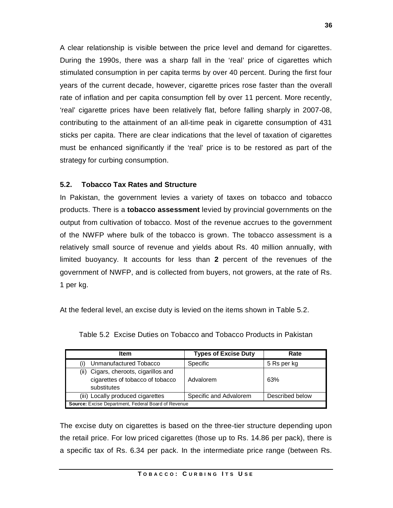A clear relationship is visible between the price level and demand for cigarettes. During the 1990s, there was a sharp fall in the 'real' price of cigarettes which stimulated consumption in per capita terms by over 40 percent. During the first four years of the current decade, however, cigarette prices rose faster than the overall rate of inflation and per capita consumption fell by over 11 percent. More recently, 'real' cigarette prices have been relatively flat, before falling sharply in 2007-08, contributing to the attainment of an all-time peak in cigarette consumption of 431 sticks per capita. There are clear indications that the level of taxation of cigarettes must be enhanced significantly if the 'real' price is to be restored as part of the strategy for curbing consumption.

#### **5.2. Tobacco Tax Rates and Structure**

In Pakistan, the government levies a variety of taxes on tobacco and tobacco products. There is a **tobacco assessment** levied by provincial governments on the output from cultivation of tobacco. Most of the revenue accrues to the government of the NWFP where bulk of the tobacco is grown. The tobacco assessment is a relatively small source of revenue and yields about Rs. 40 million annually, with limited buoyancy. It accounts for less than **2** percent of the revenues of the government of NWFP, and is collected from buyers, not growers, at the rate of Rs. 1 per kg.

At the federal level, an excise duty is levied on the items shown in Table 5.2.

| <b>Item</b>                                                                              | <b>Types of Excise Duty</b> | Rate            |  |  |  |  |
|------------------------------------------------------------------------------------------|-----------------------------|-----------------|--|--|--|--|
| Unmanufactured Tobacco                                                                   | Specific                    | 5 Rs per kg     |  |  |  |  |
| (ii) Cigars, cheroots, cigarillos and<br>cigarettes of tobacco of tobacco<br>substitutes | Advalorem                   | 63%             |  |  |  |  |
| (iii) Locally produced cigarettes                                                        | Specific and Advalorem      | Described below |  |  |  |  |
| Source: Excise Department, Federal Board of Revenue                                      |                             |                 |  |  |  |  |

Table 5.2 Excise Duties on Tobacco and Tobacco Products in Pakistan

The excise duty on cigarettes is based on the three-tier structure depending upon the retail price. For low priced cigarettes (those up to Rs. 14.86 per pack), there is a specific tax of Rs. 6.34 per pack. In the intermediate price range (between Rs.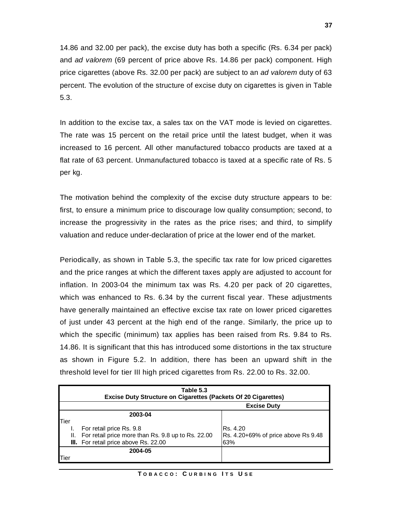14.86 and 32.00 per pack), the excise duty has both a specific (Rs. 6.34 per pack) and *ad valorem* (69 percent of price above Rs. 14.86 per pack) component. High price cigarettes (above Rs. 32.00 per pack) are subject to an *ad valorem* duty of 63 percent. The evolution of the structure of excise duty on cigarettes is given in Table 5.3.

In addition to the excise tax, a sales tax on the VAT mode is levied on cigarettes. The rate was 15 percent on the retail price until the latest budget, when it was increased to 16 percent. All other manufactured tobacco products are taxed at a flat rate of 63 percent. Unmanufactured tobacco is taxed at a specific rate of Rs. 5 per kg.

The motivation behind the complexity of the excise duty structure appears to be: first, to ensure a minimum price to discourage low quality consumption; second, to increase the progressivity in the rates as the price rises; and third, to simplify valuation and reduce under-declaration of price at the lower end of the market.

Periodically, as shown in Table 5.3, the specific tax rate for low priced cigarettes and the price ranges at which the different taxes apply are adjusted to account for inflation. In 2003-04 the minimum tax was Rs. 4.20 per pack of 20 cigarettes, which was enhanced to Rs. 6.34 by the current fiscal year. These adjustments have generally maintained an effective excise tax rate on lower priced cigarettes of just under 43 percent at the high end of the range. Similarly, the price up to which the specific (minimum) tax applies has been raised from Rs. 9.84 to Rs. 14.86. It is significant that this has introduced some distortions in the tax structure as shown in Figure 5.2. In addition, there has been an upward shift in the threshold level for tier III high priced cigarettes from Rs. 22.00 to Rs. 32.00.

|               | Table 5.3<br><b>Excise Duty Structure on Cigarettes (Packets Of 20 Cigarettes)</b> |                                     |  |  |  |  |  |  |
|---------------|------------------------------------------------------------------------------------|-------------------------------------|--|--|--|--|--|--|
|               | <b>Excise Duty</b>                                                                 |                                     |  |  |  |  |  |  |
|               | 2003-04                                                                            |                                     |  |  |  |  |  |  |
| Tier          |                                                                                    |                                     |  |  |  |  |  |  |
|               | For retail price Rs. 9.8                                                           | IRs. 4.20                           |  |  |  |  |  |  |
| Ш.            | For retail price more than Rs. 9.8 up to Rs. 22.00                                 | Rs. 4.20+69% of price above Rs 9.48 |  |  |  |  |  |  |
|               | III. For retail price above Rs. 22.00                                              | 63%                                 |  |  |  |  |  |  |
|               | 2004-05                                                                            |                                     |  |  |  |  |  |  |
| <b>lT</b> ier |                                                                                    |                                     |  |  |  |  |  |  |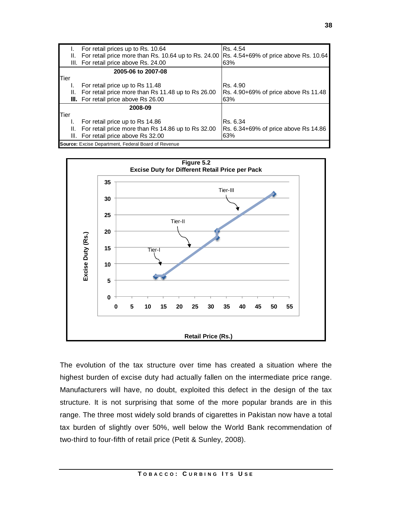|      |    | For retail prices up to Rs. 10.64                                                               | IRs. 4.54                            |
|------|----|-------------------------------------------------------------------------------------------------|--------------------------------------|
|      |    | II. For retail price more than Rs. 10.64 up to Rs. 24.00  Rs. 4.54+69% of price above Rs. 10.64 |                                      |
|      |    | III. For retail price above Rs. 24.00                                                           | 63%                                  |
|      |    | 2005-06 to 2007-08                                                                              |                                      |
| Tier |    |                                                                                                 |                                      |
|      |    | For retail price up to Rs 11.48                                                                 | IRs. 4.90                            |
|      |    | II. For retail price more than Rs 11.48 up to Rs 26.00                                          | Rs. 4.90+69% of price above Rs 11.48 |
|      |    | III. For retail price above Rs 26.00                                                            | 63%                                  |
|      |    | 2008-09                                                                                         |                                      |
| Tier |    |                                                                                                 |                                      |
|      |    | For retail price up to Rs 14.86                                                                 | IRs. 6.34                            |
|      | Ш. | For retail price more than Rs 14.86 up to Rs 32.00                                              | Rs. 6.34+69% of price above Rs 14.86 |
|      |    | III. For retail price above Rs 32.00                                                            | 63%                                  |
|      |    | Source: Excise Department, Federal Board of Revenue                                             |                                      |



The evolution of the tax structure over time has created a situation where the highest burden of excise duty had actually fallen on the intermediate price range. Manufacturers will have, no doubt, exploited this defect in the design of the tax structure. It is not surprising that some of the more popular brands are in this range. The three most widely sold brands of cigarettes in Pakistan now have a total tax burden of slightly over 50%, well below the World Bank recommendation of two-third to four-fifth of retail price (Petit & Sunley, 2008).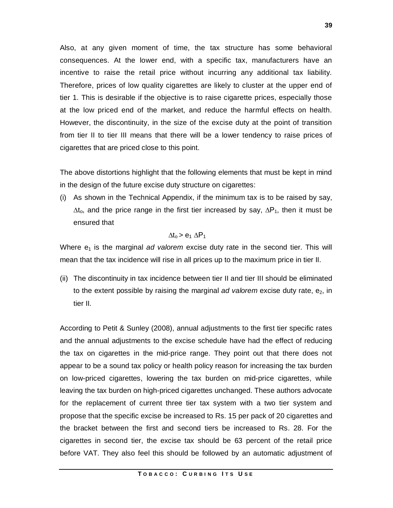Also, at any given moment of time, the tax structure has some behavioral consequences. At the lower end, with a specific tax, manufacturers have an incentive to raise the retail price without incurring any additional tax liability. Therefore, prices of low quality cigarettes are likely to cluster at the upper end of tier 1. This is desirable if the objective is to raise cigarette prices, especially those at the low priced end of the market, and reduce the harmful effects on health. However, the discontinuity, in the size of the excise duty at the point of transition from tier II to tier III means that there will be a lower tendency to raise prices of cigarettes that are priced close to this point.

The above distortions highlight that the following elements that must be kept in mind in the design of the future excise duty structure on cigarettes:

(i) As shown in the Technical Appendix, if the minimum tax is to be raised by say,  $\Delta t_{\rm o}$ , and the price range in the first tier increased by say,  $\Delta P_1$ , then it must be ensured that

#### $\Delta t_0 > e_1 \Delta P_1$

Where  $e_1$  is the marginal *ad valorem* excise duty rate in the second tier. This will mean that the tax incidence will rise in all prices up to the maximum price in tier II.

(ii) The discontinuity in tax incidence between tier II and tier III should be eliminated to the extent possible by raising the marginal *ad valorem* excise duty rate, e2, in tier II.

According to Petit & Sunley (2008), annual adjustments to the first tier specific rates and the annual adjustments to the excise schedule have had the effect of reducing the tax on cigarettes in the mid-price range. They point out that there does not appear to be a sound tax policy or health policy reason for increasing the tax burden on low-priced cigarettes, lowering the tax burden on mid-price cigarettes, while leaving the tax burden on high-priced cigarettes unchanged. These authors advocate for the replacement of current three tier tax system with a two tier system and propose that the specific excise be increased to Rs. 15 per pack of 20 cigarettes and the bracket between the first and second tiers be increased to Rs. 28. For the cigarettes in second tier, the excise tax should be 63 percent of the retail price before VAT. They also feel this should be followed by an automatic adjustment of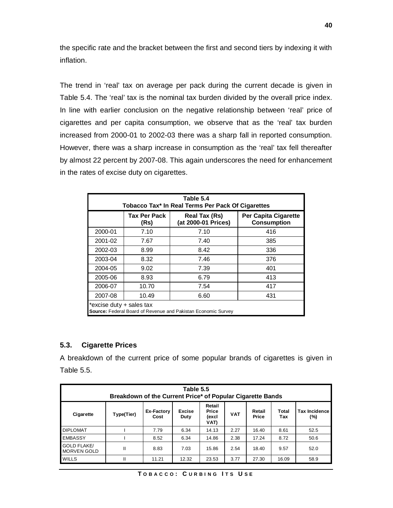the specific rate and the bracket between the first and second tiers by indexing it with inflation.

The trend in 'real' tax on average per pack during the current decade is given in Table 5.4. The 'real' tax is the nominal tax burden divided by the overall price index. In line with earlier conclusion on the negative relationship between 'real' price of cigarettes and per capita consumption, we observe that as the 'real' tax burden increased from 2000-01 to 2002-03 there was a sharp fall in reported consumption. However, there was a sharp increase in consumption as the 'real' tax fell thereafter by almost 22 percent by 2007-08. This again underscores the need for enhancement in the rates of excise duty on cigarettes.

| Table 5.4<br><b>Tobacco Tax* In Real Terms Per Pack Of Cigarettes</b>                     |                             |                                                                                           |     |  |  |  |  |  |  |
|-------------------------------------------------------------------------------------------|-----------------------------|-------------------------------------------------------------------------------------------|-----|--|--|--|--|--|--|
|                                                                                           | <b>Tax Per Pack</b><br>(Rs) | <b>Per Capita Cigarette</b><br>Real Tax (Rs)<br>(at 2000-01 Prices)<br><b>Consumption</b> |     |  |  |  |  |  |  |
| 2000-01                                                                                   | 7.10                        | 7.10                                                                                      | 416 |  |  |  |  |  |  |
| 2001-02                                                                                   | 7.67                        | 7.40                                                                                      | 385 |  |  |  |  |  |  |
| 2002-03                                                                                   | 8.99                        | 8.42                                                                                      | 336 |  |  |  |  |  |  |
| 2003-04                                                                                   | 8.32                        | 7.46                                                                                      | 376 |  |  |  |  |  |  |
| 2004-05                                                                                   | 9.02                        | 7.39                                                                                      | 401 |  |  |  |  |  |  |
| 2005-06                                                                                   | 8.93                        | 6.79                                                                                      | 413 |  |  |  |  |  |  |
| 2006-07                                                                                   | 10.70                       | 7.54                                                                                      | 417 |  |  |  |  |  |  |
| 2007-08                                                                                   | 10.49<br>431<br>6.60        |                                                                                           |     |  |  |  |  |  |  |
| *excise duty + sales tax<br>Source: Federal Board of Revenue and Pakistan Economic Survey |                             |                                                                                           |     |  |  |  |  |  |  |

### **5.3. Cigarette Prices**

A breakdown of the current price of some popular brands of cigarettes is given in Table 5.5.

| Table 5.5<br>Breakdown of the Current Price* of Popular Cigarette Bands |            |                           |                       |                                         |            |                 |              |                             |  |
|-------------------------------------------------------------------------|------------|---------------------------|-----------------------|-----------------------------------------|------------|-----------------|--------------|-----------------------------|--|
| Cigarette                                                               | Type(Tier) | <b>Ex-Factory</b><br>Cost | <b>Excise</b><br>Duty | Retail<br><b>Price</b><br>(excl<br>VAT) | <b>VAT</b> | Retail<br>Price | Total<br>Tax | <b>Tax Incidence</b><br>(%) |  |
| <b>DIPLOMAT</b>                                                         |            | 7.79                      | 6.34                  | 14.13                                   | 2.27       | 16.40           | 8.61         | 52.5                        |  |
| <b>EMBASSY</b>                                                          |            | 8.52                      | 6.34                  | 14.86                                   | 2.38       | 17.24           | 8.72         | 50.6                        |  |
| <b>GOLD FLAKE/</b><br><b>MORVEN GOLD</b>                                | Ш          | 8.83                      | 7.03                  | 15.86                                   | 2.54       | 18.40           | 9.57         | 52.0                        |  |
| <b>WILLS</b>                                                            | Ш          | 11.21                     | 12.32                 | 23.53                                   | 3.77       | 27.30           | 16.09        | 58.9                        |  |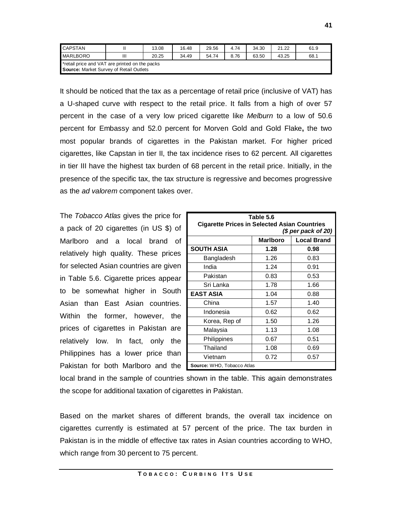| <b>CAPSTAN</b>                                                                            |   | 13.08 | 16.48 | 29.56 | 4.74 | 34.30 | 21.22 | 61.9 |  |
|-------------------------------------------------------------------------------------------|---|-------|-------|-------|------|-------|-------|------|--|
| <b>MARLBORO</b>                                                                           | Ш | 20.25 | 34.49 | 54.74 | 8.76 | 63.50 | 43.25 | 68.1 |  |
| *retail price and VAT are printed on the packs<br>Source: Market Survey of Retail Outlets |   |       |       |       |      |       |       |      |  |

It should be noticed that the tax as a percentage of retail price (inclusive of VAT) has a U-shaped curve with respect to the retail price. It falls from a high of over 57 percent in the case of a very low priced cigarette like *Melburn* to a low of 50.6 percent for Embassy and 52.0 percent for Morven Gold and Gold Flake**,** the two most popular brands of cigarettes in the Pakistan market. For higher priced cigarettes, like Capstan in tier II, the tax incidence rises to 62 percent. All cigarettes in tier III have the highest tax burden of 68 percent in the retail price. Initially, in the presence of the specific tax, the tax structure is regressive and becomes progressive as the *ad valorem* component takes over.

The *Tobacco Atlas* gives the price for a pack of 20 cigarettes (in US \$) of Marlboro and a local brand of relatively high quality. These prices for selected Asian countries are given in Table 5.6. Cigarette prices appear to be somewhat higher in South Asian than East Asian countries. Within the former, however, the prices of cigarettes in Pakistan are relatively low. In fact, only the Philippines has a lower price than Pakistan for both Marlboro and the

| Table 5.6                  |                                                                             |      |  |  |  |  |  |  |  |
|----------------------------|-----------------------------------------------------------------------------|------|--|--|--|--|--|--|--|
|                            | <b>Cigarette Prices in Selected Asian Countries</b><br>$(S$ per pack of 20) |      |  |  |  |  |  |  |  |
|                            | <b>Local Brand</b><br><b>Marlboro</b>                                       |      |  |  |  |  |  |  |  |
| <b>SOUTH ASIA</b>          | 1.28                                                                        | 0.98 |  |  |  |  |  |  |  |
| Bangladesh                 | 1.26                                                                        | 0.83 |  |  |  |  |  |  |  |
| India                      | 1.24                                                                        | 0.91 |  |  |  |  |  |  |  |
| Pakistan                   | 0.83                                                                        | 0.53 |  |  |  |  |  |  |  |
| Sri Lanka                  | 1.78                                                                        | 1.66 |  |  |  |  |  |  |  |
| <b>EAST ASIA</b>           | 1.04                                                                        | 0.88 |  |  |  |  |  |  |  |
| China                      | 1.57                                                                        | 1.40 |  |  |  |  |  |  |  |
| Indonesia                  | 0.62                                                                        | 0.62 |  |  |  |  |  |  |  |
| Korea, Rep of              | 1.50                                                                        | 1.26 |  |  |  |  |  |  |  |
| Malaysia                   | 1.13                                                                        | 1.08 |  |  |  |  |  |  |  |
| Philippines                | 0.67                                                                        | 0.51 |  |  |  |  |  |  |  |
| Thailand                   | 1.08                                                                        | 0.69 |  |  |  |  |  |  |  |
| Vietnam                    | 0.72                                                                        | 0.57 |  |  |  |  |  |  |  |
| Source: WHO, Tobacco Atlas |                                                                             |      |  |  |  |  |  |  |  |

local brand in the sample of countries shown in the table. This again demonstrates the scope for additional taxation of cigarettes in Pakistan.

Based on the market shares of different brands, the overall tax incidence on cigarettes currently is estimated at 57 percent of the price. The tax burden in Pakistan is in the middle of effective tax rates in Asian countries according to WHO, which range from 30 percent to 75 percent.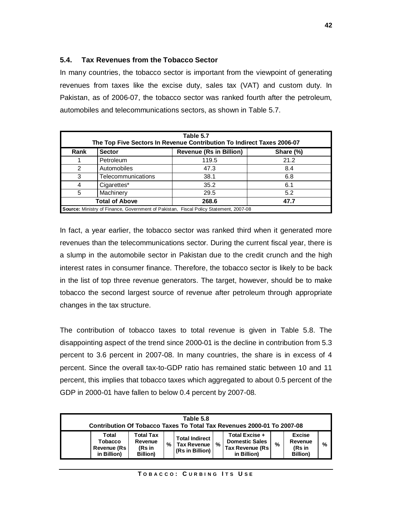### **5.4. Tax Revenues from the Tobacco Sector**

In many countries, the tobacco sector is important from the viewpoint of generating revenues from taxes like the excise duty, sales tax (VAT) and custom duty. In Pakistan, as of 2006-07, the tobacco sector was ranked fourth after the petroleum, automobiles and telecommunications sectors, as shown in Table 5.7.

|               | Table 5.7<br>The Top Five Sectors In Revenue Contribution To Indirect Taxes 2006-07 |                                                                                       |      |  |  |  |  |  |  |  |
|---------------|-------------------------------------------------------------------------------------|---------------------------------------------------------------------------------------|------|--|--|--|--|--|--|--|
| Rank          | <b>Revenue (Rs in Billion)</b><br><b>Sector</b><br>Share (%)                        |                                                                                       |      |  |  |  |  |  |  |  |
|               | Petroleum                                                                           | 119.5                                                                                 | 21.2 |  |  |  |  |  |  |  |
| $\mathcal{P}$ | Automobiles                                                                         | 47.3                                                                                  | 8.4  |  |  |  |  |  |  |  |
| 3             | Telecommunications                                                                  | 38.1                                                                                  | 6.8  |  |  |  |  |  |  |  |
|               | Cigarettes*                                                                         | 35.2                                                                                  | 6.1  |  |  |  |  |  |  |  |
| 5             | Machinery                                                                           | 29.5                                                                                  | 5.2  |  |  |  |  |  |  |  |
|               | <b>Total of Above</b><br>268.6<br>47.7                                              |                                                                                       |      |  |  |  |  |  |  |  |
|               |                                                                                     | Source: Ministry of Finance, Government of Pakistan, Fiscal Policy Statement, 2007-08 |      |  |  |  |  |  |  |  |

In fact, a year earlier, the tobacco sector was ranked third when it generated more revenues than the telecommunications sector. During the current fiscal year, there is a slump in the automobile sector in Pakistan due to the credit crunch and the high interest rates in consumer finance. Therefore, the tobacco sector is likely to be back in the list of top three revenue generators. The target, however, should be to make tobacco the second largest source of revenue after petroleum through appropriate changes in the tax structure.

The contribution of tobacco taxes to total revenue is given in Table 5.8. The disappointing aspect of the trend since 2000-01 is the decline in contribution from 5.3 percent to 3.6 percent in 2007-08. In many countries, the share is in excess of 4 percent. Since the overall tax-to-GDP ratio has remained static between 10 and 11 percent, this implies that tobacco taxes which aggregated to about 0.5 percent of the GDP in 2000-01 have fallen to below 0.4 percent by 2007-08.

| Table 5.8<br>Contribution Of Tobacco Taxes To Total Tax Revenues 2000-01 To 2007-08 |                                                    |   |                                                           |               |                                                                            |   |                                                        |   |  |
|-------------------------------------------------------------------------------------|----------------------------------------------------|---|-----------------------------------------------------------|---------------|----------------------------------------------------------------------------|---|--------------------------------------------------------|---|--|
| Total<br>Tobacco<br>Revenue (Rs<br>in Billion)                                      | Total Tax<br>Revenue<br>(Rs in<br><b>Billion</b> ) | % | <b>Total Indirect</b><br>Tax Revenue  <br>(Rs in Billion) | $\frac{9}{6}$ | Total Excise +<br><b>Domestic Sales</b><br>Tax Revenue (Rs)<br>in Billion) | % | <b>Excise</b><br>Revenue<br>(Rs in<br><b>Billion</b> ) | % |  |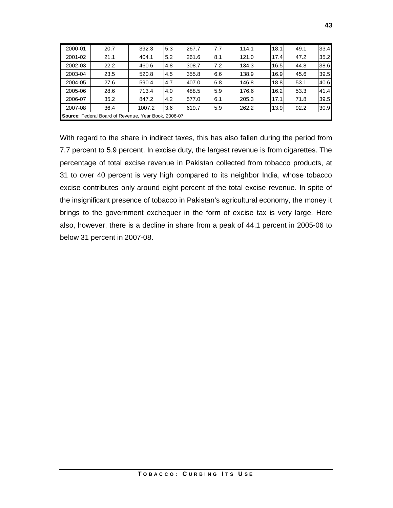| 2000-01 | 20.7                                                 | 392.3  | 5.3              | 267.7 | 7.7 | 114.1 | 18.1 | 49.1 | 33.4 |
|---------|------------------------------------------------------|--------|------------------|-------|-----|-------|------|------|------|
| 2001-02 | 21.1                                                 | 404.1  | 5.2              | 261.6 | 8.1 | 121.0 | 17.4 | 47.2 | 35.2 |
| 2002-03 | 22.2                                                 | 460.6  | 4.8              | 308.7 | 7.2 | 134.3 | 16.5 | 44.8 | 38.6 |
| 2003-04 | 23.5                                                 | 520.8  | 4.5              | 355.8 | 6.6 | 138.9 | 16.9 | 45.6 | 39.5 |
| 2004-05 | 27.6                                                 | 590.4  | 4.7              | 407.0 | 6.8 | 146.8 | 18.8 | 53.1 | 40.6 |
| 2005-06 | 28.6                                                 | 713.4  | 4.0 <sub>l</sub> | 488.5 | 5.9 | 176.6 | 16.2 | 53.3 | 41.4 |
| 2006-07 | 35.2                                                 | 847.2  | 4.2              | 577.0 | 6.1 | 205.3 | 17.1 | 71.8 | 39.5 |
| 2007-08 | 36.4                                                 | 1007.2 | 3.6              | 619.7 | 5.9 | 262.2 | 13.9 | 92.2 | 30.9 |
|         | Source: Federal Board of Revenue, Year Book, 2006-07 |        |                  |       |     |       |      |      |      |

With regard to the share in indirect taxes, this has also fallen during the period from 7.7 percent to 5.9 percent. In excise duty, the largest revenue is from cigarettes. The percentage of total excise revenue in Pakistan collected from tobacco products, at 31 to over 40 percent is very high compared to its neighbor India, whose tobacco excise contributes only around eight percent of the total excise revenue. In spite of the insignificant presence of tobacco in Pakistan's agricultural economy, the money it brings to the government exchequer in the form of excise tax is very large. Here also, however, there is a decline in share from a peak of 44.1 percent in 2005-06 to below 31 percent in 2007-08.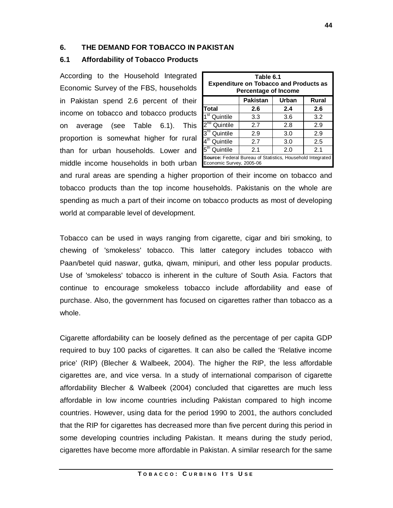### **6. THE DEMAND FOR TOBACCO IN PAKISTAN**

## **6.1 Affordability of Tobacco Products**

According to the Household Integrated Economic Survey of the FBS, households in Pakistan spend 2.6 percent of their income on tobacco and tobacco products on average (see Table 6.1). This proportion is somewhat higher for rural than for urban households. Lower and middle income households in both urban

| Table 6.1<br><b>Expenditure on Tobacco and Products as</b><br><b>Percentage of Income</b> |                                   |     |     |  |  |  |  |  |  |  |
|-------------------------------------------------------------------------------------------|-----------------------------------|-----|-----|--|--|--|--|--|--|--|
|                                                                                           | <b>Pakistan</b><br>Rural<br>Urban |     |     |  |  |  |  |  |  |  |
| Total                                                                                     | 2.6                               | 2.4 | 2.6 |  |  |  |  |  |  |  |
| 1 <sup>st</sup> Quintile                                                                  | 3.3                               | 3.6 | 3.2 |  |  |  |  |  |  |  |
| 2 <sup>nd</sup> Quintile                                                                  | 2.7                               | 2.8 | 2.9 |  |  |  |  |  |  |  |
| 3 <sup>rd</sup> Quintile                                                                  | 2.9                               | 3.0 | 2.9 |  |  |  |  |  |  |  |
| 4 <sup>th</sup> Quintile                                                                  | 2.7                               | 3.0 | 2.5 |  |  |  |  |  |  |  |
| 5 <sup>th</sup> Quintile                                                                  | 2.1<br>2.1<br>2.0                 |     |     |  |  |  |  |  |  |  |
| Source: Federal Bureau of Statistics, Household Integrated<br>Economic Survey, 2005-06    |                                   |     |     |  |  |  |  |  |  |  |

and rural areas are spending a higher proportion of their income on tobacco and tobacco products than the top income households. Pakistanis on the whole are spending as much a part of their income on tobacco products as most of developing world at comparable level of development.

Tobacco can be used in ways ranging from cigarette, cigar and biri smoking, to chewing of 'smokeless' tobacco. This latter category includes tobacco with Paan/betel quid naswar, gutka, qiwam, minipuri, and other less popular products. Use of 'smokeless' tobacco is inherent in the culture of South Asia. Factors that continue to encourage smokeless tobacco include affordability and ease of purchase. Also, the government has focused on cigarettes rather than tobacco as a whole.

Cigarette affordability can be loosely defined as the percentage of per capita GDP required to buy 100 packs of cigarettes. It can also be called the 'Relative income price' (RIP) (Blecher & Walbeek, 2004). The higher the RIP, the less affordable cigarettes are, and vice versa. In a study of international comparison of cigarette affordability Blecher & Walbeek (2004) concluded that cigarettes are much less affordable in low income countries including Pakistan compared to high income countries. However, using data for the period 1990 to 2001, the authors concluded that the RIP for cigarettes has decreased more than five percent during this period in some developing countries including Pakistan. It means during the study period, cigarettes have become more affordable in Pakistan. A similar research for the same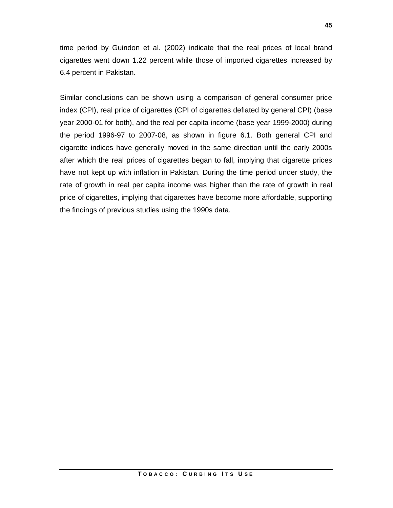time period by Guindon et al. (2002) indicate that the real prices of local brand cigarettes went down 1.22 percent while those of imported cigarettes increased by 6.4 percent in Pakistan.

Similar conclusions can be shown using a comparison of general consumer price index (CPI), real price of cigarettes (CPI of cigarettes deflated by general CPI) (base year 2000-01 for both), and the real per capita income (base year 1999-2000) during the period 1996-97 to 2007-08, as shown in figure 6.1. Both general CPI and cigarette indices have generally moved in the same direction until the early 2000s after which the real prices of cigarettes began to fall, implying that cigarette prices have not kept up with inflation in Pakistan. During the time period under study, the rate of growth in real per capita income was higher than the rate of growth in real price of cigarettes, implying that cigarettes have become more affordable, supporting the findings of previous studies using the 1990s data.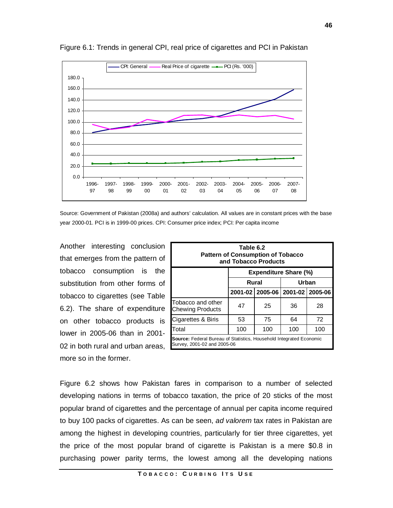

Figure 6.1: Trends in general CPI, real price of cigarettes and PCI in Pakistan

Source: Government of Pakistan (2008a) and authors' calculation. All values are in constant prices with the base year 2000-01. PCI is in 1999-00 prices. CPI: Consumer price index; PCI: Per capita income

Another interesting conclusion that emerges from the pattern of tobacco consumption is the substitution from other forms of tobacco to cigarettes (see Table 6.2). The share of expenditure on other tobacco products is lower in 2005-06 than in 2001- 02 in both rural and urban areas, more so in the former.

| Table 6.2<br><b>Pattern of Consumption of Tobacco</b><br>and Tobacco Products                             |     |                |     |                                       |  |  |  |  |
|-----------------------------------------------------------------------------------------------------------|-----|----------------|-----|---------------------------------------|--|--|--|--|
| <b>Expenditure Share (%)</b>                                                                              |     |                |     |                                       |  |  |  |  |
|                                                                                                           |     | Urban<br>Rural |     |                                       |  |  |  |  |
|                                                                                                           |     |                |     | 2001-02   2005-06   2001-02   2005-06 |  |  |  |  |
| Tobacco and other<br>Chewing Products                                                                     | 47  | 25             | 36  | 28                                    |  |  |  |  |
| Cigarettes & Biris                                                                                        | 53  | 75             | 64  | 72                                    |  |  |  |  |
| Total                                                                                                     | 100 | 100            | 100 | 100                                   |  |  |  |  |
| <b>Source:</b> Federal Bureau of Statistics, Household Integrated Economic<br>Survey, 2001-02 and 2005-06 |     |                |     |                                       |  |  |  |  |

Figure 6.2 shows how Pakistan fares in comparison to a number of selected developing nations in terms of tobacco taxation, the price of 20 sticks of the most popular brand of cigarettes and the percentage of annual per capita income required to buy 100 packs of cigarettes. As can be seen, *ad valorem* tax rates in Pakistan are among the highest in developing countries, particularly for tier three cigarettes, yet the price of the most popular brand of cigarette is Pakistan is a mere \$0.8 in purchasing power parity terms, the lowest among all the developing nations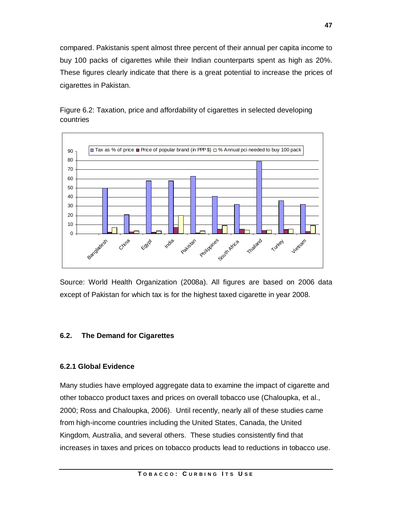compared. Pakistanis spent almost three percent of their annual per capita income to buy 100 packs of cigarettes while their Indian counterparts spent as high as 20%. These figures clearly indicate that there is a great potential to increase the prices of cigarettes in Pakistan.





Source: World Health Organization (2008a). All figures are based on 2006 data except of Pakistan for which tax is for the highest taxed cigarette in year 2008.

## **6.2. The Demand for Cigarettes**

## **6.2.1 Global Evidence**

Many studies have employed aggregate data to examine the impact of cigarette and other tobacco product taxes and prices on overall tobacco use (Chaloupka, et al., 2000; Ross and Chaloupka, 2006). Until recently, nearly all of these studies came from high-income countries including the United States, Canada, the United Kingdom, Australia, and several others. These studies consistently find that increases in taxes and prices on tobacco products lead to reductions in tobacco use.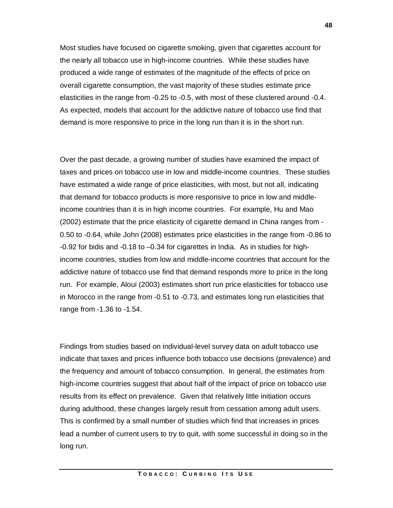Most studies have focused on cigarette smoking, given that cigarettes account for the nearly all tobacco use in high-income countries. While these studies have produced a wide range of estimates of the magnitude of the effects of price on overall cigarette consumption, the vast majority of these studies estimate price elasticities in the range from -0.25 to -0.5, with most of these clustered around -0.4. As expected, models that account for the addictive nature of tobacco use find that demand is more responsive to price in the long run than it is in the short run.

Over the past decade, a growing number of studies have examined the impact of taxes and prices on tobacco use in low and middle-income countries. These studies have estimated a wide range of price elasticities, with most, but not all, indicating that demand for tobacco products is more responsive to price in low and middleincome countries than it is in high income countries. For example, Hu and Mao (2002) estimate that the price elasticity of cigarette demand in China ranges from - 0.50 to -0.64, while John (2008) estimates price elasticities in the range from -0.86 to -0.92 for bidis and -0.18 to –0.34 for cigarettes in India. As in studies for highincome countries, studies from low and middle-income countries that account for the addictive nature of tobacco use find that demand responds more to price in the long run. For example, Aloui (2003) estimates short run price elasticities for tobacco use in Morocco in the range from -0.51 to -0.73, and estimates long run elasticities that range from -1.36 to -1.54.

Findings from studies based on individual-level survey data on adult tobacco use indicate that taxes and prices influence both tobacco use decisions (prevalence) and the frequency and amount of tobacco consumption. In general, the estimates from high-income countries suggest that about half of the impact of price on tobacco use results from its effect on prevalence. Given that relatively little initiation occurs during adulthood, these changes largely result from cessation among adult users. This is confirmed by a small number of studies which find that increases in prices lead a number of current users to try to quit, with some successful in doing so in the long run.

**48**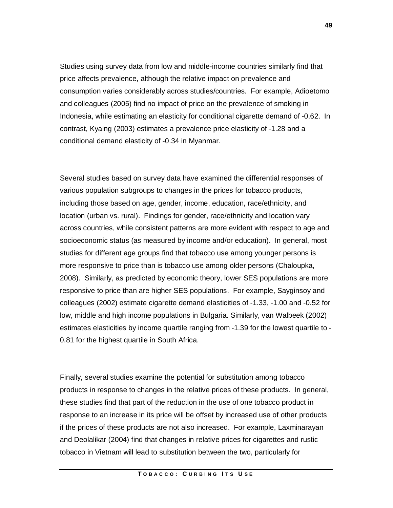Studies using survey data from low and middle-income countries similarly find that price affects prevalence, although the relative impact on prevalence and consumption varies considerably across studies/countries. For example, Adioetomo and colleagues (2005) find no impact of price on the prevalence of smoking in Indonesia, while estimating an elasticity for conditional cigarette demand of -0.62. In contrast, Kyaing (2003) estimates a prevalence price elasticity of -1.28 and a conditional demand elasticity of -0.34 in Myanmar.

Several studies based on survey data have examined the differential responses of various population subgroups to changes in the prices for tobacco products, including those based on age, gender, income, education, race/ethnicity, and location (urban vs. rural). Findings for gender, race/ethnicity and location vary across countries, while consistent patterns are more evident with respect to age and socioeconomic status (as measured by income and/or education). In general, most studies for different age groups find that tobacco use among younger persons is more responsive to price than is tobacco use among older persons (Chaloupka, 2008). Similarly, as predicted by economic theory, lower SES populations are more responsive to price than are higher SES populations. For example, Sayginsoy and colleagues (2002) estimate cigarette demand elasticities of -1.33, -1.00 and -0.52 for low, middle and high income populations in Bulgaria. Similarly, van Walbeek (2002) estimates elasticities by income quartile ranging from -1.39 for the lowest quartile to - 0.81 for the highest quartile in South Africa.

Finally, several studies examine the potential for substitution among tobacco products in response to changes in the relative prices of these products. In general, these studies find that part of the reduction in the use of one tobacco product in response to an increase in its price will be offset by increased use of other products if the prices of these products are not also increased. For example, Laxminarayan and Deolalikar (2004) find that changes in relative prices for cigarettes and rustic tobacco in Vietnam will lead to substitution between the two, particularly for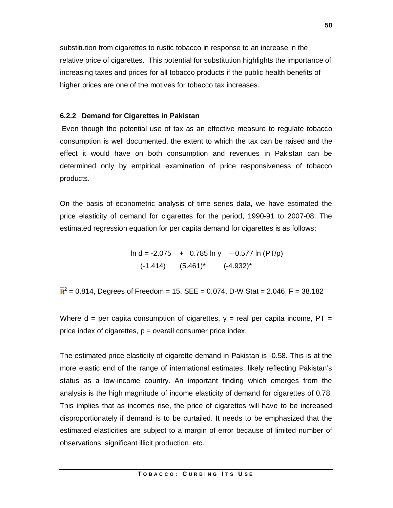substitution from cigarettes to rustic tobacco in response to an increase in the relative price of cigarettes. This potential for substitution highlights the importance of increasing taxes and prices for all tobacco products if the public health benefits of higher prices are one of the motives for tobacco tax increases.

#### **6.2.2 Demand for Cigarettes in Pakistan**

Even though the potential use of tax as an effective measure to regulate tobacco consumption is well documented, the extent to which the tax can be raised and the effect it would have on both consumption and revenues in Pakistan can be determined only by empirical examination of price responsiveness of tobacco products.

On the basis of econometric analysis of time series data, we have estimated the price elasticity of demand for cigarettes for the period, 1990-91 to 2007-08. The estimated regression equation for per capita demand for cigarettes is as follows:

> $\ln d = -2.075 + 0.785 \ln y - 0.577 \ln (PT/p)$  $(-1.414)$   $(5.461)^*$   $(-4.932)^*$

 $2<sup>2</sup>$  = 0.814, Degrees of Freedom = 15, SEE = 0.074, D-W Stat = 2.046, F = 38.182

Where  $d =$  per capita consumption of cigarettes,  $y =$  real per capita income, PT = price index of cigarettes,  $p =$  overall consumer price index.

The estimated price elasticity of cigarette demand in Pakistan is -0.58. This is at the more elastic end of the range of international estimates, likely reflecting Pakistan's status as a low-income country. An important finding which emerges from the analysis is the high magnitude of income elasticity of demand for cigarettes of 0.78. This implies that as incomes rise, the price of cigarettes will have to be increased disproportionately if demand is to be curtailed. It needs to be emphasized that the estimated elasticities are subject to a margin of error because of limited number of observations, significant illicit production, etc.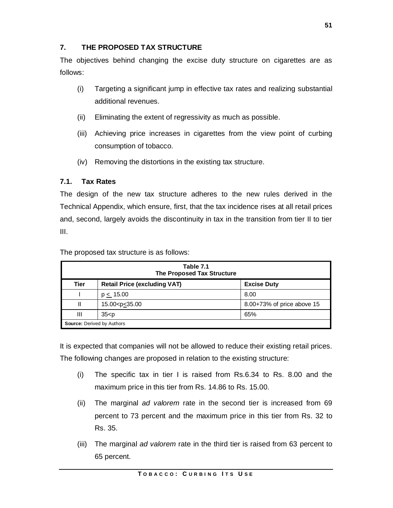## **7. THE PROPOSED TAX STRUCTURE**

The objectives behind changing the excise duty structure on cigarettes are as follows:

- (i) Targeting a significant jump in effective tax rates and realizing substantial additional revenues.
- (ii) Eliminating the extent of regressivity as much as possible.
- (iii) Achieving price increases in cigarettes from the view point of curbing consumption of tobacco.
- (iv) Removing the distortions in the existing tax structure.

## **7.1. Tax Rates**

The design of the new tax structure adheres to the new rules derived in the Technical Appendix, which ensure, first, that the tax incidence rises at all retail prices and, second, largely avoids the discontinuity in tax in the transition from tier II to tier III.

The proposed tax structure is as follows:

|                    | Table 7.1<br><b>The Proposed Tax Structure</b> |                            |  |  |  |  |  |  |  |  |
|--------------------|------------------------------------------------|----------------------------|--|--|--|--|--|--|--|--|
| <b>Tier</b>        | <b>Retail Price (excluding VAT)</b>            | <b>Excise Duty</b>         |  |  |  |  |  |  |  |  |
|                    | $p \le 15.00$                                  | 8.00                       |  |  |  |  |  |  |  |  |
| Ш                  | 15.00 <p<u>&lt;35.00</p<u>                     | 8.00+73% of price above 15 |  |  |  |  |  |  |  |  |
| Ш<br>$35-p$<br>65% |                                                |                            |  |  |  |  |  |  |  |  |
|                    | <b>Source: Derived by Authors</b>              |                            |  |  |  |  |  |  |  |  |

It is expected that companies will not be allowed to reduce their existing retail prices. The following changes are proposed in relation to the existing structure:

- (i) The specific tax in tier I is raised from Rs.6.34 to Rs. 8.00 and the maximum price in this tier from Rs. 14.86 to Rs. 15.00.
- (ii) The marginal *ad valorem* rate in the second tier is increased from 69 percent to 73 percent and the maximum price in this tier from Rs. 32 to Rs. 35.
- (iii) The marginal *ad valorem* rate in the third tier is raised from 63 percent to 65 percent.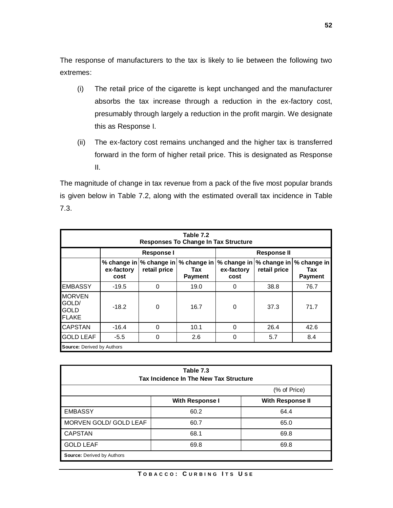The response of manufacturers to the tax is likely to lie between the following two extremes:

- (i) The retail price of the cigarette is kept unchanged and the manufacturer absorbs the tax increase through a reduction in the ex-factory cost, presumably through largely a reduction in the profit margin. We designate this as Response I.
- (ii) The ex-factory cost remains unchanged and the higher tax is transferred forward in the form of higher retail price. This is designated as Response II.

The magnitude of change in tax revenue from a pack of the five most popular brands is given below in Table 7.2, along with the estimated overall tax incidence in Table 7.3.

| Table 7.2<br><b>Responses To Change In Tax Structure</b>                                                                                                                                 |                                   |                   |      |                    |      |      |  |  |  |  |
|------------------------------------------------------------------------------------------------------------------------------------------------------------------------------------------|-----------------------------------|-------------------|------|--------------------|------|------|--|--|--|--|
|                                                                                                                                                                                          |                                   | <b>Response I</b> |      | <b>Response II</b> |      |      |  |  |  |  |
| % change in   % change in   % change in<br>% change in   % change in<br>% change in<br>retail price<br>ex-factory<br>retail price<br>ex-factory<br>Tax<br><b>Payment</b><br>cost<br>cost |                                   |                   |      |                    |      |      |  |  |  |  |
| <b>EMBASSY</b>                                                                                                                                                                           | $-19.5$                           | 0                 | 19.0 | 0                  | 38.8 | 76.7 |  |  |  |  |
| <b>MORVEN</b><br>GOLD/<br><b>GOLD</b><br><b>FLAKE</b>                                                                                                                                    | $-18.2$                           | $\Omega$          | 16.7 | $\Omega$           | 37.3 | 71.7 |  |  |  |  |
| <b>CAPSTAN</b>                                                                                                                                                                           | $-16.4$                           | $\Omega$          | 10.1 | $\Omega$           | 26.4 | 42.6 |  |  |  |  |
| <b>GOLD LEAF</b>                                                                                                                                                                         | $-5.5$                            | 0                 | 2.6  | $\Omega$           | 5.7  | 8.4  |  |  |  |  |
|                                                                                                                                                                                          | <b>Source: Derived by Authors</b> |                   |      |                    |      |      |  |  |  |  |

| Table 7.3<br>Tax Incidence In The New Tax Structure |                        |                         |  |  |  |  |  |  |
|-----------------------------------------------------|------------------------|-------------------------|--|--|--|--|--|--|
| (% of Price)                                        |                        |                         |  |  |  |  |  |  |
|                                                     | <b>With Response I</b> | <b>With Response II</b> |  |  |  |  |  |  |
| <b>EMBASSY</b>                                      | 60.2                   | 64.4                    |  |  |  |  |  |  |
| MORVEN GOLD/ GOLD LEAF                              | 60.7                   | 65.0                    |  |  |  |  |  |  |
| <b>CAPSTAN</b>                                      | 68.1                   | 69.8                    |  |  |  |  |  |  |
| <b>GOLD LEAF</b>                                    | 69.8                   | 69.8                    |  |  |  |  |  |  |
| <b>Source: Derived by Authors</b>                   |                        |                         |  |  |  |  |  |  |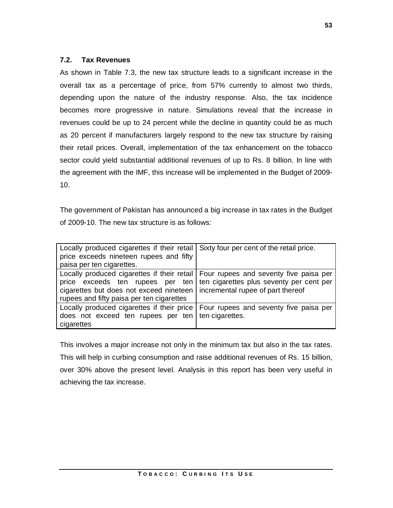### **7.2. Tax Revenues**

As shown in Table 7.3, the new tax structure leads to a significant increase in the overall tax as a percentage of price, from 57% currently to almost two thirds, depending upon the nature of the industry response. Also, the tax incidence becomes more progressive in nature. Simulations reveal that the increase in revenues could be up to 24 percent while the decline in quantity could be as much as 20 percent if manufacturers largely respond to the new tax structure by raising their retail prices. Overall, implementation of the tax enhancement on the tobacco sector could yield substantial additional revenues of up to Rs. 8 billion. In line with the agreement with the IMF, this increase will be implemented in the Budget of 2009- 10.

The government of Pakistan has announced a big increase in tax rates in the Budget of 2009-10. The new tax structure is as follows:

| Locally produced cigarettes if their retail   Sixty four per cent of the retail price.<br>price exceeds nineteen rupees and fifty<br>paisa per ten cigarettes.                                                                                            |                                   |
|-----------------------------------------------------------------------------------------------------------------------------------------------------------------------------------------------------------------------------------------------------------|-----------------------------------|
| Locally produced cigarettes if their retail   Four rupees and seventy five paisa per<br>price exceeds ten rupees per ten ten cigarettes plus seventy per cent per<br>cigarettes but does not exceed nineteen<br>rupees and fifty paisa per ten cigarettes | incremental rupee of part thereof |
| Locally produced cigarettes if their price   Four rupees and seventy five paisa per<br>does not exceed ten rupees per ten   ten cigarettes.<br>cigarettes                                                                                                 |                                   |

This involves a major increase not only in the minimum tax but also in the tax rates. This will help in curbing consumption and raise additional revenues of Rs. 15 billion, over 30% above the present level. Analysis in this report has been very useful in achieving the tax increase.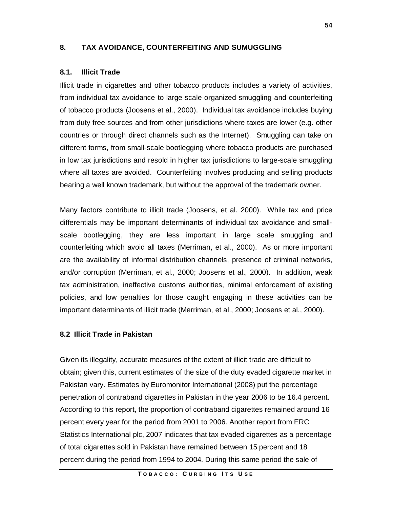### **8. TAX AVOIDANCE, COUNTERFEITING AND SUMUGGLING**

#### **8.1. Illicit Trade**

Illicit trade in cigarettes and other tobacco products includes a variety of activities, from individual tax avoidance to large scale organized smuggling and counterfeiting of tobacco products (Joosens et al., 2000). Individual tax avoidance includes buying from duty free sources and from other jurisdictions where taxes are lower (e.g. other countries or through direct channels such as the Internet). Smuggling can take on different forms, from small-scale bootlegging where tobacco products are purchased in low tax jurisdictions and resold in higher tax jurisdictions to large-scale smuggling where all taxes are avoided. Counterfeiting involves producing and selling products bearing a well known trademark, but without the approval of the trademark owner.

Many factors contribute to illicit trade (Joosens, et al. 2000). While tax and price differentials may be important determinants of individual tax avoidance and smallscale bootlegging, they are less important in large scale smuggling and counterfeiting which avoid all taxes (Merriman, et al., 2000). As or more important are the availability of informal distribution channels, presence of criminal networks, and/or corruption (Merriman, et al., 2000; Joosens et al., 2000). In addition, weak tax administration, ineffective customs authorities, minimal enforcement of existing policies, and low penalties for those caught engaging in these activities can be important determinants of illicit trade (Merriman, et al., 2000; Joosens et al., 2000).

#### **8.2 Illicit Trade in Pakistan**

Given its illegality, accurate measures of the extent of illicit trade are difficult to obtain; given this, current estimates of the size of the duty evaded cigarette market in Pakistan vary. Estimates by Euromonitor International (2008) put the percentage penetration of contraband cigarettes in Pakistan in the year 2006 to be 16.4 percent. According to this report, the proportion of contraband cigarettes remained around 16 percent every year for the period from 2001 to 2006. Another report from ERC Statistics International plc, 2007 indicates that tax evaded cigarettes as a percentage of total cigarettes sold in Pakistan have remained between 15 percent and 18 percent during the period from 1994 to 2004. During this same period the sale of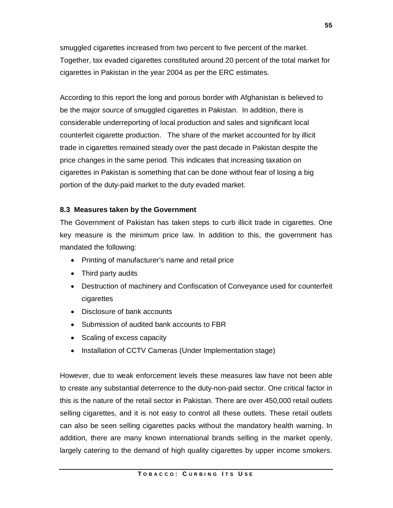smuggled cigarettes increased from two percent to five percent of the market. Together, tax evaded cigarettes constituted around 20 percent of the total market for cigarettes in Pakistan in the year 2004 as per the ERC estimates.

According to this report the long and porous border with Afghanistan is believed to be the major source of smuggled cigarettes in Pakistan. In addition, there is considerable underreporting of local production and sales and significant local counterfeit cigarette production. The share of the market accounted for by illicit trade in cigarettes remained steady over the past decade in Pakistan despite the price changes in the same period. This indicates that increasing taxation on cigarettes in Pakistan is something that can be done without fear of losing a big portion of the duty-paid market to the duty evaded market.

#### **8.3 Measures taken by the Government**

The Government of Pakistan has taken steps to curb illicit trade in cigarettes. One key measure is the minimum price law. In addition to this, the government has mandated the following:

- Printing of manufacturer's name and retail price
- Third party audits
- Destruction of machinery and Confiscation of Conveyance used for counterfeit cigarettes
- Disclosure of bank accounts
- Submission of audited bank accounts to FBR
- Scaling of excess capacity
- Installation of CCTV Cameras (Under Implementation stage)

However, due to weak enforcement levels these measures law have not been able to create any substantial deterrence to the duty-non-paid sector. One critical factor in this is the nature of the retail sector in Pakistan. There are over 450,000 retail outlets selling cigarettes, and it is not easy to control all these outlets. These retail outlets can also be seen selling cigarettes packs without the mandatory health warning. In addition, there are many known international brands selling in the market openly, largely catering to the demand of high quality cigarettes by upper income smokers.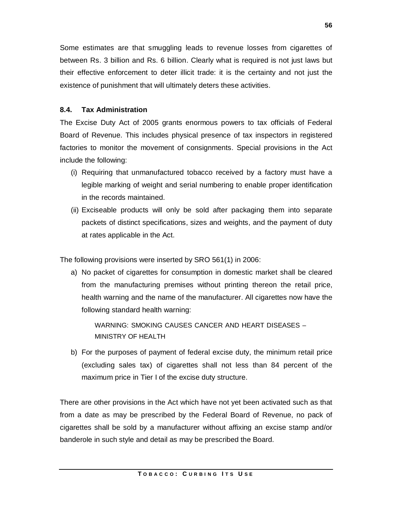Some estimates are that smuggling leads to revenue losses from cigarettes of between Rs. 3 billion and Rs. 6 billion. Clearly what is required is not just laws but their effective enforcement to deter illicit trade: it is the certainty and not just the existence of punishment that will ultimately deters these activities.

## **8.4. Tax Administration**

The Excise Duty Act of 2005 grants enormous powers to tax officials of Federal Board of Revenue. This includes physical presence of tax inspectors in registered factories to monitor the movement of consignments. Special provisions in the Act include the following:

- (i) Requiring that unmanufactured tobacco received by a factory must have a legible marking of weight and serial numbering to enable proper identification in the records maintained.
- (ii) Exciseable products will only be sold after packaging them into separate packets of distinct specifications, sizes and weights, and the payment of duty at rates applicable in the Act.

The following provisions were inserted by SRO 561(1) in 2006:

a) No packet of cigarettes for consumption in domestic market shall be cleared from the manufacturing premises without printing thereon the retail price, health warning and the name of the manufacturer. All cigarettes now have the following standard health warning:

WARNING: SMOKING CAUSES CANCER AND HEART DISEASES – MINISTRY OF HEALTH

b) For the purposes of payment of federal excise duty, the minimum retail price (excluding sales tax) of cigarettes shall not less than 84 percent of the maximum price in Tier I of the excise duty structure.

There are other provisions in the Act which have not yet been activated such as that from a date as may be prescribed by the Federal Board of Revenue, no pack of cigarettes shall be sold by a manufacturer without affixing an excise stamp and/or banderole in such style and detail as may be prescribed the Board.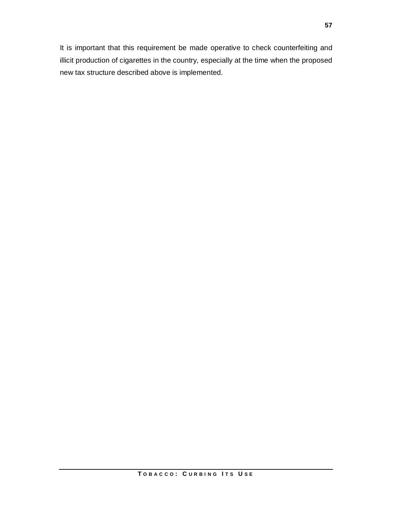It is important that this requirement be made operative to check counterfeiting and illicit production of cigarettes in the country, especially at the time when the proposed new tax structure described above is implemented.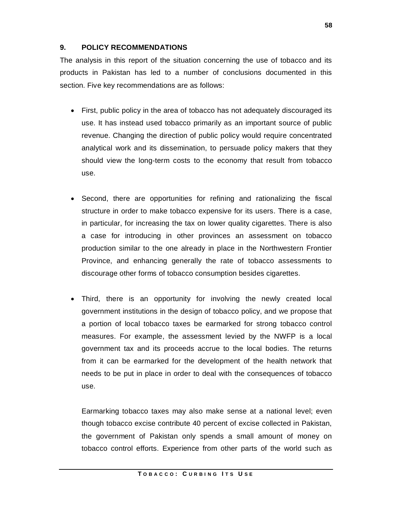## **9. POLICY RECOMMENDATIONS**

The analysis in this report of the situation concerning the use of tobacco and its products in Pakistan has led to a number of conclusions documented in this section. Five key recommendations are as follows:

- First, public policy in the area of tobacco has not adequately discouraged its use. It has instead used tobacco primarily as an important source of public revenue. Changing the direction of public policy would require concentrated analytical work and its dissemination, to persuade policy makers that they should view the long-term costs to the economy that result from tobacco use.
- Second, there are opportunities for refining and rationalizing the fiscal structure in order to make tobacco expensive for its users. There is a case, in particular, for increasing the tax on lower quality cigarettes. There is also a case for introducing in other provinces an assessment on tobacco production similar to the one already in place in the Northwestern Frontier Province, and enhancing generally the rate of tobacco assessments to discourage other forms of tobacco consumption besides cigarettes.
- Third, there is an opportunity for involving the newly created local government institutions in the design of tobacco policy, and we propose that a portion of local tobacco taxes be earmarked for strong tobacco control measures. For example, the assessment levied by the NWFP is a local government tax and its proceeds accrue to the local bodies. The returns from it can be earmarked for the development of the health network that needs to be put in place in order to deal with the consequences of tobacco use.

Earmarking tobacco taxes may also make sense at a national level; even though tobacco excise contribute 40 percent of excise collected in Pakistan, the government of Pakistan only spends a small amount of money on tobacco control efforts. Experience from other parts of the world such as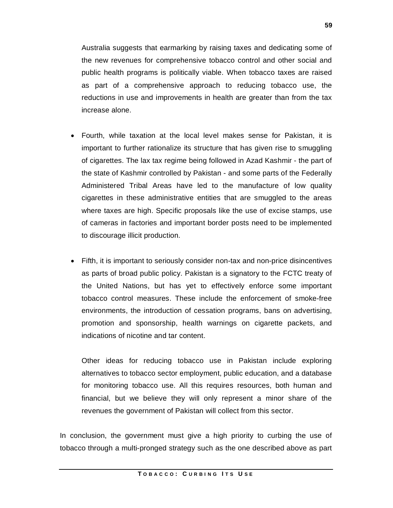public health programs is politically viable. When tobacco taxes are raised as part of a comprehensive approach to reducing tobacco use, the reductions in use and improvements in health are greater than from the tax increase alone.

- Fourth, while taxation at the local level makes sense for Pakistan, it is important to further rationalize its structure that has given rise to smuggling of cigarettes. The lax tax regime being followed in Azad Kashmir - the part of the state of Kashmir controlled by Pakistan - and some parts of the Federally Administered Tribal Areas have led to the manufacture of low quality cigarettes in these administrative entities that are smuggled to the areas where taxes are high. Specific proposals like the use of excise stamps, use of cameras in factories and important border posts need to be implemented to discourage illicit production.
- Fifth, it is important to seriously consider non-tax and non-price disincentives as parts of broad public policy. Pakistan is a signatory to the FCTC treaty of the United Nations, but has yet to effectively enforce some important tobacco control measures. These include the enforcement of smoke-free environments, the introduction of cessation programs, bans on advertising, promotion and sponsorship, health warnings on cigarette packets, and indications of nicotine and tar content.

Other ideas for reducing tobacco use in Pakistan include exploring alternatives to tobacco sector employment, public education, and a database for monitoring tobacco use. All this requires resources, both human and financial, but we believe they will only represent a minor share of the revenues the government of Pakistan will collect from this sector.

In conclusion, the government must give a high priority to curbing the use of tobacco through a multi-pronged strategy such as the one described above as part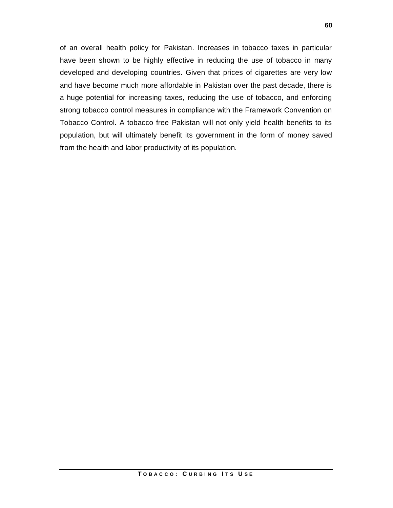of an overall health policy for Pakistan. Increases in tobacco taxes in particular have been shown to be highly effective in reducing the use of tobacco in many developed and developing countries. Given that prices of cigarettes are very low and have become much more affordable in Pakistan over the past decade, there is a huge potential for increasing taxes, reducing the use of tobacco, and enforcing strong tobacco control measures in compliance with the Framework Convention on Tobacco Control. A tobacco free Pakistan will not only yield health benefits to its population, but will ultimately benefit its government in the form of money saved from the health and labor productivity of its population.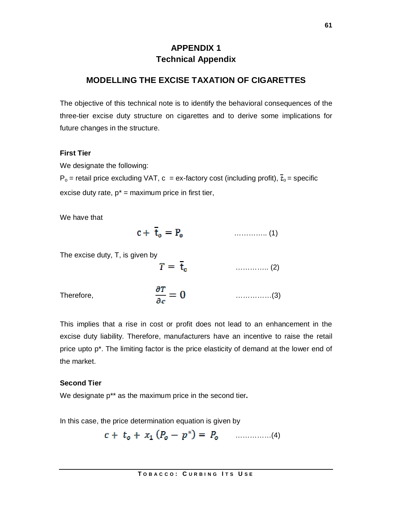## **APPENDIX 1 Technical Appendix**

## **MODELLING THE EXCISE TAXATION OF CIGARETTES**

The objective of this technical note is to identify the behavioral consequences of the three-tier excise duty structure on cigarettes and to derive some implications for future changes in the structure.

#### **First Tier**

We designate the following:

 $P_o$  = retail price excluding VAT, c = ex-factory cost (including profit),  $\bar{t}_o$  = specific excise duty rate,  $p^*$  = maximum price in first tier,

We have that

$$
c + \bar{t}_o = P_o \tag{1}
$$

The excise duty, T, is given by

 $T = \bar{t}_n$  (2)

Therefore, ……………(3)

This implies that a rise in cost or profit does not lead to an enhancement in the excise duty liability. Therefore, manufacturers have an incentive to raise the retail price upto p<sup>\*</sup>. The limiting factor is the price elasticity of demand at the lower end of the market.

### **Second Tier**

We designate p\*\* as the maximum price in the second tier**.** 

In this case, the price determination equation is given by

……………(4)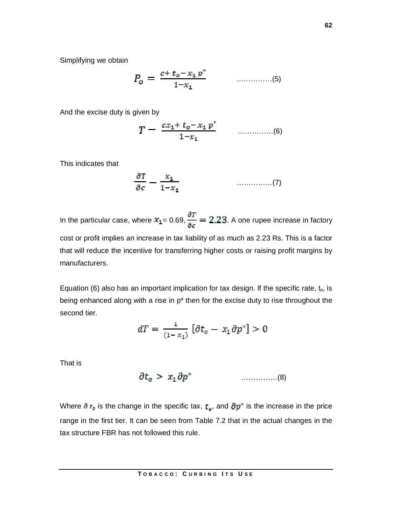Simplifying we obtain

……………(5)

And the excise duty is given by

……………(6)

This indicates that

……………(7)

In the particular case, where  $x_1 = 0.69$ ,  $\frac{\partial T}{\partial c} = 2.23$ . A one rupee increase in factory cost or profit implies an increase in tax liability of as much as 2.23 Rs. This is a factor that will reduce the incentive for transferring higher costs or raising profit margins by manufacturers.

Equation (6) also has an important implication for tax design. If the specific rate,  $t_0$ , is being enhanced along with a rise in p<sup>\*</sup> then for the excise duty to rise throughout the second tier.

$$
dT = \frac{1}{(1-x_1)} \left[ \partial t_o - x_1 \partial p^* \right] > 0
$$

That is

……………(8)

Where  $\partial t_0$  is the change in the specific tax,  $t_{\varphi}$ , and  $\partial p^*$  is the increase in the price range in the first tier. It can be seen from Table 7.2 that in the actual changes in the tax structure FBR has not followed this rule.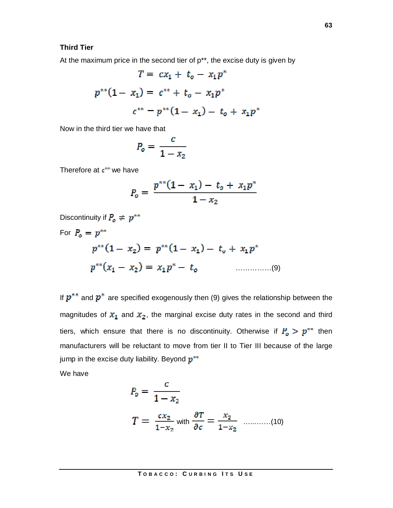### **Third Tier**

At the maximum price in the second tier of  $p^{**}$ , the excise duty is given by

$$
T = cx_1 + t_o - x_1 p^*
$$
  

$$
p^{**}(1 - x_1) = c^{**} + t_o - x_1 p^*
$$
  

$$
c^{**} - p^{**}(1 - x_1) - t_o + x_1 p^*
$$

Now in the third tier we have that

$$
P_o = \frac{c}{1 - x_2}
$$

Therefore at  $c^{**}$  we have

$$
P_o = \frac{p^{**}(1-x_1) - t_o + x_1 p^*}{1-x_2}
$$

Discontinuity if  $P_o \neq p^{**}$ 

For ……………(9)

If  $p^{**}$  and  $p^*$  are specified exogenously then (9) gives the relationship between the magnitudes of  $x_1$  and  $x_2$ , the marginal excise duty rates in the second and third tiers, which ensure that there is no discontinuity. Otherwise if  $P_o > p^{**}$  then manufacturers will be reluctant to move from tier II to Tier III because of the large jump in the excise duty liability. Beyond  $p^{**}$ 

We have

$$
P_o = \frac{c}{1 - x_2}
$$
  
\n
$$
T = \frac{cx_2}{1 - x_2}
$$
 with  $\frac{\partial T}{\partial c} = \frac{x_2}{1 - x_2}$  .........(10)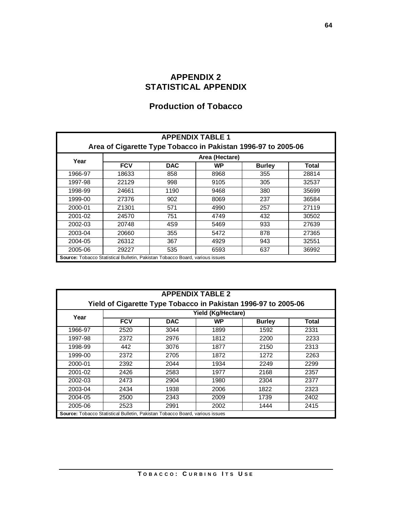## **APPENDIX 2 STATISTICAL APPENDIX**

## **Production of Tobacco**

| <b>APPENDIX TABLE 1</b><br>Area of Cigarette Type Tobacco in Pakistan 1996-97 to 2005-06 |                                                                                     |            |           |               |       |  |  |  |  |
|------------------------------------------------------------------------------------------|-------------------------------------------------------------------------------------|------------|-----------|---------------|-------|--|--|--|--|
| Area (Hectare)                                                                           |                                                                                     |            |           |               |       |  |  |  |  |
| Year                                                                                     | <b>FCV</b>                                                                          | <b>DAC</b> | <b>WP</b> | <b>Burley</b> | Total |  |  |  |  |
| 1966-97                                                                                  | 18633                                                                               | 858        | 8968      | 355           | 28814 |  |  |  |  |
| 1997-98                                                                                  | 22129                                                                               | 998        | 9105      | 305           | 32537 |  |  |  |  |
| 1998-99                                                                                  | 24661                                                                               | 1190       | 9468      | 380           | 35699 |  |  |  |  |
| 1999-00                                                                                  | 27376                                                                               | 902        | 8069      | 237           | 36584 |  |  |  |  |
| 2000-01                                                                                  | Z <sub>1301</sub>                                                                   | 571        | 4990      | 257           | 27119 |  |  |  |  |
| 2001-02                                                                                  | 24570                                                                               | 751        | 4749      | 432           | 30502 |  |  |  |  |
| 2002-03                                                                                  | 20748                                                                               | 4S9        | 5469      | 933           | 27639 |  |  |  |  |
| 2003-04                                                                                  | 20660                                                                               | 355        | 5472      | 878           | 27365 |  |  |  |  |
| 2004-05                                                                                  | 26312                                                                               | 367        | 4929      | 943           | 32551 |  |  |  |  |
| 2005-06                                                                                  | 29227                                                                               | 535        | 6593      | 637           | 36992 |  |  |  |  |
|                                                                                          | <b>Source:</b> Tobacco Statistical Bulletin, Pakistan Tobacco Board, various issues |            |           |               |       |  |  |  |  |

| <b>APPENDIX TABLE 2</b>                                        |                                                                                     |            |           |               |       |  |  |  |  |
|----------------------------------------------------------------|-------------------------------------------------------------------------------------|------------|-----------|---------------|-------|--|--|--|--|
| Yield of Cigarette Type Tobacco in Pakistan 1996-97 to 2005-06 |                                                                                     |            |           |               |       |  |  |  |  |
| Yield (Kg/Hectare)<br>Year                                     |                                                                                     |            |           |               |       |  |  |  |  |
|                                                                | <b>FCV</b>                                                                          | <b>DAC</b> | <b>WP</b> | <b>Burley</b> | Total |  |  |  |  |
| 1966-97                                                        | 2520                                                                                | 3044       | 1899      | 1592          | 2331  |  |  |  |  |
| 1997-98                                                        | 2372                                                                                | 2976       | 1812      | 2200          | 2233  |  |  |  |  |
| 1998-99                                                        | 442                                                                                 | 3076       | 1877      | 2150          | 2313  |  |  |  |  |
| 1999-00                                                        | 2372                                                                                | 2705       | 1872      | 1272          | 2263  |  |  |  |  |
| 2000-01                                                        | 2392                                                                                | 2044       | 1934      | 2249          | 2299  |  |  |  |  |
| 2001-02                                                        | 2426                                                                                | 2583       | 1977      | 2168          | 2357  |  |  |  |  |
| 2002-03                                                        | 2473                                                                                | 2904       | 1980      | 2304          | 2377  |  |  |  |  |
| 2003-04                                                        | 2434                                                                                | 1938       | 2006      | 1822          | 2323  |  |  |  |  |
| 2004-05                                                        | 2500                                                                                | 2343       | 2009      | 1739          | 2402  |  |  |  |  |
| 2005-06                                                        | 2523                                                                                | 2991       | 2002      | 1444          | 2415  |  |  |  |  |
|                                                                | <b>Source:</b> Tobacco Statistical Bulletin, Pakistan Tobacco Board, various issues |            |           |               |       |  |  |  |  |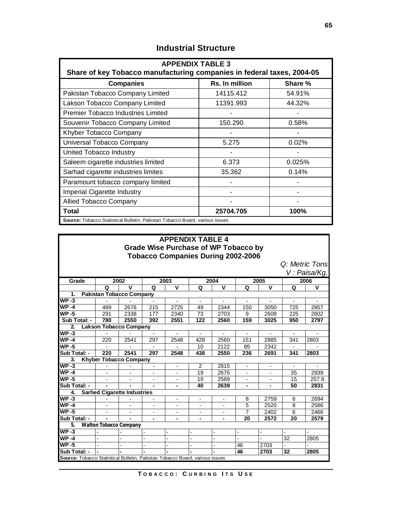| <b>APPENDIX TABLE 3</b><br>Share of key Tobacco manufacturing companies in federal taxes, 2004-05 |           |        |  |  |  |  |  |  |  |  |
|---------------------------------------------------------------------------------------------------|-----------|--------|--|--|--|--|--|--|--|--|
| Rs. In million<br>Share %<br><b>Companies</b>                                                     |           |        |  |  |  |  |  |  |  |  |
| Pakistan Tobacco Company Limited                                                                  | 14115.412 | 54.91% |  |  |  |  |  |  |  |  |
| Lakson Tobacco Company Limited                                                                    | 11391.993 | 44.32% |  |  |  |  |  |  |  |  |
| <b>Premier Tobacco Industries Limited</b>                                                         |           |        |  |  |  |  |  |  |  |  |
| Souvenir Tobacco Company Limited                                                                  | 150.290   | 0.58%  |  |  |  |  |  |  |  |  |
| Khyber Tobacco Company                                                                            |           |        |  |  |  |  |  |  |  |  |
| Universal Tobacco Company                                                                         | 5.275     | 0.02%  |  |  |  |  |  |  |  |  |
| United Tobacco Industry                                                                           |           |        |  |  |  |  |  |  |  |  |
| Saleem cigarette industries limited                                                               | 6.373     | 0.025% |  |  |  |  |  |  |  |  |
| Sarhad cigarette industries limites                                                               | 35.362    | 0.14%  |  |  |  |  |  |  |  |  |
| Paramount tobacco company limited                                                                 |           |        |  |  |  |  |  |  |  |  |
| <b>Imperial Cigarette Industry</b>                                                                |           |        |  |  |  |  |  |  |  |  |
| <b>Allied Tobacco Company</b>                                                                     |           |        |  |  |  |  |  |  |  |  |
| Total                                                                                             | 25704.705 | 100%   |  |  |  |  |  |  |  |  |
| <b>Source:</b> Tobacco Statistical Bulletin, Pakistan Tobacco Board, various issues               |           |        |  |  |  |  |  |  |  |  |

## **Industrial Structure**

|                                                                              | <b>APPENDIX TABLE 4</b><br><b>Grade Wise Purchase of WP Tobacco by</b> |                                    |                          |                          |                          |                          |                          |                          |                          |                          |  |  |
|------------------------------------------------------------------------------|------------------------------------------------------------------------|------------------------------------|--------------------------|--------------------------|--------------------------|--------------------------|--------------------------|--------------------------|--------------------------|--------------------------|--|--|
| <b>Tobacco Companies During 2002-2006</b><br>Q: Metric Tons                  |                                                                        |                                    |                          |                          |                          |                          |                          |                          |                          |                          |  |  |
|                                                                              |                                                                        |                                    |                          |                          |                          |                          |                          |                          |                          |                          |  |  |
|                                                                              |                                                                        |                                    |                          |                          |                          |                          |                          |                          |                          | V: Paisa/Kg.             |  |  |
| Grade                                                                        |                                                                        | 2002                               |                          | 2003                     |                          | 2004                     |                          | 2005                     |                          | 2006                     |  |  |
|                                                                              | Q                                                                      | $\mathbf v$                        | Q                        | $\mathbf v$              | Q                        | $\mathbf v$              | Q                        | $\mathbf v$              | Q                        | $\mathbf v$              |  |  |
| 1.                                                                           |                                                                        | <b>Pakistan Tobacco Company</b>    |                          |                          |                          |                          |                          |                          |                          |                          |  |  |
| $WP-3$                                                                       |                                                                        |                                    | $\overline{\phantom{a}}$ | $\overline{\phantom{0}}$ | $\overline{\phantom{a}}$ | $\overline{\phantom{a}}$ | $\overline{\phantom{a}}$ | $\overline{\phantom{a}}$ | $\overline{\phantom{0}}$ | $\overline{\phantom{a}}$ |  |  |
| $WP-4$                                                                       | 489                                                                    | 2676                               | 215                      | 2725                     | 49                       | 2344                     | 150                      | 3050                     | 725                      | 2857                     |  |  |
| $WP-5$                                                                       | 291                                                                    | 2338                               | 177                      | 2340                     | 73                       | 2703                     | 9                        | 2608                     | 225                      | 2602                     |  |  |
| Sub Total: -                                                                 | 780                                                                    | 2550                               | 392                      | 2551                     | 122                      | 2560                     | 159                      | 3025                     | 950                      | 2797                     |  |  |
|                                                                              | $\overline{2}$<br><b>Lakson Tobacco Company</b>                        |                                    |                          |                          |                          |                          |                          |                          |                          |                          |  |  |
| $WP-3$                                                                       |                                                                        |                                    |                          |                          |                          |                          |                          |                          |                          |                          |  |  |
| $WP-4$                                                                       | 220                                                                    | 2541                               | 297                      | 2548                     | 428                      | 2560                     | 151                      | 2885                     | 341                      | 2803                     |  |  |
| $WP-5$                                                                       |                                                                        |                                    |                          |                          | 10                       | 2122                     | 85                       | 2342                     |                          |                          |  |  |
| Sub Total: -                                                                 | 220                                                                    | 2541                               | 297                      | 2548                     | 438                      | 2550                     | 236                      | 2691                     | 341                      | 2803                     |  |  |
| 3.                                                                           |                                                                        | <b>Khyber Tobacco Company</b>      |                          |                          |                          |                          |                          |                          |                          |                          |  |  |
| $WP-3$                                                                       |                                                                        |                                    |                          |                          | $\overline{2}$           | 2815                     |                          |                          |                          |                          |  |  |
| $WP-4$                                                                       | L,                                                                     |                                    | $\blacksquare$           |                          | 19                       | 2675                     |                          |                          | 35                       | 2939                     |  |  |
| $WP-5$                                                                       | L,                                                                     |                                    | $\overline{a}$           |                          | 19                       | 2589                     |                          |                          | 15                       | 2578                     |  |  |
| Sub Total: -                                                                 | $\blacksquare$                                                         |                                    |                          | ۰                        | 40                       | 2639                     | ۰                        | $\blacksquare$           | 50                       | 2831                     |  |  |
| 4.                                                                           |                                                                        | <b>Sarhed Cigarette Industries</b> |                          |                          |                          |                          |                          |                          |                          |                          |  |  |
| $WP-3$                                                                       |                                                                        |                                    |                          | ٠                        | $\blacksquare$           | $\overline{a}$           | 8                        | 2759                     | 6                        | 2694                     |  |  |
| $WP-4$                                                                       |                                                                        |                                    | $\overline{a}$           |                          |                          |                          | 5                        | 2520                     | 8                        | 2586                     |  |  |
| $WP-5$                                                                       |                                                                        |                                    | $\overline{a}$           |                          |                          |                          | $\overline{7}$           | 2402                     | 6                        | 2466                     |  |  |
| Sub Total: -                                                                 |                                                                        |                                    |                          |                          |                          |                          | 20                       | 2572                     | 20                       | 2579                     |  |  |
| 5.                                                                           |                                                                        | <b>Walton Tobacco Company</b>      |                          |                          |                          |                          |                          |                          |                          |                          |  |  |
| $WP-3$                                                                       |                                                                        |                                    |                          |                          |                          |                          |                          |                          |                          |                          |  |  |
| $WP-4$                                                                       | $\overline{a}$                                                         |                                    | $\overline{a}$           |                          |                          | $\overline{a}$           | $\overline{\phantom{0}}$ | $\overline{\phantom{0}}$ | 32                       | 2805                     |  |  |
| $WP-5$                                                                       |                                                                        |                                    |                          |                          |                          |                          | 46                       | 2703                     |                          |                          |  |  |
| Sub Total: -                                                                 |                                                                        |                                    |                          |                          |                          |                          | 46                       | 2703                     | 32                       | 2805                     |  |  |
| Source: Tobacco Statistical Bulletin, Pakistan Tobacco Board, various issues |                                                                        |                                    |                          |                          |                          |                          |                          |                          |                          |                          |  |  |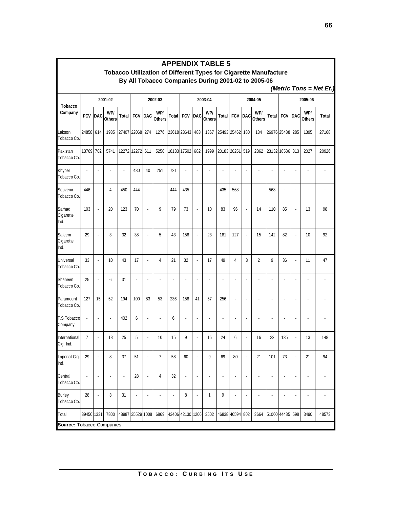|                               | <b>APPENDIX TABLE 5</b><br>Tobacco Utilization of Different Types for Cigarette Manufacture |                          |                      |                  |                 |                          |                          |                  |                |                          |                                                    |                 |                          |                          |                      |             |             |                          |                      |                         |
|-------------------------------|---------------------------------------------------------------------------------------------|--------------------------|----------------------|------------------|-----------------|--------------------------|--------------------------|------------------|----------------|--------------------------|----------------------------------------------------|-----------------|--------------------------|--------------------------|----------------------|-------------|-------------|--------------------------|----------------------|-------------------------|
|                               |                                                                                             |                          |                      |                  |                 |                          |                          |                  |                |                          | By All Tobacco Companies During 2001-02 to 2005-06 |                 |                          |                          |                      |             |             |                          |                      |                         |
|                               |                                                                                             |                          |                      |                  |                 |                          |                          |                  |                |                          |                                                    |                 |                          |                          |                      |             |             |                          |                      | (Metric Tons = Net Et.) |
|                               |                                                                                             |                          | 2001-02              |                  |                 |                          | 2002-03                  |                  |                | 2003-04                  |                                                    |                 | 2004-05                  |                          |                      | 2005-06     |             |                          |                      |                         |
| <b>Tobacco</b><br>Company     | <b>FCV</b>                                                                                  | DAC                      | WP/<br><b>Others</b> | Total            | <b>FCV DAC</b>  |                          | WP/<br><b>Others</b>     | Total            | <b>FCV DAC</b> |                          | WP/<br><b>Others</b>                               |                 | <b>Total FCV</b>         | <b>DAC</b>               | WP/<br><b>Others</b> | Total       | <b>FCV</b>  | DAC                      | WP/<br><b>Others</b> | <b>Total</b>            |
| Lakson<br>Tobacco Co.         | 24858 614                                                                                   |                          | 1935                 | 27407 22068 274  |                 |                          | 1276                     |                  | 23618 23643    | 483                      | 1367                                               | 25493 25462 180 |                          |                          | 134                  |             | 26976 25488 | 285                      | 1395                 | 27168                   |
| Pakistan<br>Tobacco Co.       | 13769                                                                                       | 702                      | 5741                 |                  | 12272 12272 611 |                          | 5250                     |                  | 18133 17502    | 682                      | 1999                                               |                 | 20183 20251 519          |                          | 2362                 |             | 23132 18586 | 313                      | 2027                 | 20926                   |
| Khyber<br>Tobacco Co.         | ×.                                                                                          | ä,                       | ä,                   |                  | 430             | 40                       | 251                      | 721              |                | $\overline{\phantom{a}}$ |                                                    |                 | ×                        |                          |                      | ä,          |             | ٠                        |                      |                         |
| Souvenir<br>Tobacco Co.       | 446                                                                                         | ÷.                       | 4                    | 450              | 444             | $\overline{\phantom{a}}$ | ×                        | 444              | 435            | ٠                        |                                                    | 435             | 568                      |                          | ٠                    | 568         |             | ٠                        |                      |                         |
| Sarhad<br>Cigarette<br>Ind.   | 103                                                                                         | ÷,                       | 20                   | 123              | 70              | ÷,                       | 9                        | 79               | 73             | ÷,                       | 10                                                 | 83              | 96                       |                          | 14                   | 110         | 85          | $\overline{\phantom{a}}$ | 13                   | 98                      |
| Saleem<br>Cigarette<br>Ind.   | 29                                                                                          |                          | 3                    | 32               | 38              |                          | 5                        | 43               | 158            |                          | 23                                                 | 181             | 127                      |                          | 15                   | 142         | 82          |                          | 10                   | 92                      |
| Universal<br>Tobacco Co.      | 33                                                                                          | ÷,                       | 10                   | 43               | 17              | ÷,                       | 4                        | 21               | 32             | $\overline{\phantom{a}}$ | 17                                                 | 49              | 4                        | 3                        | 2                    | 9           | 36          | $\overline{\phantom{a}}$ | 11                   | 47                      |
| Shaheen<br>Tobacco Co.        | 25                                                                                          | ×                        | 6                    | 31               |                 | ÷.                       | ×                        |                  |                | ٠                        |                                                    | ×.              |                          |                          |                      | ä,          |             | ä,                       |                      |                         |
| Paramount<br>Tobacco Co.      | 127                                                                                         | 15                       | 52                   | 194              | 100             | 83                       | 53                       | 236              | 158            | 41                       | 57                                                 | 256             | ÷.                       | ٠                        | ٠                    | ä,          |             | ä,                       |                      |                         |
| <b>T.S Tobacco</b><br>Company | ÷,                                                                                          |                          | ä,                   | 402              | 6               | ÷,                       | $\overline{\phantom{a}}$ | 6                |                | ٠                        |                                                    | ٠               | ×                        |                          |                      | ÷.          | ×.          | ÷,                       | ٠                    |                         |
| International<br>Cig. Ind.    | 7                                                                                           |                          | 18                   | 25               | 5               | ÷,                       | 10                       | 15               | 9              |                          | 15                                                 | 24              | 6                        |                          | 16                   | 22          | 135         |                          | 13                   | 148                     |
| Imperial Cig.<br>Ind.         | 29                                                                                          | $\overline{\phantom{a}}$ | 8                    | 37               | 51              | ł,                       | 7                        | 58               | 60             |                          | 9                                                  | 69              | 80                       | $\overline{\phantom{a}}$ | 21                   | 101         | 73          | $\overline{\phantom{a}}$ | 21                   | 94                      |
| Central<br>Tobacco Co.        | $\overline{\phantom{a}}$                                                                    | ÷,                       | Ĭ.                   | ÷                | 28              | $\overline{\phantom{a}}$ | 4                        | 32               | ÷,             | ×,                       | ÷                                                  | ×,              | $\overline{\phantom{a}}$ | ÷,                       | ä,                   | ÷,          | ä,          | $\overline{\phantom{a}}$ | ä,                   |                         |
| <b>Burley</b><br>Tobacco Co.  | 28                                                                                          | ł,                       | 3                    | 31               | ×,              | ×,                       | $\overline{\phantom{a}}$ | Ĭ.               | 8              | ×,                       | 1                                                  | 9               | $\overline{\phantom{a}}$ | ×,                       | ×,                   | ÷,          |             | ×,                       | ×,                   |                         |
| Total                         | 39456 1331                                                                                  |                          | 7800                 | 48987 35529 1008 |                 |                          | 6869                     | 43406 42130 1206 |                |                          | 3502                                               | 46838 46594 802 |                          |                          | 3664                 | 51060 44485 |             | 598                      | 3490                 | 48573                   |
| Source: Tobacco Companies     |                                                                                             |                          |                      |                  |                 |                          |                          |                  |                |                          |                                                    |                 |                          |                          |                      |             |             |                          |                      |                         |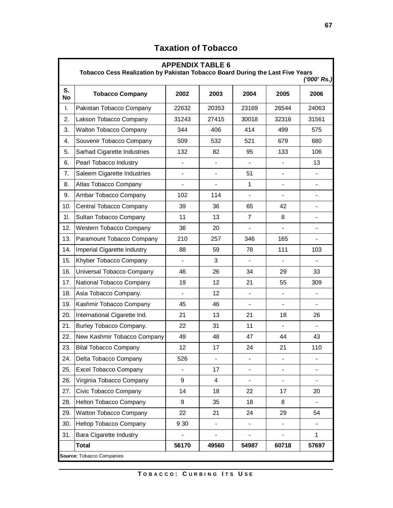|                 | <b>APPENDIX TABLE 6</b><br>Tobacco Cess Realization by Pakistan Tobacco Board During the Last Five Years<br>$(1000'$ Rs.) |                          |       |                          |                          |                |  |  |  |  |  |  |
|-----------------|---------------------------------------------------------------------------------------------------------------------------|--------------------------|-------|--------------------------|--------------------------|----------------|--|--|--|--|--|--|
| S.<br><b>No</b> | <b>Tobacco Company</b>                                                                                                    | 2002                     | 2003  | 2004                     | 2005                     | 2006           |  |  |  |  |  |  |
| Ι.              | Pakistan Tobacco Company                                                                                                  | 22632                    | 20353 | 23169                    | 26544                    | 24063          |  |  |  |  |  |  |
| 2.              | Lakson Tobacco Company                                                                                                    | 31243                    | 27415 | 30018                    | 32316                    | 31561          |  |  |  |  |  |  |
| 3.              | <b>Walton Tobacco Company</b>                                                                                             | 344                      | 406   | 414                      | 499                      | 575            |  |  |  |  |  |  |
| 4.              | Souvenir Tobacco Company                                                                                                  | 509                      | 532   | 521                      | 679                      | 680            |  |  |  |  |  |  |
| 5.              | Sarhad Cigarette Industries                                                                                               | 132                      | 82    | 95                       | 133                      | 106            |  |  |  |  |  |  |
| 6.              | Pearl Tobacco Industry                                                                                                    |                          |       |                          |                          | 13             |  |  |  |  |  |  |
| 7.              | Saleem Cigarette Industries                                                                                               |                          |       | 51                       |                          |                |  |  |  |  |  |  |
| 8.              | Atlas Tobacco Company                                                                                                     |                          |       | $\mathbf{1}$             |                          |                |  |  |  |  |  |  |
| 9.              | Ambar Tobacco Company                                                                                                     | 102                      | 114   | -                        | $\overline{\phantom{a}}$ |                |  |  |  |  |  |  |
| 10.             | Central Tobacco Company                                                                                                   | 39                       | 36    | 65                       | 42                       | $\overline{a}$ |  |  |  |  |  |  |
| 1I.             | Sultan Tobacco Company                                                                                                    | 11                       | 13    | $\overline{7}$           | 8                        |                |  |  |  |  |  |  |
| 12.             | Western Tobacco Company                                                                                                   | 36                       | 20    |                          |                          |                |  |  |  |  |  |  |
| 13.             | Paramount Tobacco Company                                                                                                 | 210                      | 257   | 346                      | 165                      |                |  |  |  |  |  |  |
| 14.             | Imperial Cigarette Industry                                                                                               | 88                       | 59    | 78                       | 111                      | 103            |  |  |  |  |  |  |
| 15.             | Khyber Tobacco Company                                                                                                    | $\overline{\phantom{a}}$ | 3     | $\overline{\phantom{0}}$ | $\overline{\phantom{a}}$ |                |  |  |  |  |  |  |
| 16.             | Universal Tobacco Company                                                                                                 | 46                       | 26    | 34                       | 29                       | 33             |  |  |  |  |  |  |
| 17.             | National Tobacco Company                                                                                                  | 19                       | 12    | 21                       | 55                       | 309            |  |  |  |  |  |  |
| 18.             | Asia Tobacco Company.                                                                                                     |                          | 12    |                          |                          |                |  |  |  |  |  |  |
| 19.             | Kashmir Tobacco Company                                                                                                   | 45                       | 46    |                          |                          |                |  |  |  |  |  |  |
| 20.             | International Cigarette Ind.                                                                                              | 21                       | 13    | 21                       | 18                       | 26             |  |  |  |  |  |  |
| 21.             | Burley Tobacco Company.                                                                                                   | 22                       | 31    | 11                       | $\overline{\phantom{a}}$ | $\blacksquare$ |  |  |  |  |  |  |
| 22.             | New Kashmir Tobacco Company                                                                                               | 49                       | 48    | 47                       | 44                       | 43             |  |  |  |  |  |  |
| 23.             | <b>Bilal Tobacco Company</b>                                                                                              | 12                       | 17    | 24                       | 21                       | 110            |  |  |  |  |  |  |
| 24.             | Delta Tobacco Company                                                                                                     | 526                      |       |                          |                          |                |  |  |  |  |  |  |
| 25.             | Excel Tobacco Company                                                                                                     |                          | 17    |                          |                          |                |  |  |  |  |  |  |
| 26.             | Virginia Tobacco Company                                                                                                  | 9                        | 4     |                          |                          |                |  |  |  |  |  |  |
| 27.             | Civic Tobacco Company                                                                                                     | 14                       | 18    | 22                       | 17                       | 20             |  |  |  |  |  |  |
| 28.             | Helton Tobacco Company                                                                                                    | 9                        | 35    | 18                       | 8                        |                |  |  |  |  |  |  |
| 29.             | Watton Tobacco Company                                                                                                    | 22                       | 21    | 24                       | 29                       | 54             |  |  |  |  |  |  |
| 30.             | Heltop Tobacco Company                                                                                                    | 9 3 0                    |       |                          |                          |                |  |  |  |  |  |  |
| 31.             | <b>Bara Cigarette Industry</b>                                                                                            |                          |       |                          |                          | 1              |  |  |  |  |  |  |
|                 | <b>Total</b>                                                                                                              | 56170                    | 49560 | 54987                    | 60718                    | 57697          |  |  |  |  |  |  |
|                 | Source: Tobacco Companies                                                                                                 |                          |       |                          |                          |                |  |  |  |  |  |  |

# **Taxation of Tobacco**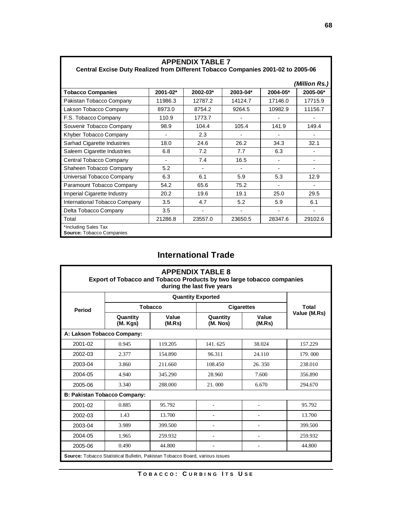| <b>APPENDIX TABLE 7</b><br>Central Excise Duty Realized from Different Tobacco Companies 2001-02 to 2005-06 |                          |                          |          |                |               |  |  |  |  |
|-------------------------------------------------------------------------------------------------------------|--------------------------|--------------------------|----------|----------------|---------------|--|--|--|--|
|                                                                                                             |                          |                          |          |                | (Million Rs.) |  |  |  |  |
| <b>Tobacco Companies</b>                                                                                    | 2001-02*                 | 2002-03*                 | 2003-04* | 2004-05*       | 2005-06*      |  |  |  |  |
| Pakistan Tobacco Company                                                                                    | 11986.3                  | 12787.2                  | 14124.7  | 17146.0        | 17715.9       |  |  |  |  |
| Lakson Tobacco Company                                                                                      | 8973.0                   | 8754.2                   | 9264.5   | 10982.9        | 11156.7       |  |  |  |  |
| F.S. Tobacco Company                                                                                        | 110.9                    | 1773.7                   |          |                |               |  |  |  |  |
| Souvenir Tobacco Company                                                                                    | 98.9                     | 104.4                    | 105.4    | 141.9          | 149.4         |  |  |  |  |
| Khyber Tobacco Company                                                                                      | $\overline{\phantom{a}}$ | 2.3                      |          |                |               |  |  |  |  |
| Sarhad Cigarette Industries                                                                                 | 18.0                     | 24.6                     | 26.2     | 34.3           | 32.1          |  |  |  |  |
| Saleem Cigarette Industries                                                                                 | 6.8                      | 7.2                      | 7.7      | 6.3            |               |  |  |  |  |
| Central Tobacco Company                                                                                     | $\overline{\phantom{0}}$ | 7.4                      | 16.5     |                |               |  |  |  |  |
| Shaheen Tobacco Company                                                                                     | 5.2                      | $\blacksquare$           |          | $\blacksquare$ |               |  |  |  |  |
| Universal Tobacco Company                                                                                   | 6.3                      | 6.1                      | 5.9      | 5.3            | 12.9          |  |  |  |  |
| Paramount Tobacco Company                                                                                   | 54.2                     | 65.6                     | 75.2     | $\blacksquare$ |               |  |  |  |  |
| Imperial Cigarette Industry                                                                                 | 20.2                     | 19.6                     | 19.1     | 25.0           | 29.5          |  |  |  |  |
| International Tobacco Company                                                                               | 3.5                      | 4.7                      | 5.2      | 5.9            | 6.1           |  |  |  |  |
| Delta Tobacco Company                                                                                       | 3.5                      | $\overline{\phantom{a}}$ |          |                |               |  |  |  |  |
| Total                                                                                                       | 21286.8                  | 23557.0                  | 23650.5  | 28347.6        | 29102.6       |  |  |  |  |
| *Including Sales Tax<br><b>Source: Tobacco Companies</b>                                                    |                          |                          |          |                |               |  |  |  |  |

# **International Trade**

| <b>APPENDIX TABLE 8</b><br>Export of Tobacco and Tobacco Products by two large tobacco companies<br>during the last five years |                      |                 |                      |                 |              |  |  |  |  |  |
|--------------------------------------------------------------------------------------------------------------------------------|----------------------|-----------------|----------------------|-----------------|--------------|--|--|--|--|--|
|                                                                                                                                |                      |                 |                      |                 |              |  |  |  |  |  |
| Period                                                                                                                         |                      | <b>Tobacco</b>  | <b>Cigarettes</b>    | Total           |              |  |  |  |  |  |
|                                                                                                                                | Quantity<br>(M. Kgs) | Value<br>(M.Rs) | Quantity<br>(M. Nos) | Value<br>(M.Rs) | Value (M.Rs) |  |  |  |  |  |
| A: Lakson Tobacco Company:                                                                                                     |                      |                 |                      |                 |              |  |  |  |  |  |
| 2001-02                                                                                                                        | 0.945                | 119.205         | 141.625              | 38.024          | 157.229      |  |  |  |  |  |
| 2002-03                                                                                                                        | 2.377                | 154.890         | 96.311               | 24.110          | 179.000      |  |  |  |  |  |
| 2003-04                                                                                                                        | 3.860                | 211.660         | 108.450              | 26.350          | 238.010      |  |  |  |  |  |
| 2004-05                                                                                                                        | 4.940                | 345.290         | 28.960               | 7.600           | 356.890      |  |  |  |  |  |
| 2005-06                                                                                                                        | 3.340                | 288,000         | 21.000               | 6.670           | 294.670      |  |  |  |  |  |
| <b>B: Pakistan Tobacco Company:</b>                                                                                            |                      |                 |                      |                 |              |  |  |  |  |  |
| 2001-02                                                                                                                        | 0.885                | 95.792          |                      |                 | 95.792       |  |  |  |  |  |
| 2002-03                                                                                                                        | 1.43                 | 13.700          |                      |                 | 13.700       |  |  |  |  |  |
| 2003-04                                                                                                                        | 3.989                | 399.500         |                      |                 | 399.500      |  |  |  |  |  |
| 2004-05                                                                                                                        | 1.965                | 259.932         |                      |                 | 259.932      |  |  |  |  |  |
| 2005-06                                                                                                                        | 0.490                | 44.800          |                      |                 | 44.800       |  |  |  |  |  |
| Source: Tobacco Statistical Bulletin, Pakistan Tobacco Board, various issues                                                   |                      |                 |                      |                 |              |  |  |  |  |  |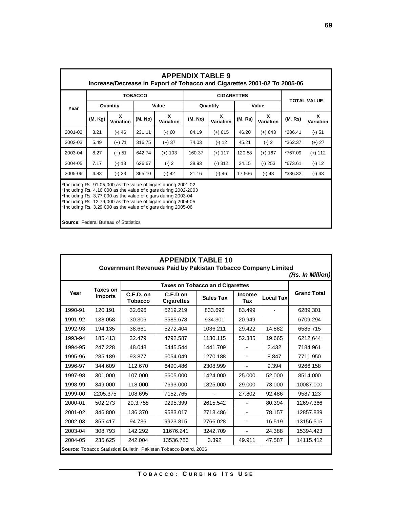| <b>APPENDIX TABLE 9</b><br>Increase/Decrease in Export of Tobacco and Cigarettes 2001-02 To 2005-06                                                                                                                                                                                                                                   |          |                |                |                |          |                   |         |                |         |                    |  |
|---------------------------------------------------------------------------------------------------------------------------------------------------------------------------------------------------------------------------------------------------------------------------------------------------------------------------------------|----------|----------------|----------------|----------------|----------|-------------------|---------|----------------|---------|--------------------|--|
| Year                                                                                                                                                                                                                                                                                                                                  |          |                | <b>TOBACCO</b> |                |          | <b>CIGARETTES</b> |         |                |         | <b>TOTAL VALUE</b> |  |
|                                                                                                                                                                                                                                                                                                                                       | Quantity |                | Value          |                | Quantity |                   | Value   |                |         |                    |  |
|                                                                                                                                                                                                                                                                                                                                       | (M. Kg)  | X<br>Variation | (M. No)        | X<br>Variation | (M. No)  | X<br>Variation    | (M. Rs) | X<br>Variation | (M. Rs) | X<br>Variation     |  |
| 2001-02                                                                                                                                                                                                                                                                                                                               | 3.21     | $(-)$ 46       | 231.11         | $(-) 60$       | 84.19    | $(+)$ 615         | 46.20   | $(+) 643$      | *286.41 | $(-) 51$           |  |
| 2002-03                                                                                                                                                                                                                                                                                                                               | 5.49     | $(+)$ 71       | 316.75         | $(+)$ 37       | 74.03    | $(-) 12$          | 45.21   | $(-) 2$        | *362.37 | $(+)$ 27           |  |
| 2003-04                                                                                                                                                                                                                                                                                                                               | 8.27     | $(+) 51$       | 642.74         | $(+)$ 103      | 160.37   | $(+)$ 117         | 120.58  | $(+)$ 167      | *767.09 | $(+)$ 112          |  |
| 2004-05                                                                                                                                                                                                                                                                                                                               | 7.17     | $(-) 13$       | 626.67         | $(-) 2$        | 38.93    | $(-)312$          | 34.15   | $(-)$ 253      | *673.61 | $(-) 12$           |  |
| 2005-06                                                                                                                                                                                                                                                                                                                               | 4.83     | $(-) 33$       | 365.10         | $(-)$ 42       | 21.16    | $(-)$ 46          | 17.936  | (-) 43         | *386.32 | $(-)$ 43           |  |
| *Including Rs. 91,05,000 as the value of cigars during 2001-02<br>*Including Rs. 4,16,000 as the value of cigars during 2002-2003<br>*Including Rs. 3,77,000 as the value of cigars during 2003-04<br>*Including Rs. 12,79,000 as the value of cigars during 2004-05<br>*Including Rs. 3,29,000 as the value of cigars during 2005-06 |          |                |                |                |          |                   |         |                |         |                    |  |

**Source:** Federal Bureau of Statistics

| <b>APPENDIX TABLE 10</b><br>Government Revenues Paid by Pakistan Tobacco Company Limited<br>(Rs. In Million) |                            |                               |                               |                  |                          |                  |                    |  |  |
|--------------------------------------------------------------------------------------------------------------|----------------------------|-------------------------------|-------------------------------|------------------|--------------------------|------------------|--------------------|--|--|
| Year                                                                                                         | Taxes on<br><b>Imports</b> |                               |                               |                  |                          |                  |                    |  |  |
|                                                                                                              |                            | $C.E.D.$ on<br><b>Tobacco</b> | C.E.D on<br><b>Cigarettes</b> | <b>Sales Tax</b> | <b>Income</b><br>Tax     | <b>Local Tax</b> | <b>Grand Total</b> |  |  |
| 1990-91                                                                                                      | 120.191                    | 32.696                        | 5219.219                      | 833.696          | 83.499                   | $\blacksquare$   | 6289.301           |  |  |
| 1991-92                                                                                                      | 138.058                    | 30.306                        | 5585.678                      | 934.301          | 20.949                   |                  | 6709.294           |  |  |
| 1992-93                                                                                                      | 194.135                    | 38.661                        | 5272.404                      | 1036.211         | 29.422                   | 14.882           | 6585.715           |  |  |
| 1993-94                                                                                                      | 185.413                    | 32.479                        | 4792.587                      | 1130.115         | 52.385                   | 19.665           | 6212.644           |  |  |
| 1994-95                                                                                                      | 247.228                    | 48.048                        | 5445.544                      | 1441.709         |                          | 2.432            | 7184.961           |  |  |
| 1995-96                                                                                                      | 285.189                    | 93.877                        | 6054.049                      | 1270.188         | $\blacksquare$           | 8.847            | 7711.950           |  |  |
| 1996-97                                                                                                      | 344.609                    | 112.670                       | 6490.486                      | 2308.999         |                          | 9.394            | 9266.158           |  |  |
| 1997-98                                                                                                      | 301.000                    | 107.000                       | 6605.000                      | 1424.000         | 25.000                   | 52.000           | 8514.000           |  |  |
| 1998-99                                                                                                      | 349,000                    | 118,000                       | 7693.000                      | 1825.000         | 29.000                   | 73.000           | 10087.000          |  |  |
| 1999-00                                                                                                      | 2205.375                   | 108.695                       | 7152.765                      |                  | 27.802                   | 92.486           | 9587.123           |  |  |
| 2000-01                                                                                                      | 502.273                    | 20.3.758                      | 9295.399                      | 2615.542         | $\blacksquare$           | 80.394           | 12697.366          |  |  |
| 2001-02                                                                                                      | 346.800                    | 136.370                       | 9583.017                      | 2713.486         | $\blacksquare$           | 78.157           | 12857.839          |  |  |
| 2002-03                                                                                                      | 355.417                    | 94.736                        | 9923.815                      | 2766.028         | $\overline{\phantom{a}}$ | 16.519           | 13156.515          |  |  |
| 2003-04                                                                                                      | 308.793                    | 142.292                       | 11676.241                     | 3242.709         | $\blacksquare$           | 24.388           | 15394.423          |  |  |
| 2004-05                                                                                                      | 235.625                    | 242.004                       | 13536.786                     | 3.392            | 49.911                   | 47.587           | 14115.412          |  |  |
| <b>Source:</b> Tobacco Statistical Bulletin, Pakistan Tobacco Board, 2006                                    |                            |                               |                               |                  |                          |                  |                    |  |  |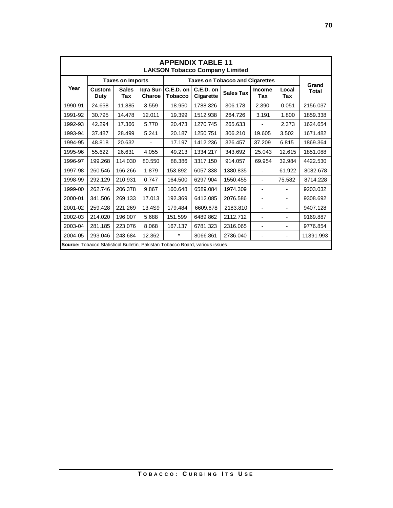| <b>APPENDIX TABLE 11</b><br><b>LAKSON Tobacco Company Limited</b>            |                         |                     |                     |                                        |                          |                  |                          |                |                |
|------------------------------------------------------------------------------|-------------------------|---------------------|---------------------|----------------------------------------|--------------------------|------------------|--------------------------|----------------|----------------|
| Year                                                                         | <b>Taxes on Imports</b> |                     |                     | <b>Taxes on Tobacco and Cigarettes</b> |                          |                  |                          |                |                |
|                                                                              | Custom<br>Duty          | <b>Sales</b><br>Tax | Iqra Sur-<br>Charoe | C.E.D. on<br><b>Tobacco</b>            | $C.E.D.$ on<br>Cigarette | <b>Sales Tax</b> | <b>Income</b><br>Tax     | Local<br>Tax   | Grand<br>Total |
| 1990-91                                                                      | 24.658                  | 11.885              | 3.559               | 18.950                                 | 1788.326                 | 306.178          | 2.390                    | 0.051          | 2156.037       |
| 1991-92                                                                      | 30.795                  | 14.478              | 12.011              | 19.399                                 | 1512.938                 | 264.726          | 3.191                    | 1.800          | 1859.338       |
| 1992-93                                                                      | 42.294                  | 17.366              | 5.770               | 20.473                                 | 1270.745                 | 265.633          |                          | 2.373          | 1624.654       |
| 1993-94                                                                      | 37.487                  | 28.499              | 5.241               | 20.187                                 | 1250.751                 | 306.210          | 19.605                   | 3.502          | 1671.482       |
| 1994-95                                                                      | 48.818                  | 20.632              |                     | 17.197                                 | 1412.236                 | 326.457          | 37.209                   | 6.815          | 1869.364       |
| 1995-96                                                                      | 55.622                  | 26.631              | 4.055               | 49.213                                 | 1334.217                 | 343.692          | 25.043                   | 12.615         | 1851.088       |
| 1996-97                                                                      | 199.268                 | 114.030             | 80.550              | 88.386                                 | 3317.150                 | 914.057          | 69.954                   | 32.984         | 4422.530       |
| 1997-98                                                                      | 260.546                 | 166.266             | 1.879               | 153.892                                | 6057.338                 | 1380.835         | $\blacksquare$           | 61.922         | 8082.678       |
| 1998-99                                                                      | 292.129                 | 210.931             | 0.747               | 164.500                                | 6297.904                 | 1550.455         |                          | 75.582         | 8714.228       |
| 1999-00                                                                      | 262.746                 | 206.378             | 9.867               | 160.648                                | 6589.084                 | 1974.309         | $\overline{\phantom{0}}$ | ٠              | 9203.032       |
| 2000-01                                                                      | 341.506                 | 269.133             | 17.013              | 192.369                                | 6412.085                 | 2076.586         | -                        | $\overline{a}$ | 9308.692       |
| 2001-02                                                                      | 259.428                 | 221.269             | 13.4S9              | 179.484                                | 6609.678                 | 2183.810         | $\overline{\phantom{0}}$ |                | 9407.128       |
| 2002-03                                                                      | 214.020                 | 196.007             | 5.688               | 151.599                                | 6489.862                 | 2112.712         |                          | Ξ.             | 9169.887       |
| 2003-04                                                                      | 281.185                 | 223.076             | 8.068               | 167.137                                | 6781.323                 | 2316.065         |                          | $\overline{a}$ | 9776.854       |
| 2004-05                                                                      | 293.046                 | 243.684             | 12.362              | $\star$                                | 8066.861                 | 2736.040         | -                        | ٠              | 11391.993      |
| Source: Tobacco Statistical Bulletin, Pakistan Tobacco Board, various issues |                         |                     |                     |                                        |                          |                  |                          |                |                |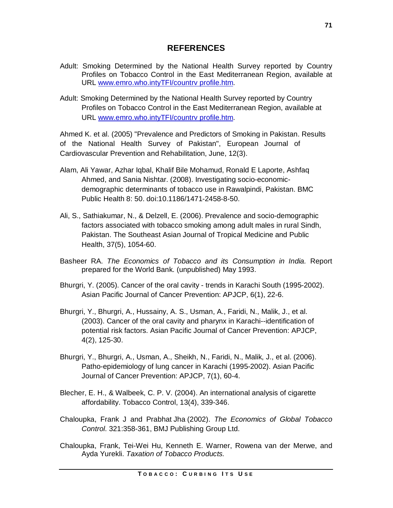## **REFERENCES**

- Adult: Smoking Determined by the National Health Survey reported by Country Profiles on Tobacco Control in the East Mediterranean Region, available at URL [www.emro.who.intyTFI/countrv](http://www.emro.who.intyTFI/countrv) profile.htm.
- Adult: Smoking Determined by the National Health Survey reported by Country Profiles on Tobacco Control in the East Mediterranean Region, available at URL [www.emro.who.intyTFI/countrv](http://www.emro.who.intyTFI/countrv) profile.htm.

Ahmed K. et al. (2005) "Prevalence and Predictors of Smoking in Pakistan. Results of the National Health Survey of Pakistan", European Journal of Cardiovascular Prevention and Rehabilitation, June, 12(3).

- Alam, Ali Yawar, Azhar Iqbal, Khalif Bile Mohamud, Ronald E Laporte, Ashfaq Ahmed, and Sania Nishtar. (2008). Investigating socio-economicdemographic determinants of tobacco use in Rawalpindi, Pakistan. BMC Public Health 8: 50. doi:10.1186/1471-2458-8-50.
- Ali, S., Sathiakumar, N., & Delzell, E. (2006). Prevalence and socio-demographic factors associated with tobacco smoking among adult males in rural Sindh, Pakistan. The Southeast Asian Journal of Tropical Medicine and Public Health, 37(5), 1054-60.
- Basheer RA. *The Economics of Tobacco and its Consumption in India.* Report prepared for the World Bank. (unpublished) May 1993.
- Bhurgri, Y. (2005). Cancer of the oral cavity trends in Karachi South (1995-2002). Asian Pacific Journal of Cancer Prevention: APJCP, 6(1), 22-6.
- Bhurgri, Y., Bhurgri, A., Hussainy, A. S., Usman, A., Faridi, N., Malik, J., et al. (2003). Cancer of the oral cavity and pharynx in Karachi--identification of potential risk factors. Asian Pacific Journal of Cancer Prevention: APJCP, 4(2), 125-30.
- Bhurgri, Y., Bhurgri, A., Usman, A., Sheikh, N., Faridi, N., Malik, J., et al. (2006). Patho-epidemiology of lung cancer in Karachi (1995-2002). Asian Pacific Journal of Cancer Prevention: APJCP, 7(1), 60-4.
- Blecher, E. H., & Walbeek, C. P. V. (2004). An international analysis of cigarette affordability. Tobacco Control, 13(4), 339-346.
- Chaloupka, Frank J and Prabhat Jha (2002). *The Economics of Global Tobacco Control*. 321:358-361, BMJ Publishing Group Ltd.
- Chaloupka, Frank, Tei-Wei Hu, Kenneth E. Warner, Rowena van der Merwe, and Ayda Yurekli. *Taxation of Tobacco Products.*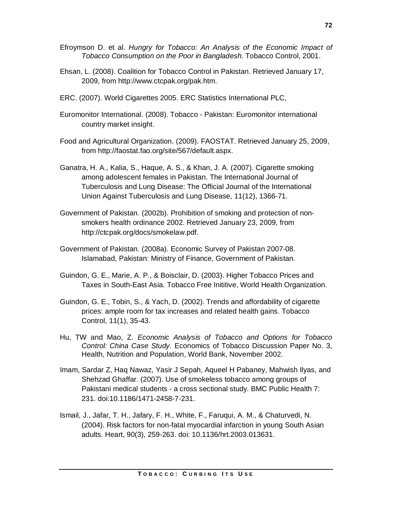- Efroymson D. et al. *Hungry for Tobacco: An Analysis of the Economic Impact of Tobacco Consumption on the Poor in Bangladesh.* Tobacco Control, 2001.
- Ehsan, L. (2008). Coalition for Tobacco Control in Pakistan. Retrieved January 17, 2009, from<http://www.ctcpak.org/pak.htm.>
- ERC. (2007). World Cigarettes 2005. ERC Statistics International PLC,
- Euromonitor International. (2008). Tobacco Pakistan: Euromonitor international country market insight.
- Food and Agricultural Organization. (2009). FAOSTAT. Retrieved January 25, 2009, from <http://faostat.fao.org/site/567/default.aspx.>
- Ganatra, H. A., Kalia, S., Haque, A. S., & Khan, J. A. (2007). Cigarette smoking among adolescent females in Pakistan. The International Journal of Tuberculosis and Lung Disease: The Official Journal of the International Union Against Tuberculosis and Lung Disease, 11(12), 1366-71.
- Government of Pakistan. (2002b). Prohibition of smoking and protection of nonsmokers health ordinance 2002. Retrieved January 23, 2009, from <http://ctcpak.org/docs/smokelaw.pdf.>
- Government of Pakistan. (2008a). Economic Survey of Pakistan 2007-08. Islamabad, Pakistan: Ministry of Finance, Government of Pakistan.
- Guindon, G. E., Marie, A. P., & Boisclair, D. (2003). Higher Tobacco Prices and Taxes in South-East Asia. Tobacco Free Inititive, World Health Organization.
- Guindon, G. E., Tobin, S., & Yach, D. (2002). Trends and affordability of cigarette prices: ample room for tax increases and related health gains. Tobacco Control, 11(1), 35-43.
- Hu, TW and Mao, Z. *Economic Analysis of Tobacco and Options for Tobacco Control: China Case Study.* Economics of Tobacco Discussion Paper No. 3, Health, Nutrition and Population, World Bank, November 2002.
- Imam, Sardar Z, Haq Nawaz, Yasir J Sepah, Aqueel H Pabaney, Mahwish Ilyas, and Shehzad Ghaffar. (2007). Use of smokeless tobacco among groups of Pakistani medical students - a cross sectional study. BMC Public Health 7: 231. doi:10.1186/1471-2458-7-231.
- Ismail, J., Jafar, T. H., Jafary, F. H., White, F., Faruqui, A. M., & Chaturvedi, N. (2004). Risk factors for non-fatal myocardial infarction in young South Asian adults. Heart, 90(3), 259-263. doi: 10.1136/hrt.2003.013631.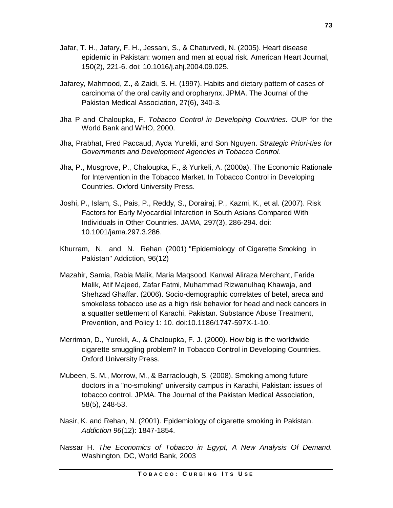- Jafar, T. H., Jafary, F. H., Jessani, S., & Chaturvedi, N. (2005). Heart disease epidemic in Pakistan: women and men at equal risk. American Heart Journal, 150(2), 221-6. doi: 10.1016/j.ahj.2004.09.025.
- Jafarey, Mahmood, Z., & Zaidi, S. H. (1997). Habits and dietary pattern of cases of carcinoma of the oral cavity and oropharynx. JPMA. The Journal of the Pakistan Medical Association, 27(6), 340-3.
- Jha P and Chaloupka, F. *Tobacco Control in Developing Countries.* OUP for the World Bank and WHO, 2000.
- Jha, Prabhat, Fred Paccaud, Ayda Yurekli, and Son Nguyen. *Strategic Priori-ties for Governments and Development Agencies in Tobacco Control.*
- Jha, P., Musgrove, P., Chaloupka, F., & Yurkeli, A. (2000a). The Economic Rationale for Intervention in the Tobacco Market. In Tobacco Control in Developing Countries. Oxford University Press.
- Joshi, P., Islam, S., Pais, P., Reddy, S., Dorairaj, P., Kazmi, K., et al. (2007). Risk Factors for Early Myocardial Infarction in South Asians Compared With Individuals in Other Countries. JAMA, 297(3), 286-294. doi: 10.1001/jama.297.3.286.
- Khurram, N. and N. Rehan (2001) "Epidemiology of Cigarette Smoking in Pakistan" Addiction, 96(12)
- Mazahir, Samia, Rabia Malik, Maria Maqsood, Kanwal Aliraza Merchant, Farida Malik, Atif Majeed, Zafar Fatmi, Muhammad Rizwanulhaq Khawaja, and Shehzad Ghaffar. (2006). Socio-demographic correlates of betel, areca and smokeless tobacco use as a high risk behavior for head and neck cancers in a squatter settlement of Karachi, Pakistan. Substance Abuse Treatment, Prevention, and Policy 1: 10. doi:10.1186/1747-597X-1-10.
- Merriman, D., Yurekli, A., & Chaloupka, F. J. (2000). How big is the worldwide cigarette smuggling problem? In Tobacco Control in Developing Countries. Oxford University Press.
- Mubeen, S. M., Morrow, M., & Barraclough, S. (2008). Smoking among future doctors in a "no-smoking" university campus in Karachi, Pakistan: issues of tobacco control. JPMA. The Journal of the Pakistan Medical Association, 58(5), 248-53.
- Nasir, K. and Rehan, N. (2001). Epidemiology of cigarette smoking in Pakistan. *Addiction 96*(12): 1847-1854.
- Nassar H. *The Economics of Tobacco in Egypt, A New Analysis Of Demand.* Washington, DC, World Bank, 2003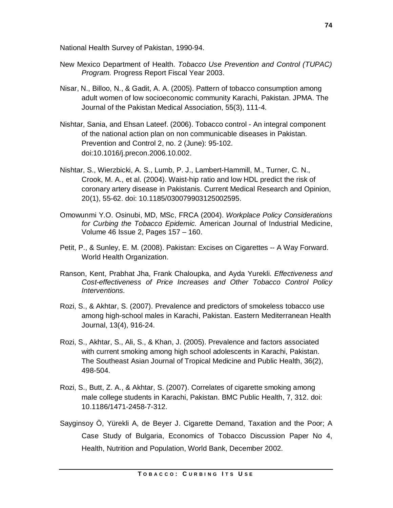National Health Survey of Pakistan, 1990-94.

- New Mexico Department of Health. *Tobacco Use Prevention and Control (TUPAC) Program.* Progress Report Fiscal Year 2003.
- Nisar, N., Billoo, N., & Gadit, A. A. (2005). Pattern of tobacco consumption among adult women of low socioeconomic community Karachi, Pakistan. JPMA. The Journal of the Pakistan Medical Association, 55(3), 111-4.
- Nishtar, Sania, and Ehsan Lateef. (2006). Tobacco control An integral component of the national action plan on non communicable diseases in Pakistan. Prevention and Control 2, no. 2 (June): 95-102. doi:10.1016/j.precon.2006.10.002.
- Nishtar, S., Wierzbicki, A. S., Lumb, P. J., Lambert-Hammill, M., Turner, C. N., Crook, M. A., et al. (2004). Waist-hip ratio and low HDL predict the risk of coronary artery disease in Pakistanis. Current Medical Research and Opinion, 20(1), 55-62. doi: 10.1185/030079903125002595.
- Omowunmi Y.O. Osinubi, MD, MSc, FRCA (2004). *Workplace Policy Considerations for Curbing the Tobacco Epidemic.* American Journal of Industrial Medicine, Volume 46 Issue 2, Pages 157 – 160.
- Petit, P., & Sunley, E. M. (2008). Pakistan: Excises on Cigarettes -- A Way Forward. World Health Organization.
- Ranson, Kent, Prabhat Jha, Frank Chaloupka, and Ayda Yurekli. *Effectiveness and Cost-effectiveness of Price Increases and Other Tobacco Control Policy Interventions.*
- Rozi, S., & Akhtar, S. (2007). Prevalence and predictors of smokeless tobacco use among high-school males in Karachi, Pakistan. Eastern Mediterranean Health Journal, 13(4), 916-24.
- Rozi, S., Akhtar, S., Ali, S., & Khan, J. (2005). Prevalence and factors associated with current smoking among high school adolescents in Karachi, Pakistan. The Southeast Asian Journal of Tropical Medicine and Public Health, 36(2), 498-504.
- Rozi, S., Butt, Z. A., & Akhtar, S. (2007). Correlates of cigarette smoking among male college students in Karachi, Pakistan. BMC Public Health, 7, 312. doi: 10.1186/1471-2458-7-312.
- Sayginsoy Ö, Yürekli A, de Beyer J. Cigarette Demand, Taxation and the Poor; A Case Study of Bulgaria, Economics of Tobacco Discussion Paper No 4, Health, Nutrition and Population, World Bank, December 2002.